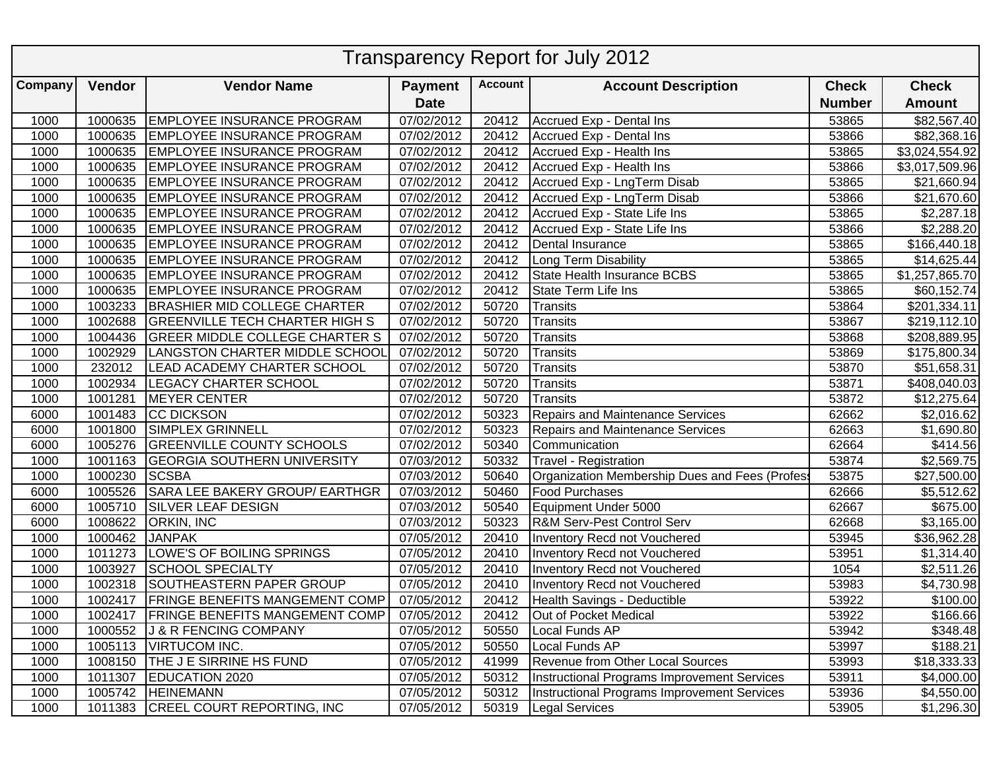| <b>Transparency Report for July 2012</b> |         |                                          |                         |                |                                                    |               |                            |  |  |  |  |
|------------------------------------------|---------|------------------------------------------|-------------------------|----------------|----------------------------------------------------|---------------|----------------------------|--|--|--|--|
| Company                                  | Vendor  | <b>Vendor Name</b>                       | <b>Payment</b>          | <b>Account</b> | <b>Account Description</b>                         | <b>Check</b>  | <b>Check</b>               |  |  |  |  |
|                                          |         |                                          | <b>Date</b>             |                |                                                    | <b>Number</b> | <b>Amount</b>              |  |  |  |  |
| 1000                                     | 1000635 | <b>EMPLOYEE INSURANCE PROGRAM</b>        | $\overline{07}/02/2012$ | 20412          | Accrued Exp - Dental Ins                           | 53865         | \$82,567.40                |  |  |  |  |
| 1000                                     | 1000635 | <b>EMPLOYEE INSURANCE PROGRAM</b>        | 07/02/2012              | 20412          | Accrued Exp - Dental Ins                           | 53866         | \$82,368.16                |  |  |  |  |
| 1000                                     | 1000635 | <b>EMPLOYEE INSURANCE PROGRAM</b>        | 07/02/2012              | 20412          | Accrued Exp - Health Ins                           | 53865         | \$3,024,554.92             |  |  |  |  |
| 1000                                     | 1000635 | <b>EMPLOYEE INSURANCE PROGRAM</b>        | 07/02/2012              | 20412          | Accrued Exp - Health Ins                           | 53866         | \$3,017,509.96             |  |  |  |  |
| 1000                                     | 1000635 | <b>EMPLOYEE INSURANCE PROGRAM</b>        | 07/02/2012              | 20412          | Accrued Exp - LngTerm Disab                        | 53865         | \$21,660.94                |  |  |  |  |
| 1000                                     | 1000635 | <b>EMPLOYEE INSURANCE PROGRAM</b>        | 07/02/2012              | 20412          | Accrued Exp - LngTerm Disab                        | 53866         | \$21,670.60                |  |  |  |  |
| 1000                                     | 1000635 | <b>EMPLOYEE INSURANCE PROGRAM</b>        | 07/02/2012              | 20412          | Accrued Exp - State Life Ins                       | 53865         | \$2,287.18                 |  |  |  |  |
| 1000                                     | 1000635 | <b>EMPLOYEE INSURANCE PROGRAM</b>        | 07/02/2012              | 20412          | Accrued Exp - State Life Ins                       | 53866         | \$2,288.20                 |  |  |  |  |
| 1000                                     | 1000635 | <b>EMPLOYEE INSURANCE PROGRAM</b>        | 07/02/2012              | 20412          | Dental Insurance                                   | 53865         | \$166,440.18               |  |  |  |  |
| 1000                                     | 1000635 | <b>EMPLOYEE INSURANCE PROGRAM</b>        | 07/02/2012              | 20412          | Long Term Disability                               | 53865         | \$14,625.44                |  |  |  |  |
| 1000                                     | 1000635 | <b>EMPLOYEE INSURANCE PROGRAM</b>        | 07/02/2012              | 20412          | State Health Insurance BCBS                        | 53865         | $\overline{$1,257,865.70}$ |  |  |  |  |
| 1000                                     | 1000635 | <b>EMPLOYEE INSURANCE PROGRAM</b>        | 07/02/2012              | 20412          | State Term Life Ins                                | 53865         | \$60,152.74                |  |  |  |  |
| 1000                                     | 1003233 | <b>BRASHIER MID COLLEGE CHARTER</b>      | 07/02/2012              | 50720          | Transits                                           | 53864         | \$201,334.11               |  |  |  |  |
| 1000                                     | 1002688 | <b>GREENVILLE TECH CHARTER HIGH S</b>    | 07/02/2012              | 50720          | Transits                                           | 53867         | \$219,112.10               |  |  |  |  |
| 1000                                     | 1004436 | <b>GREER MIDDLE COLLEGE CHARTER S</b>    | 07/02/2012              | 50720          | Transits                                           | 53868         | \$208,889.95               |  |  |  |  |
| 1000                                     | 1002929 | LANGSTON CHARTER MIDDLE SCHOOL           | 07/02/2012              | 50720          | Transits                                           | 53869         | \$175,800.34               |  |  |  |  |
| 1000                                     | 232012  | LEAD ACADEMY CHARTER SCHOOL              | 07/02/2012              | 50720          | Transits                                           | 53870         | \$51,658.31                |  |  |  |  |
| 1000                                     | 1002934 | <b>LEGACY CHARTER SCHOOL</b>             | 07/02/2012              | 50720          | <b>Transits</b>                                    | 53871         | \$408,040.03               |  |  |  |  |
| 1000                                     | 1001281 | <b>MEYER CENTER</b>                      | 07/02/2012              | 50720          | Transits                                           | 53872         | \$12,275.64                |  |  |  |  |
| 6000                                     | 1001483 | <b>CC DICKSON</b>                        | 07/02/2012              | 50323          | Repairs and Maintenance Services                   | 62662         | \$2,016.62                 |  |  |  |  |
| 6000                                     | 1001800 | <b>SIMPLEX GRINNELL</b>                  | 07/02/2012              | 50323          | <b>Repairs and Maintenance Services</b>            | 62663         | \$1,690.80                 |  |  |  |  |
| 6000                                     | 1005276 | <b>GREENVILLE COUNTY SCHOOLS</b>         | 07/02/2012              | 50340          | Communication                                      | 62664         | \$414.56                   |  |  |  |  |
| 1000                                     | 1001163 | <b>GEORGIA SOUTHERN UNIVERSITY</b>       | 07/03/2012              | 50332          | Travel - Registration                              | 53874         | \$2,569.75                 |  |  |  |  |
| 1000                                     | 1000230 | <b>SCSBA</b>                             | 07/03/2012              | 50640          | Organization Membership Dues and Fees (Profes      | 53875         | \$27,500.00                |  |  |  |  |
| 6000                                     | 1005526 | SARA LEE BAKERY GROUP/ EARTHGR           | 07/03/2012              | 50460          | Food Purchases                                     | 62666         | \$5,512.62                 |  |  |  |  |
| 6000                                     | 1005710 | <b>SILVER LEAF DESIGN</b>                | 07/03/2012              | 50540          | Equipment Under 5000                               | 62667         | \$675.00                   |  |  |  |  |
| 6000                                     | 1008622 | <b>ORKIN, INC</b>                        | 07/03/2012              | 50323          | <b>R&amp;M Serv-Pest Control Serv</b>              | 62668         | \$3,165.00                 |  |  |  |  |
| 1000                                     | 1000462 | <b>JANPAK</b>                            | 07/05/2012              | 20410          | <b>Inventory Recd not Vouchered</b>                | 53945         | \$36,962.28                |  |  |  |  |
| 1000                                     | 1011273 | LOWE'S OF BOILING SPRINGS                | 07/05/2012              | 20410          | Inventory Recd not Vouchered                       | 53951         | \$1,314.40                 |  |  |  |  |
| 1000                                     | 1003927 | <b>SCHOOL SPECIALTY</b>                  | 07/05/2012              | 20410          | Inventory Recd not Vouchered                       | 1054          | \$2,511.26                 |  |  |  |  |
| 1000                                     | 1002318 | SOUTHEASTERN PAPER GROUP                 | 07/05/2012              | 20410          | Inventory Recd not Vouchered                       | 53983         | \$4,730.98                 |  |  |  |  |
| 1000                                     |         | 1002417   FRINGE BENEFITS MANGEMENT COMP | 07/05/2012              | 20412          | Health Savings - Deductible                        | 53922         | \$100.00                   |  |  |  |  |
| 1000                                     |         | 1002417   FRINGE BENEFITS MANGEMENT COMP | 07/05/2012              | 20412          | Out of Pocket Medical                              | 53922         | \$166.66                   |  |  |  |  |
| 1000                                     | 1000552 | J & R FENCING COMPANY                    | 07/05/2012              | 50550          | Local Funds AP                                     | 53942         | \$348.48                   |  |  |  |  |
| 1000                                     |         | 1005113   VIRTUCOM INC.                  | 07/05/2012              | 50550          | Local Funds AP                                     | 53997         | \$188.21                   |  |  |  |  |
| 1000                                     |         | 1008150 THE J E SIRRINE HS FUND          | 07/05/2012              | 41999          | Revenue from Other Local Sources                   | 53993         | \$18,333.33                |  |  |  |  |
| 1000                                     | 1011307 | EDUCATION 2020                           | 07/05/2012              | 50312          | Instructional Programs Improvement Services        | 53911         | \$4,000.00                 |  |  |  |  |
| 1000                                     |         | 1005742 HEINEMANN                        | 07/05/2012              | 50312          | <b>Instructional Programs Improvement Services</b> | 53936         | \$4,550.00                 |  |  |  |  |
| 1000                                     |         | 1011383 CREEL COURT REPORTING, INC       | 07/05/2012              | 50319          | Legal Services                                     | 53905         | \$1,296.30                 |  |  |  |  |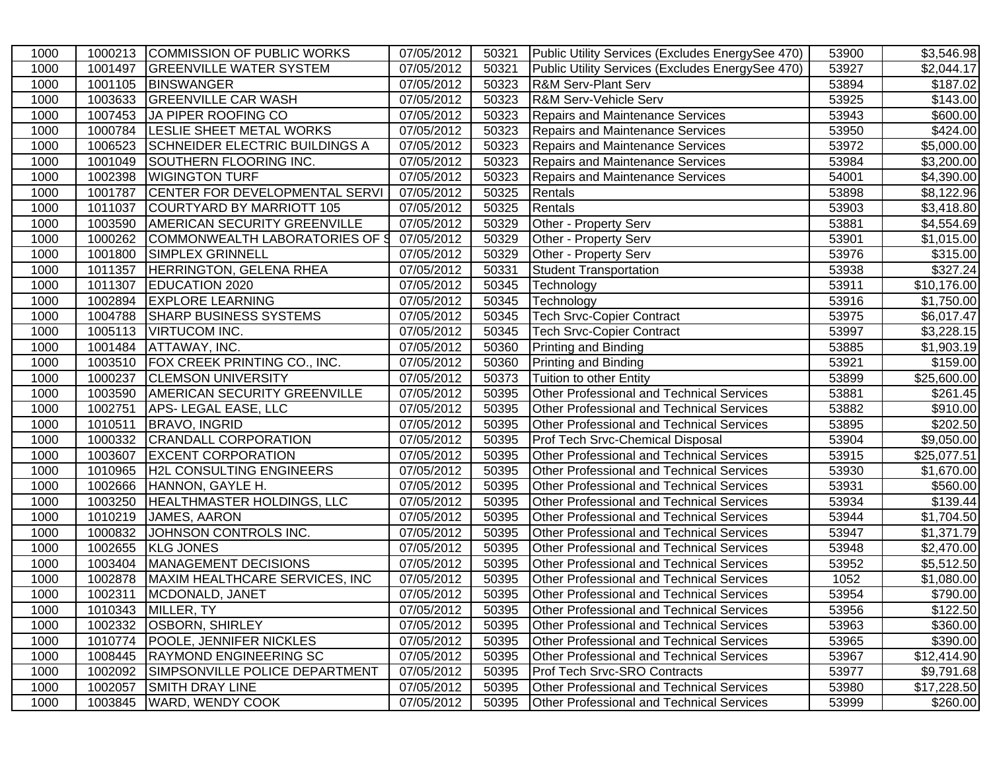| 1000 |         | 1000213 COMMISSION OF PUBLIC WORKS     | 07/05/2012              | 50321 | Public Utility Services (Excludes EnergySee 470) | 53900 | $\overline{$3,546.98}$ |
|------|---------|----------------------------------------|-------------------------|-------|--------------------------------------------------|-------|------------------------|
| 1000 | 1001497 | <b>GREENVILLE WATER SYSTEM</b>         | 07/05/2012              | 50321 | Public Utility Services (Excludes EnergySee 470) | 53927 | \$2,044.17             |
| 1000 | 1001105 | <b>BINSWANGER</b>                      | 07/05/2012              | 50323 | <b>R&amp;M Serv-Plant Serv</b>                   | 53894 | $\overline{$}187.02$   |
| 1000 | 1003633 | <b>GREENVILLE CAR WASH</b>             | 07/05/2012              | 50323 | R&M Serv-Vehicle Serv                            | 53925 | \$143.00               |
| 1000 | 1007453 | JA PIPER ROOFING CO                    | 07/05/2012              | 50323 | Repairs and Maintenance Services                 | 53943 | \$600.00               |
| 1000 | 1000784 | <b>LESLIE SHEET METAL WORKS</b>        | 07/05/2012              | 50323 | Repairs and Maintenance Services                 | 53950 | \$424.00               |
| 1000 | 1006523 | <b>SCHNEIDER ELECTRIC BUILDINGS A</b>  | 07/05/2012              | 50323 | <b>Repairs and Maintenance Services</b>          | 53972 | \$5,000.00             |
| 1000 | 1001049 | SOUTHERN FLOORING INC.                 | $\overline{07/05}/2012$ | 50323 | Repairs and Maintenance Services                 | 53984 | \$3,200.00             |
| 1000 |         | 1002398   WIGINGTON TURF               | 07/05/2012              | 50323 | Repairs and Maintenance Services                 | 54001 | \$4,390.00             |
| 1000 |         | 1001787 CENTER FOR DEVELOPMENTAL SERVI | 07/05/2012              | 50325 | Rentals                                          | 53898 | \$8,122.96             |
| 1000 |         | 1011037 COURTYARD BY MARRIOTT 105      | 07/05/2012              | 50325 | Rentals                                          | 53903 | \$3,418.80             |
| 1000 | 1003590 | <b>AMERICAN SECURITY GREENVILLE</b>    | 07/05/2012              | 50329 | Other - Property Serv                            | 53881 | \$4,554.69             |
| 1000 | 1000262 | COMMONWEALTH LABORATORIES OF S         | 07/05/2012              | 50329 | Other - Property Serv                            | 53901 | \$1,015.00             |
| 1000 | 1001800 | <b>SIMPLEX GRINNELL</b>                | 07/05/2012              | 50329 | Other - Property Serv                            | 53976 | \$315.00               |
| 1000 | 1011357 | <b>HERRINGTON, GELENA RHEA</b>         | 07/05/2012              | 50331 | <b>Student Transportation</b>                    | 53938 | \$327.24               |
| 1000 | 1011307 | <b>EDUCATION 2020</b>                  | 07/05/2012              | 50345 | Technology                                       | 53911 | \$10,176.00            |
| 1000 | 1002894 | <b>EXPLORE LEARNING</b>                | 07/05/2012              | 50345 | Technology                                       | 53916 | \$1,750.00             |
| 1000 | 1004788 | <b>SHARP BUSINESS SYSTEMS</b>          | 07/05/2012              | 50345 | Tech Srvc-Copier Contract                        | 53975 | \$6,017.47             |
| 1000 | 1005113 | <b>VIRTUCOM INC.</b>                   | 07/05/2012              | 50345 | Tech Srvc-Copier Contract                        | 53997 | \$3,228.15             |
| 1000 | 1001484 | <b>ATTAWAY, INC.</b>                   | 07/05/2012              | 50360 | Printing and Binding                             | 53885 | \$1,903.19             |
| 1000 | 1003510 | FOX CREEK PRINTING CO., INC.           | 07/05/2012              | 50360 | Printing and Binding                             | 53921 | \$159.00               |
| 1000 | 1000237 | <b>CLEMSON UNIVERSITY</b>              | 07/05/2012              | 50373 | Tuition to other Entity                          | 53899 | \$25,600.00            |
| 1000 | 1003590 | <b>AMERICAN SECURITY GREENVILLE</b>    | 07/05/2012              | 50395 | <b>Other Professional and Technical Services</b> | 53881 | \$261.45               |
| 1000 | 1002751 | APS-LEGAL EASE, LLC                    | 07/05/2012              | 50395 | <b>Other Professional and Technical Services</b> | 53882 | \$910.00               |
| 1000 |         | 1010511 BRAVO, INGRID                  | 07/05/2012              | 50395 | <b>Other Professional and Technical Services</b> | 53895 | \$202.50               |
| 1000 |         | 1000332 CRANDALL CORPORATION           | 07/05/2012              | 50395 | <b>Prof Tech Srvc-Chemical Disposal</b>          | 53904 | \$9,050.00             |
| 1000 | 1003607 | <b>EXCENT CORPORATION</b>              | 07/05/2012              | 50395 | <b>Other Professional and Technical Services</b> | 53915 | \$25,077.51            |
| 1000 | 1010965 | <b>H2L CONSULTING ENGINEERS</b>        | 07/05/2012              | 50395 | <b>Other Professional and Technical Services</b> | 53930 | $\overline{$}1,670.00$ |
| 1000 | 1002666 | HANNON, GAYLE H.                       | 07/05/2012              | 50395 | <b>Other Professional and Technical Services</b> | 53931 | \$560.00               |
| 1000 | 1003250 | HEALTHMASTER HOLDINGS, LLC             | 07/05/2012              | 50395 | <b>Other Professional and Technical Services</b> | 53934 | \$139.44               |
| 1000 | 1010219 | JAMES, AARON                           | 07/05/2012              | 50395 | <b>Other Professional and Technical Services</b> | 53944 | $\overline{$1,704.50}$ |
| 1000 | 1000832 | JOHNSON CONTROLS INC.                  | 07/05/2012              | 50395 | <b>Other Professional and Technical Services</b> | 53947 | \$1,371.79             |
| 1000 | 1002655 | <b>KLG JONES</b>                       | 07/05/2012              | 50395 | <b>Other Professional and Technical Services</b> | 53948 | \$2,470.00             |
| 1000 | 1003404 | MANAGEMENT DECISIONS                   | 07/05/2012              | 50395 | <b>Other Professional and Technical Services</b> | 53952 | \$5,512.50             |
| 1000 | 1002878 | MAXIM HEALTHCARE SERVICES, INC         | 07/05/2012              | 50395 | Other Professional and Technical Services        | 1052  | \$1,080.00             |
| 1000 | 1002311 | MCDONALD, JANET                        | 07/05/2012              | 50395 | <b>Other Professional and Technical Services</b> | 53954 | \$790.00               |
| 1000 |         | 1010343 MILLER, TY                     | 07/05/2012              | 50395 | <b>Other Professional and Technical Services</b> | 53956 | \$122.50               |
| 1000 |         | 1002332   OSBORN, SHIRLEY              | 07/05/2012              | 50395 | <b>Other Professional and Technical Services</b> | 53963 | \$360.00               |
| 1000 | 1010774 | <b>POOLE, JENNIFER NICKLES</b>         | 07/05/2012              | 50395 | <b>Other Professional and Technical Services</b> | 53965 | \$390.00               |
| 1000 |         | 1008445 RAYMOND ENGINEERING SC         | 07/05/2012              | 50395 | <b>Other Professional and Technical Services</b> | 53967 | \$12,414.90            |
| 1000 | 1002092 | SIMPSONVILLE POLICE DEPARTMENT         | 07/05/2012              | 50395 | <b>Prof Tech Srvc-SRO Contracts</b>              | 53977 | \$9,791.68             |
| 1000 | 1002057 | <b>SMITH DRAY LINE</b>                 | 07/05/2012              | 50395 | <b>Other Professional and Technical Services</b> | 53980 | \$17,228.50            |
| 1000 | 1003845 | <b>WARD, WENDY COOK</b>                | 07/05/2012              | 50395 | <b>Other Professional and Technical Services</b> | 53999 | \$260.00               |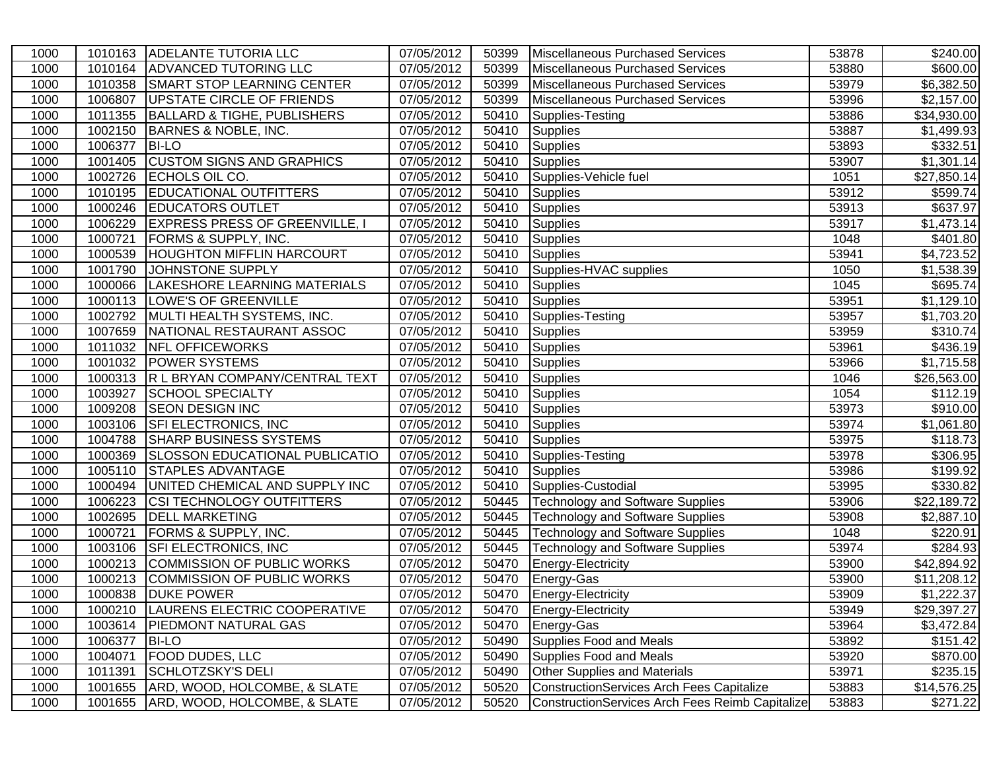| 1000 |         | 1010163 ADELANTE TUTORIA LLC           | 07/05/2012 | 50399 | Miscellaneous Purchased Services                 | 53878 | \$240.00                |
|------|---------|----------------------------------------|------------|-------|--------------------------------------------------|-------|-------------------------|
| 1000 | 1010164 | <b>ADVANCED TUTORING LLC</b>           | 07/05/2012 | 50399 | Miscellaneous Purchased Services                 | 53880 | \$600.00                |
| 1000 | 1010358 | <b>SMART STOP LEARNING CENTER</b>      | 07/05/2012 | 50399 | Miscellaneous Purchased Services                 | 53979 | \$6,382.50              |
| 1000 | 1006807 | UPSTATE CIRCLE OF FRIENDS              | 07/05/2012 | 50399 | Miscellaneous Purchased Services                 | 53996 | \$2,157.00              |
| 1000 | 1011355 | <b>BALLARD &amp; TIGHE, PUBLISHERS</b> | 07/05/2012 | 50410 | Supplies-Testing                                 | 53886 | \$34,930.00             |
| 1000 | 1002150 | <b>BARNES &amp; NOBLE, INC.</b>        | 07/05/2012 | 50410 | <b>Supplies</b>                                  | 53887 | \$1,499.93              |
| 1000 | 1006377 | <b>BI-LO</b>                           | 07/05/2012 | 50410 | <b>Supplies</b>                                  | 53893 | \$332.51                |
| 1000 |         | 1001405 CUSTOM SIGNS AND GRAPHICS      | 07/05/2012 | 50410 | Supplies                                         | 53907 | \$1,301.14              |
| 1000 | 1002726 | ECHOLS OIL CO.                         | 07/05/2012 | 50410 | Supplies-Vehicle fuel                            | 1051  | \$27,850.14             |
| 1000 | 1010195 | <b>EDUCATIONAL OUTFITTERS</b>          | 07/05/2012 | 50410 | Supplies                                         | 53912 | \$599.74                |
| 1000 |         | 1000246 EDUCATORS OUTLET               | 07/05/2012 | 50410 | Supplies                                         | 53913 | \$637.97                |
| 1000 | 1006229 | <b>EXPRESS PRESS OF GREENVILLE, I</b>  | 07/05/2012 | 50410 | Supplies                                         | 53917 | \$1,473.14              |
| 1000 | 1000721 | <b>FORMS &amp; SUPPLY, INC.</b>        | 07/05/2012 | 50410 | Supplies                                         | 1048  | \$401.80                |
| 1000 | 1000539 | <b>HOUGHTON MIFFLIN HARCOURT</b>       | 07/05/2012 | 50410 | Supplies                                         | 53941 | \$4,723.52              |
| 1000 | 1001790 | JOHNSTONE SUPPLY                       | 07/05/2012 | 50410 | Supplies-HVAC supplies                           | 1050  | $\overline{$}1,538.39$  |
| 1000 | 1000066 | LAKESHORE LEARNING MATERIALS           | 07/05/2012 | 50410 | Supplies                                         | 1045  | \$695.74                |
| 1000 | 1000113 | LOWE'S OF GREENVILLE                   | 07/05/2012 | 50410 | <b>Supplies</b>                                  | 53951 | \$1,129.10              |
| 1000 | 1002792 | MULTI HEALTH SYSTEMS, INC.             | 07/05/2012 | 50410 | Supplies-Testing                                 | 53957 | \$1,703.20              |
| 1000 | 1007659 | NATIONAL RESTAURANT ASSOC              | 07/05/2012 | 50410 | <b>Supplies</b>                                  | 53959 | \$310.74                |
| 1000 | 1011032 | <b>NFL OFFICEWORKS</b>                 | 07/05/2012 | 50410 | <b>Supplies</b>                                  | 53961 | \$436.19                |
| 1000 | 1001032 | <b>POWER SYSTEMS</b>                   | 07/05/2012 | 50410 | Supplies                                         | 53966 | $\overline{31,715.58}$  |
| 1000 | 1000313 | R L BRYAN COMPANY/CENTRAL TEXT         | 07/05/2012 | 50410 | <b>Supplies</b>                                  | 1046  | \$26,563.00             |
| 1000 | 1003927 | <b>SCHOOL SPECIALTY</b>                | 07/05/2012 | 50410 | <b>Supplies</b>                                  | 1054  | \$112.19                |
| 1000 | 1009208 | <b>SEON DESIGN INC</b>                 | 07/05/2012 | 50410 | Supplies                                         | 53973 | \$910.00                |
| 1000 |         | 1003106 SFI ELECTRONICS, INC           | 07/05/2012 | 50410 | Supplies                                         | 53974 | $\overline{\$1,061.80}$ |
| 1000 |         | 1004788 SHARP BUSINESS SYSTEMS         | 07/05/2012 | 50410 | Supplies                                         | 53975 | \$118.73                |
| 1000 | 1000369 | SLOSSON EDUCATIONAL PUBLICATIO         | 07/05/2012 | 50410 | Supplies-Testing                                 | 53978 | \$306.95                |
| 1000 | 1005110 | <b>STAPLES ADVANTAGE</b>               | 07/05/2012 | 50410 | Supplies                                         | 53986 | \$199.92                |
| 1000 | 1000494 | UNITED CHEMICAL AND SUPPLY INC         | 07/05/2012 | 50410 | Supplies-Custodial                               | 53995 | \$330.82                |
| 1000 | 1006223 | <b>CSI TECHNOLOGY OUTFITTERS</b>       | 07/05/2012 | 50445 | Technology and Software Supplies                 | 53906 | \$22,189.72             |
| 1000 | 1002695 | <b>DELL MARKETING</b>                  | 07/05/2012 | 50445 | <b>Technology and Software Supplies</b>          | 53908 | \$2,887.10              |
| 1000 | 1000721 | <b>FORMS &amp; SUPPLY, INC.</b>        | 07/05/2012 | 50445 | <b>Technology and Software Supplies</b>          | 1048  | \$220.91                |
| 1000 | 1003106 | <b>SFI ELECTRONICS, INC</b>            | 07/05/2012 | 50445 | <b>Technology and Software Supplies</b>          | 53974 | \$284.93                |
| 1000 |         | 1000213 COMMISSION OF PUBLIC WORKS     | 07/05/2012 | 50470 | Energy-Electricity                               | 53900 | \$42,894.92             |
| 1000 | 1000213 | COMMISSION OF PUBLIC WORKS             | 07/05/2012 | 50470 | Energy-Gas                                       | 53900 | \$11,208.12             |
| 1000 | 1000838 | <b>DUKE POWER</b>                      | 07/05/2012 | 50470 | Energy-Electricity                               | 53909 | \$1,222.37              |
| 1000 |         | 1000210 LAURENS ELECTRIC COOPERATIVE   | 07/05/2012 |       | 50470 Energy-Electricity                         | 53949 | \$29,397.27             |
| 1000 |         | 1003614   PIEDMONT NATURAL GAS         | 07/05/2012 | 50470 | Energy-Gas                                       | 53964 | \$3,472.84              |
| 1000 | 1006377 | <b>BI-LO</b>                           | 07/05/2012 | 50490 | Supplies Food and Meals                          | 53892 | \$151.42                |
| 1000 | 1004071 | <b>FOOD DUDES, LLC</b>                 | 07/05/2012 | 50490 | Supplies Food and Meals                          | 53920 | \$870.00                |
| 1000 | 1011391 | <b>SCHLOTZSKY'S DELI</b>               | 07/05/2012 | 50490 | <b>Other Supplies and Materials</b>              | 53971 | \$235.15                |
| 1000 | 1001655 | ARD, WOOD, HOLCOMBE, & SLATE           | 07/05/2012 | 50520 | ConstructionServices Arch Fees Capitalize        | 53883 | \$14,576.25             |
| 1000 |         | 1001655 ARD, WOOD, HOLCOMBE, & SLATE   | 07/05/2012 | 50520 | Construction Services Arch Fees Reimb Capitalize | 53883 | \$271.22                |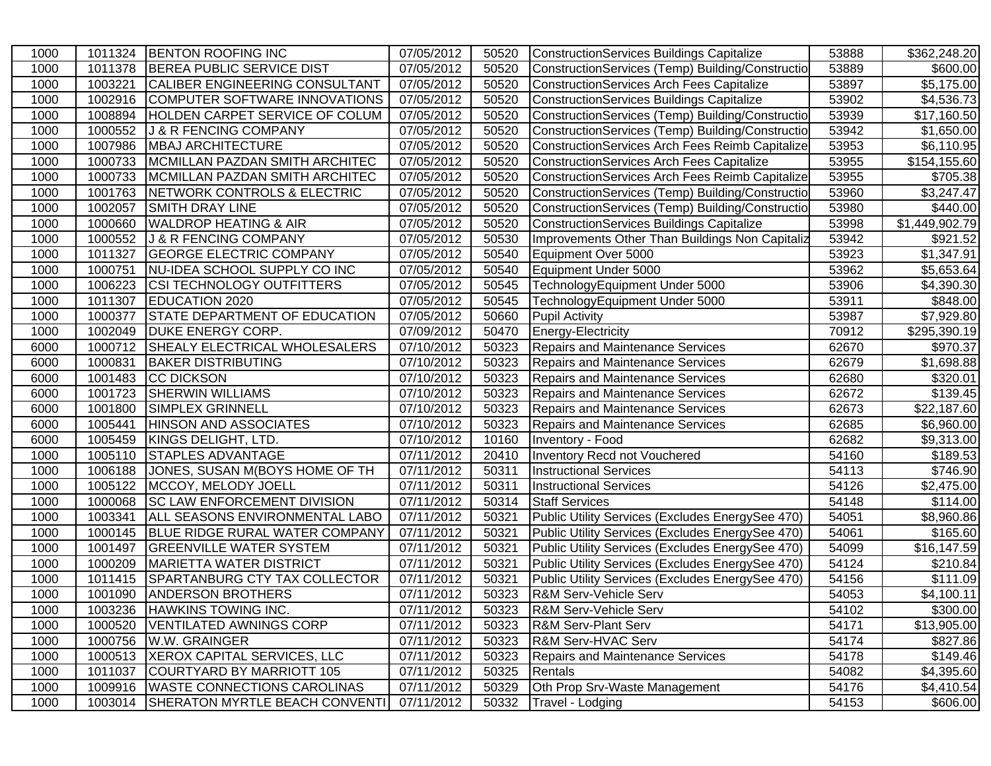| 1000 | 1011324 | <b>BENTON ROOFING INC</b>             | 07/05/2012 | 50520 | ConstructionServices Buildings Capitalize        | 53888 | \$362,248.20           |
|------|---------|---------------------------------------|------------|-------|--------------------------------------------------|-------|------------------------|
| 1000 | 1011378 | <b>BEREA PUBLIC SERVICE DIST</b>      | 07/05/2012 | 50520 | ConstructionServices (Temp) Building/Constructio | 53889 | \$600.00               |
| 1000 | 1003221 | <b>CALIBER ENGINEERING CONSULTANT</b> | 07/05/2012 | 50520 | ConstructionServices Arch Fees Capitalize        | 53897 | \$5,175.00             |
| 1000 | 1002916 | COMPUTER SOFTWARE INNOVATIONS         | 07/05/2012 | 50520 | ConstructionServices Buildings Capitalize        | 53902 | \$4,536.73             |
| 1000 | 1008894 | <b>HOLDEN CARPET SERVICE OF COLUM</b> | 07/05/2012 | 50520 | ConstructionServices (Temp) Building/Constructio | 53939 | \$17,160.50            |
| 1000 | 1000552 | <b>J &amp; R FENCING COMPANY</b>      | 07/05/2012 | 50520 | ConstructionServices (Temp) Building/Constructio | 53942 | \$1,650.00             |
| 1000 | 1007986 | <b>MBAJ ARCHITECTURE</b>              | 07/05/2012 | 50520 | ConstructionServices Arch Fees Reimb Capitalize  | 53953 | \$6,110.95             |
| 1000 | 1000733 | MCMILLAN PAZDAN SMITH ARCHITEC        | 07/05/2012 | 50520 | ConstructionServices Arch Fees Capitalize        | 53955 | \$154,155.60           |
| 1000 | 1000733 | MCMILLAN PAZDAN SMITH ARCHITEC        | 07/05/2012 | 50520 | ConstructionServices Arch Fees Reimb Capitalize  | 53955 | \$705.38               |
| 1000 | 1001763 | NETWORK CONTROLS & ELECTRIC           | 07/05/2012 | 50520 | ConstructionServices (Temp) Building/Constructio | 53960 | \$3,247.47             |
| 1000 | 1002057 | <b>SMITH DRAY LINE</b>                | 07/05/2012 | 50520 | ConstructionServices (Temp) Building/Constructio | 53980 | \$440.00               |
| 1000 | 1000660 | <b>WALDROP HEATING &amp; AIR</b>      | 07/05/2012 | 50520 | ConstructionServices Buildings Capitalize        | 53998 | \$1,449,902.79         |
| 1000 | 1000552 | J & R FENCING COMPANY                 | 07/05/2012 | 50530 | Improvements Other Than Buildings Non Capitaliz  | 53942 | \$921.52               |
| 1000 | 1011327 | <b>GEORGE ELECTRIC COMPANY</b>        | 07/05/2012 | 50540 | Equipment Over 5000                              | 53923 | \$1,347.91             |
| 1000 | 1000751 | NU-IDEA SCHOOL SUPPLY CO INC          | 07/05/2012 | 50540 | Equipment Under 5000                             | 53962 | \$5,653.64             |
| 1000 | 1006223 | <b>CSI TECHNOLOGY OUTFITTERS</b>      | 07/05/2012 | 50545 | TechnologyEquipment Under 5000                   | 53906 | \$4,390.30             |
| 1000 | 1011307 | <b>EDUCATION 2020</b>                 | 07/05/2012 | 50545 | TechnologyEquipment Under 5000                   | 53911 | \$848.00               |
| 1000 | 1000377 | <b>STATE DEPARTMENT OF EDUCATION</b>  | 07/05/2012 | 50660 | <b>Pupil Activity</b>                            | 53987 | \$7,929.80             |
| 1000 | 1002049 | <b>DUKE ENERGY CORP.</b>              | 07/09/2012 | 50470 | Energy-Electricity                               | 70912 | \$295,390.19           |
| 6000 | 1000712 | <b>SHEALY ELECTRICAL WHOLESALERS</b>  | 07/10/2012 | 50323 | Repairs and Maintenance Services                 | 62670 | \$970.37               |
| 6000 | 1000831 | <b>BAKER DISTRIBUTING</b>             | 07/10/2012 | 50323 | Repairs and Maintenance Services                 | 62679 | \$1,698.88             |
| 6000 | 1001483 | <b>CC DICKSON</b>                     | 07/10/2012 | 50323 | Repairs and Maintenance Services                 | 62680 | \$320.01               |
| 6000 | 1001723 | <b>SHERWIN WILLIAMS</b>               | 07/10/2012 | 50323 | Repairs and Maintenance Services                 | 62672 | \$139.45               |
| 6000 | 1001800 | <b>SIMPLEX GRINNELL</b>               | 07/10/2012 | 50323 | Repairs and Maintenance Services                 | 62673 | \$22,187.60            |
| 6000 | 1005441 | <b>HINSON AND ASSOCIATES</b>          | 07/10/2012 | 50323 | Repairs and Maintenance Services                 | 62685 | \$6,960.00             |
| 6000 | 1005459 | KINGS DELIGHT, LTD.                   | 07/10/2012 | 10160 | Inventory - Food                                 | 62682 | \$9,313.00             |
| 1000 | 1005110 | <b>STAPLES ADVANTAGE</b>              | 07/11/2012 | 20410 | Inventory Recd not Vouchered                     | 54160 | \$189.53               |
| 1000 | 1006188 | JONES, SUSAN M(BOYS HOME OF TH        | 07/11/2012 | 50311 | <b>Instructional Services</b>                    | 54113 | \$746.90               |
| 1000 | 1005122 | MCCOY, MELODY JOELL                   | 07/11/2012 | 50311 | <b>Instructional Services</b>                    | 54126 | $\overline{$2,475.00}$ |
| 1000 | 1000068 | <b>SC LAW ENFORCEMENT DIVISION</b>    | 07/11/2012 | 50314 | Staff Services                                   | 54148 | \$114.00               |
| 1000 | 1003341 | ALL SEASONS ENVIRONMENTAL LABO        | 07/11/2012 | 50321 | Public Utility Services (Excludes EnergySee 470) | 54051 | \$8,960.86             |
| 1000 | 1000145 | BLUE RIDGE RURAL WATER COMPANY        | 07/11/2012 | 50321 | Public Utility Services (Excludes EnergySee 470) | 54061 | \$165.60               |
| 1000 | 1001497 | <b>GREENVILLE WATER SYSTEM</b>        | 07/11/2012 | 50321 | Public Utility Services (Excludes EnergySee 470) | 54099 | \$16,147.59            |
| 1000 | 1000209 | <b>MARIETTA WATER DISTRICT</b>        | 07/11/2012 | 50321 | Public Utility Services (Excludes EnergySee 470) | 54124 | \$210.84               |
| 1000 | 1011415 | <b>SPARTANBURG CTY TAX COLLECTOR</b>  | 07/11/2012 | 50321 | Public Utility Services (Excludes EnergySee 470) | 54156 | \$111.09               |
| 1000 | 1001090 | <b>ANDERSON BROTHERS</b>              | 07/11/2012 | 50323 | <b>R&amp;M Serv-Vehicle Serv</b>                 | 54053 | \$4,100.11             |
| 1000 | 1003236 | <b>HAWKINS TOWING INC.</b>            | 07/11/2012 | 50323 | <b>R&amp;M Serv-Vehicle Serv</b>                 | 54102 | \$300.00               |
| 1000 | 1000520 | <b>VENTILATED AWNINGS CORP</b>        | 07/11/2012 | 50323 | <b>R&amp;M Serv-Plant Serv</b>                   | 54171 | \$13,905.00            |
| 1000 | 1000756 | W.W. GRAINGER                         | 07/11/2012 | 50323 | <b>R&amp;M Serv-HVAC Serv</b>                    | 54174 | \$827.86               |
| 1000 | 1000513 | XEROX CAPITAL SERVICES, LLC           | 07/11/2012 | 50323 | Repairs and Maintenance Services                 | 54178 | \$149.46               |
| 1000 | 1011037 | COURTYARD BY MARRIOTT 105             | 07/11/2012 | 50325 | Rentals                                          | 54082 | \$4,395.60             |
| 1000 | 1009916 | <b>WASTE CONNECTIONS CAROLINAS</b>    | 07/11/2012 | 50329 | Oth Prop Srv-Waste Management                    | 54176 | \$4,410.54             |
| 1000 | 1003014 | SHERATON MYRTLE BEACH CONVENTI        | 07/11/2012 | 50332 | Travel - Lodging                                 | 54153 | \$606.00               |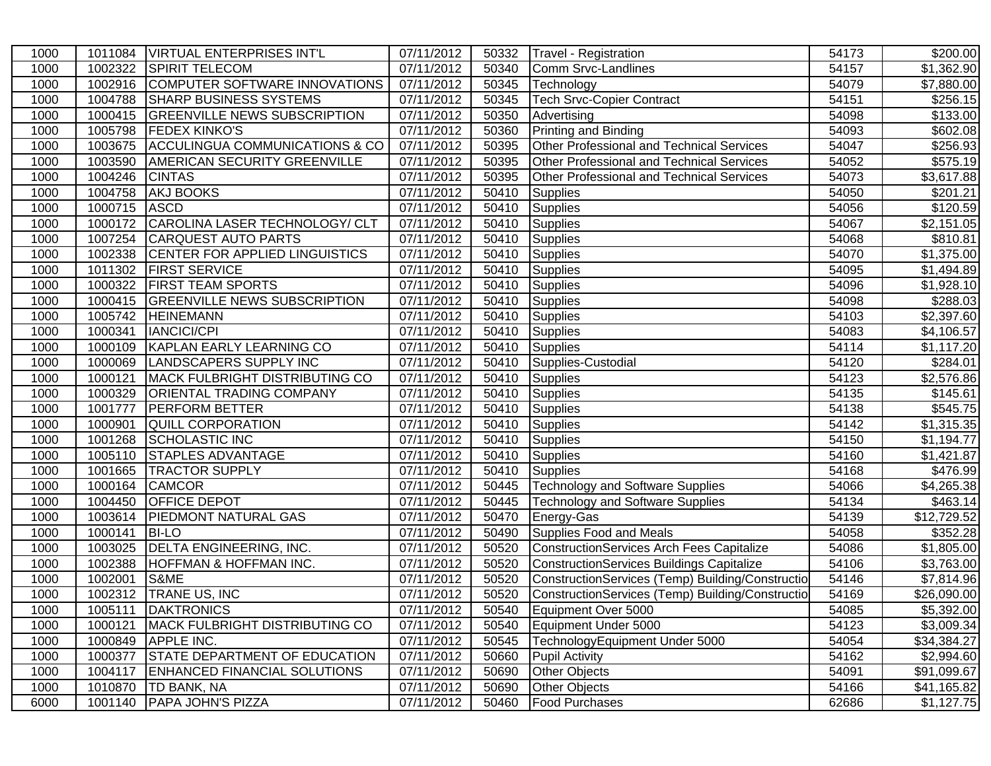| 1000 | 1011084      | <b>VIRTUAL ENTERPRISES INT'L</b>       | 07/11/2012 | 50332 | Travel - Registration                            | 54173 | \$200.00              |
|------|--------------|----------------------------------------|------------|-------|--------------------------------------------------|-------|-----------------------|
| 1000 | 1002322      | <b>SPIRIT TELECOM</b>                  | 07/11/2012 | 50340 | Comm Srvc-Landlines                              | 54157 | \$1,362.90            |
| 1000 | 1002916      | COMPUTER SOFTWARE INNOVATIONS          | 07/11/2012 | 50345 | Technology                                       | 54079 | \$7,880.00            |
| 1000 | 1004788      | <b>SHARP BUSINESS SYSTEMS</b>          | 07/11/2012 | 50345 | <b>Tech Srvc-Copier Contract</b>                 | 54151 | \$256.15              |
| 1000 | 1000415      | <b>GREENVILLE NEWS SUBSCRIPTION</b>    | 07/11/2012 | 50350 | Advertising                                      | 54098 | \$133.00              |
| 1000 | 1005798      | <b>FEDEX KINKO'S</b>                   | 07/11/2012 | 50360 | <b>Printing and Binding</b>                      | 54093 | \$602.08              |
| 1000 |              | 1003675 ACCULINGUA COMMUNICATIONS & CO | 07/11/2012 | 50395 | Other Professional and Technical Services        | 54047 | \$256.93              |
| 1000 | 1003590      | <b>AMERICAN SECURITY GREENVILLE</b>    | 07/11/2012 | 50395 | <b>Other Professional and Technical Services</b> | 54052 | \$575.19              |
| 1000 | 1004246      | <b>CINTAS</b>                          | 07/11/2012 | 50395 | <b>Other Professional and Technical Services</b> | 54073 | \$3,617.88            |
| 1000 | 1004758      | <b>AKJ BOOKS</b>                       | 07/11/2012 | 50410 | <b>Supplies</b>                                  | 54050 | \$201.21              |
| 1000 | 1000715 ASCD |                                        | 07/11/2012 | 50410 | Supplies                                         | 54056 | \$120.59              |
| 1000 |              | 1000172 CAROLINA LASER TECHNOLOGY/ CLT | 07/11/2012 | 50410 | Supplies                                         | 54067 | \$2,151.05            |
| 1000 | 1007254      | <b>CARQUEST AUTO PARTS</b>             | 07/11/2012 | 50410 | Supplies                                         | 54068 | \$810.81              |
| 1000 | 1002338      | <b>CENTER FOR APPLIED LINGUISTICS</b>  | 07/11/2012 | 50410 | Supplies                                         | 54070 | \$1,375.00            |
| 1000 | 1011302      | <b>FIRST SERVICE</b>                   | 07/11/2012 | 50410 | Supplies                                         | 54095 | \$1,494.89            |
| 1000 | 1000322      | <b>FIRST TEAM SPORTS</b>               | 07/11/2012 | 50410 | Supplies                                         | 54096 | \$1,928.10            |
| 1000 | 1000415      | <b>GREENVILLE NEWS SUBSCRIPTION</b>    | 07/11/2012 | 50410 | <b>Supplies</b>                                  | 54098 | \$288.03              |
| 1000 | 1005742      | <b>HEINEMANN</b>                       | 07/11/2012 | 50410 | <b>Supplies</b>                                  | 54103 | \$2,397.60            |
| 1000 | 1000341      | <b>IANCICI/CPI</b>                     | 07/11/2012 | 50410 | <b>Supplies</b>                                  | 54083 | \$4,106.57            |
| 1000 | 1000109      | KAPLAN EARLY LEARNING CO               | 07/11/2012 | 50410 | Supplies                                         | 54114 | \$1,117.20            |
| 1000 | 1000069      | LANDSCAPERS SUPPLY INC                 | 07/11/2012 | 50410 | Supplies-Custodial                               | 54120 | \$284.01              |
| 1000 | 1000121      | <b>MACK FULBRIGHT DISTRIBUTING CO</b>  | 07/11/2012 | 50410 | <b>Supplies</b>                                  | 54123 | \$2,576.86            |
| 1000 | 1000329      | <b>ORIENTAL TRADING COMPANY</b>        | 07/11/2012 | 50410 | Supplies                                         | 54135 | \$145.61              |
| 1000 | 1001777      | <b>PERFORM BETTER</b>                  | 07/11/2012 | 50410 | Supplies                                         | 54138 | \$545.75              |
| 1000 | 1000901      | <b>QUILL CORPORATION</b>               | 07/11/2012 | 50410 | Supplies                                         | 54142 | \$1,315.35            |
| 1000 | 1001268      | SCHOLASTIC INC                         | 07/11/2012 | 50410 | Supplies                                         | 54150 | \$1,194.77            |
| 1000 | 1005110      | <b>STAPLES ADVANTAGE</b>               | 07/11/2012 | 50410 | Supplies                                         | 54160 | \$1,421.87            |
| 1000 |              | 1001665 TRACTOR SUPPLY                 | 07/11/2012 | 50410 | <b>Supplies</b>                                  | 54168 | \$476.99              |
| 1000 |              | 1000164 CAMCOR                         | 07/11/2012 | 50445 | Technology and Software Supplies                 | 54066 | $\overline{4,}265.38$ |
| 1000 |              | 1004450 OFFICE DEPOT                   | 07/11/2012 | 50445 | <b>Technology and Software Supplies</b>          | 54134 | $\overline{$}463.14$  |
| 1000 |              | 1003614   PIEDMONT NATURAL GAS         | 07/11/2012 | 50470 | Energy-Gas                                       | 54139 | \$12,729.52           |
| 1000 | 1000141      | <b>BI-LO</b>                           | 07/11/2012 | 50490 | Supplies Food and Meals                          | 54058 | 352.28                |
| 1000 |              | 1003025   DELTA ENGINEERING, INC.      | 07/11/2012 | 50520 | <b>ConstructionServices Arch Fees Capitalize</b> | 54086 | \$1,805.00            |
| 1000 | 1002388      | <b>HOFFMAN &amp; HOFFMAN INC.</b>      | 07/11/2012 | 50520 | <b>ConstructionServices Buildings Capitalize</b> | 54106 | \$3,763.00            |
| 1000 | 1002001      | S&ME                                   | 07/11/2012 | 50520 | ConstructionServices (Temp) Building/Constructio | 54146 | \$7,814.96            |
| 1000 |              | 1002312   TRANE US, INC                | 07/11/2012 | 50520 | ConstructionServices (Temp) Building/Constructio | 54169 | \$26,090.00           |
| 1000 |              | 1005111  DAKTRONICS                    | 07/11/2012 | 50540 | Equipment Over 5000                              | 54085 | \$5,392.00            |
| 1000 | 1000121      | <b>MACK FULBRIGHT DISTRIBUTING CO</b>  | 07/11/2012 | 50540 | Equipment Under 5000                             | 54123 | \$3,009.34            |
| 1000 |              | 1000849 APPLE INC.                     | 07/11/2012 | 50545 | TechnologyEquipment Under 5000                   | 54054 | \$34,384.27           |
| 1000 | 1000377      | <b>STATE DEPARTMENT OF EDUCATION</b>   | 07/11/2012 | 50660 | <b>Pupil Activity</b>                            | 54162 | \$2,994.60            |
| 1000 | 1004117      | <b>ENHANCED FINANCIAL SOLUTIONS</b>    | 07/11/2012 | 50690 | <b>Other Objects</b>                             | 54091 | \$91,099.67           |
| 1000 | 1010870      | <b>TD BANK, NA</b>                     | 07/11/2012 | 50690 | <b>Other Objects</b>                             | 54166 | \$41,165.82           |
| 6000 | 1001140      | <b>PAPA JOHN'S PIZZA</b>               | 07/11/2012 | 50460 | <b>Food Purchases</b>                            | 62686 | \$1,127.75            |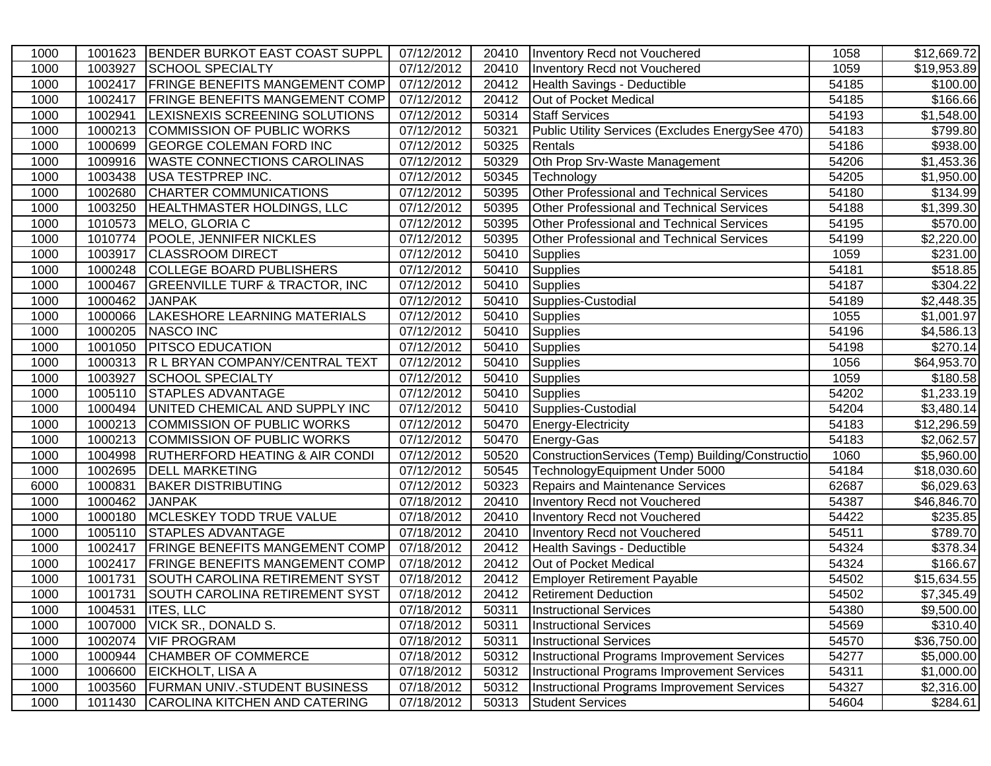| 1000 | 1001623 | BENDER BURKOT EAST COAST SUPPL            | 07/12/2012 | 20410 | Inventory Recd not Vouchered                     | 1058  | \$12,669.72            |
|------|---------|-------------------------------------------|------------|-------|--------------------------------------------------|-------|------------------------|
| 1000 | 1003927 | <b>SCHOOL SPECIALTY</b>                   | 07/12/2012 | 20410 | Inventory Recd not Vouchered                     | 1059  | \$19,953.89            |
| 1000 | 1002417 | <b>FRINGE BENEFITS MANGEMENT COMP</b>     | 07/12/2012 | 20412 | Health Savings - Deductible                      | 54185 | \$100.00               |
| 1000 | 1002417 | <b>FRINGE BENEFITS MANGEMENT COMP</b>     | 07/12/2012 | 20412 | Out of Pocket Medical                            | 54185 | \$166.66               |
| 1000 | 1002941 | LEXISNEXIS SCREENING SOLUTIONS            | 07/12/2012 | 50314 | <b>Staff Services</b>                            | 54193 | \$1,548.00             |
| 1000 | 1000213 | COMMISSION OF PUBLIC WORKS                | 07/12/2012 | 50321 | Public Utility Services (Excludes EnergySee 470) | 54183 | \$799.80               |
| 1000 |         | 1000699 GEORGE COLEMAN FORD INC           | 07/12/2012 | 50325 | Rentals                                          | 54186 | \$938.00               |
| 1000 |         | 1009916   WASTE CONNECTIONS CAROLINAS     | 07/12/2012 | 50329 | Oth Prop Srv-Waste Management                    | 54206 | \$1,453.36             |
| 1000 | 1003438 | USA TESTPREP INC.                         | 07/12/2012 | 50345 | Technology                                       | 54205 | \$1,950.00             |
| 1000 | 1002680 | <b>CHARTER COMMUNICATIONS</b>             | 07/12/2012 | 50395 | Other Professional and Technical Services        | 54180 | \$134.99               |
| 1000 | 1003250 | <b>HEALTHMASTER HOLDINGS, LLC</b>         | 07/12/2012 | 50395 | Other Professional and Technical Services        | 54188 | \$1,399.30             |
| 1000 |         | 1010573 MELO, GLORIA C                    | 07/12/2012 | 50395 | Other Professional and Technical Services        | 54195 | \$570.00               |
| 1000 | 1010774 | POOLE, JENNIFER NICKLES                   | 07/12/2012 | 50395 | <b>Other Professional and Technical Services</b> | 54199 | \$2,220.00             |
| 1000 | 1003917 | <b>CLASSROOM DIRECT</b>                   | 07/12/2012 | 50410 | <b>Supplies</b>                                  | 1059  | \$231.00               |
| 1000 | 1000248 | COLLEGE BOARD PUBLISHERS                  | 07/12/2012 | 50410 | Supplies                                         | 54181 | \$518.85               |
| 1000 | 1000467 | <b>GREENVILLE TURF &amp; TRACTOR, INC</b> | 07/12/2012 | 50410 | Supplies                                         | 54187 | \$304.22               |
| 1000 | 1000462 | <b>JANPAK</b>                             | 07/12/2012 | 50410 | Supplies-Custodial                               | 54189 | \$2,448.35             |
| 1000 | 1000066 | LAKESHORE LEARNING MATERIALS              | 07/12/2012 | 50410 | <b>Supplies</b>                                  | 1055  | \$1,001.97             |
| 1000 | 1000205 | NASCO INC                                 | 07/12/2012 | 50410 | <b>Supplies</b>                                  | 54196 | \$4,586.13             |
| 1000 | 1001050 | <b>PITSCO EDUCATION</b>                   | 07/12/2012 | 50410 | <b>Supplies</b>                                  | 54198 | \$270.14]              |
| 1000 | 1000313 | R L BRYAN COMPANY/CENTRAL TEXT            | 07/12/2012 | 50410 | <b>Supplies</b>                                  | 1056  | \$64,953.70            |
| 1000 | 1003927 | <b>SCHOOL SPECIALTY</b>                   | 07/12/2012 | 50410 | <b>Supplies</b>                                  | 1059  | \$180.58               |
| 1000 |         | 1005110 STAPLES ADVANTAGE                 | 07/12/2012 | 50410 | Supplies                                         | 54202 | \$1,233.19             |
| 1000 |         | 1000494 UNITED CHEMICAL AND SUPPLY INC    | 07/12/2012 | 50410 | Supplies-Custodial                               | 54204 | \$3,480.14             |
| 1000 |         | 1000213 COMMISSION OF PUBLIC WORKS        | 07/12/2012 | 50470 | Energy-Electricity                               | 54183 | \$12,296.59            |
| 1000 |         | 1000213 COMMISSION OF PUBLIC WORKS        | 07/12/2012 | 50470 | Energy-Gas                                       | 54183 | \$2,062.57             |
| 1000 | 1004998 | <b>RUTHERFORD HEATING &amp; AIR CONDI</b> | 07/12/2012 | 50520 | ConstructionServices (Temp) Building/Constructio | 1060  | \$5,960.00             |
| 1000 |         | 1002695  DELL MARKETING                   | 07/12/2012 | 50545 | TechnologyEquipment Under 5000                   | 54184 | \$18,030.60            |
| 6000 | 1000831 | <b>BAKER DISTRIBUTING</b>                 | 07/12/2012 | 50323 | Repairs and Maintenance Services                 | 62687 | $\overline{$6,029.63}$ |
| 1000 | 1000462 | <b>JANPAK</b>                             | 07/18/2012 | 20410 | Inventory Recd not Vouchered                     | 54387 | \$46,846.70            |
| 1000 |         | 1000180 MCLESKEY TODD TRUE VALUE          | 07/18/2012 | 20410 | Inventory Recd not Vouchered                     | 54422 | $\overline{$}235.85$   |
| 1000 |         | 1005110 STAPLES ADVANTAGE                 | 07/18/2012 | 20410 | Inventory Recd not Vouchered                     | 54511 | \$789.70               |
| 1000 |         | 1002417   FRINGE BENEFITS MANGEMENT COMP  | 07/18/2012 | 20412 | Health Savings - Deductible                      | 54324 | \$378.34               |
| 1000 | 1002417 | <b>FRINGE BENEFITS MANGEMENT COMP</b>     | 07/18/2012 | 20412 | Out of Pocket Medical                            | 54324 | \$166.67               |
| 1000 | 1001731 | SOUTH CAROLINA RETIREMENT SYST            | 07/18/2012 | 20412 | <b>Employer Retirement Payable</b>               | 54502 | \$15,634.55            |
| 1000 | 1001731 | SOUTH CAROLINA RETIREMENT SYST            | 07/18/2012 | 20412 | <b>Retirement Deduction</b>                      | 54502 | \$7,345.49             |
| 1000 |         | 1004531   ITES, LLC                       | 07/18/2012 | 50311 | Instructional Services                           | 54380 | \$9,500.00             |
| 1000 | 1007000 | VICK SR., DONALD S.                       | 07/18/2012 | 50311 | <b>Instructional Services</b>                    | 54569 | \$310.40]              |
| 1000 | 1002074 | <b>VIF PROGRAM</b>                        | 07/18/2012 | 50311 | <b>Instructional Services</b>                    | 54570 | \$36,750.00            |
| 1000 | 1000944 | <b>CHAMBER OF COMMERCE</b>                | 07/18/2012 | 50312 | Instructional Programs Improvement Services      | 54277 | \$5,000.00             |
| 1000 | 1006600 | <b>EICKHOLT, LISA A</b>                   | 07/18/2012 | 50312 | Instructional Programs Improvement Services      | 54311 | \$1,000.00             |
| 1000 | 1003560 | <b>FURMAN UNIV.-STUDENT BUSINESS</b>      | 07/18/2012 | 50312 | Instructional Programs Improvement Services      | 54327 | \$2,316.00             |
| 1000 | 1011430 | CAROLINA KITCHEN AND CATERING             | 07/18/2012 | 50313 | <b>Student Services</b>                          | 54604 | \$284.61               |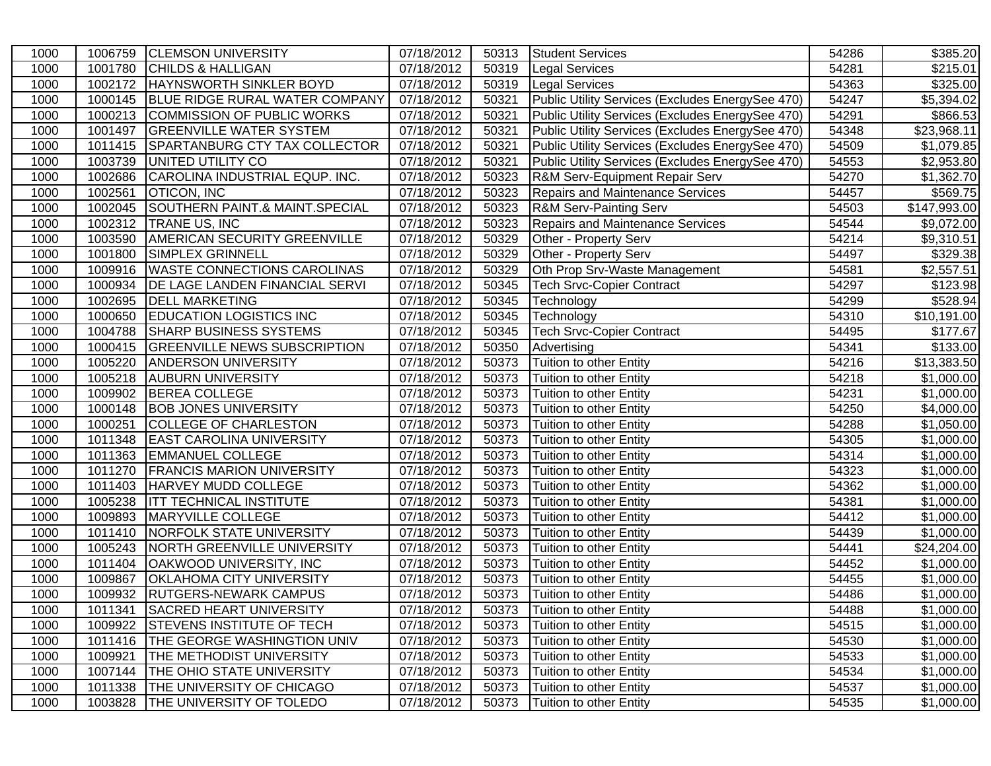| 1000 | 1006759 | <b>CLEMSON UNIVERSITY</b>             | 07/18/2012 | 50313 | <b>Student Services</b>                          | 54286 | \$385.20     |
|------|---------|---------------------------------------|------------|-------|--------------------------------------------------|-------|--------------|
| 1000 | 1001780 | <b>CHILDS &amp; HALLIGAN</b>          | 07/18/2012 | 50319 | <b>Legal Services</b>                            | 54281 | \$215.01     |
| 1000 | 1002172 | <b>HAYNSWORTH SINKLER BOYD</b>        | 07/18/2012 | 50319 | <b>Legal Services</b>                            | 54363 | \$325.00     |
| 1000 | 1000145 | <b>BLUE RIDGE RURAL WATER COMPANY</b> | 07/18/2012 | 50321 | Public Utility Services (Excludes EnergySee 470) | 54247 | \$5,394.02   |
| 1000 | 1000213 | COMMISSION OF PUBLIC WORKS            | 07/18/2012 | 50321 | Public Utility Services (Excludes EnergySee 470) | 54291 | \$866.53     |
| 1000 | 1001497 | <b>GREENVILLE WATER SYSTEM</b>        | 07/18/2012 | 50321 | Public Utility Services (Excludes EnergySee 470) | 54348 | \$23,968.11  |
| 1000 |         | 1011415 SPARTANBURG CTY TAX COLLECTOR | 07/18/2012 | 50321 | Public Utility Services (Excludes EnergySee 470) | 54509 | \$1,079.85   |
| 1000 |         | 1003739 UNITED UTILITY CO             | 07/18/2012 | 50321 | Public Utility Services (Excludes EnergySee 470) | 54553 | \$2,953.80   |
| 1000 | 1002686 | CAROLINA INDUSTRIAL EQUP. INC.        | 07/18/2012 | 50323 | R&M Serv-Equipment Repair Serv                   | 54270 | \$1,362.70   |
| 1000 | 1002561 | <b>OTICON, INC</b>                    | 07/18/2012 | 50323 | Repairs and Maintenance Services                 | 54457 | \$569.75     |
| 1000 | 1002045 | SOUTHERN PAINT.& MAINT.SPECIAL        | 07/18/2012 | 50323 | <b>R&amp;M Serv-Painting Serv</b>                | 54503 | \$147,993.00 |
| 1000 | 1002312 | <b>TRANE US, INC</b>                  | 07/18/2012 | 50323 | <b>Repairs and Maintenance Services</b>          | 54544 | \$9,072.00   |
| 1000 | 1003590 | <b>AMERICAN SECURITY GREENVILLE</b>   | 07/18/2012 | 50329 | Other - Property Serv                            | 54214 | \$9,310.51   |
| 1000 | 1001800 | <b>SIMPLEX GRINNELL</b>               | 07/18/2012 | 50329 | Other - Property Serv                            | 54497 | \$329.38     |
| 1000 | 1009916 | <b>WASTE CONNECTIONS CAROLINAS</b>    | 07/18/2012 | 50329 | Oth Prop Srv-Waste Management                    | 54581 | \$2,557.51   |
| 1000 | 1000934 | <b>DE LAGE LANDEN FINANCIAL SERVI</b> | 07/18/2012 | 50345 | <b>Tech Srvc-Copier Contract</b>                 | 54297 | \$123.98     |
| 1000 | 1002695 | <b>DELL MARKETING</b>                 | 07/18/2012 | 50345 | Technology                                       | 54299 | \$528.94     |
| 1000 | 1000650 | <b>EDUCATION LOGISTICS INC</b>        | 07/18/2012 | 50345 | Technology                                       | 54310 | \$10,191.00  |
| 1000 | 1004788 | <b>SHARP BUSINESS SYSTEMS</b>         | 07/18/2012 | 50345 | <b>Tech Srvc-Copier Contract</b>                 | 54495 | \$177.67     |
| 1000 | 1000415 | <b>GREENVILLE NEWS SUBSCRIPTION</b>   | 07/18/2012 | 50350 | Advertising                                      | 54341 | \$133.00     |
| 1000 | 1005220 | <b>ANDERSON UNIVERSITY</b>            | 07/18/2012 | 50373 | Tuition to other Entity                          | 54216 | \$13,383.50  |
| 1000 | 1005218 | <b>AUBURN UNIVERSITY</b>              | 07/18/2012 | 50373 | Tuition to other Entity                          | 54218 | \$1,000.00   |
| 1000 | 1009902 | <b>BEREA COLLEGE</b>                  | 07/18/2012 | 50373 | Tuition to other Entity                          | 54231 | \$1,000.00   |
| 1000 | 1000148 | <b>BOB JONES UNIVERSITY</b>           | 07/18/2012 | 50373 | Tuition to other Entity                          | 54250 | \$4,000.00   |
| 1000 | 1000251 | <b>COLLEGE OF CHARLESTON</b>          | 07/18/2012 | 50373 | Tuition to other Entity                          | 54288 | \$1,050.00   |
| 1000 | 1011348 | <b>EAST CAROLINA UNIVERSITY</b>       | 07/18/2012 | 50373 | Tuition to other Entity                          | 54305 | \$1,000.00   |
| 1000 | 1011363 | <b>EMMANUEL COLLEGE</b>               | 07/18/2012 | 50373 | Tuition to other Entity                          | 54314 | \$1,000.00   |
| 1000 | 1011270 | <b>FRANCIS MARION UNIVERSITY</b>      | 07/18/2012 | 50373 | Tuition to other Entity                          | 54323 | \$1,000.00   |
| 1000 | 1011403 | <b>HARVEY MUDD COLLEGE</b>            | 07/18/2012 | 50373 | Tuition to other Entity                          | 54362 | \$1,000.00   |
| 1000 | 1005238 | <b>ITT TECHNICAL INSTITUTE</b>        | 07/18/2012 | 50373 | Tuition to other Entity                          | 54381 | \$1,000.00   |
| 1000 | 1009893 | MARYVILLE COLLEGE                     | 07/18/2012 | 50373 | Tuition to other Entity                          | 54412 | \$1,000.00   |
| 1000 | 1011410 | NORFOLK STATE UNIVERSITY              | 07/18/2012 | 50373 | Tuition to other Entity                          | 54439 | \$1,000.00   |
| 1000 | 1005243 | NORTH GREENVILLE UNIVERSITY           | 07/18/2012 | 50373 | Tuition to other Entity                          | 54441 | \$24,204.00  |
| 1000 | 1011404 | <b>OAKWOOD UNIVERSITY, INC</b>        | 07/18/2012 | 50373 | Tuition to other Entity                          | 54452 | \$1,000.00   |
| 1000 | 1009867 | <b>OKLAHOMA CITY UNIVERSITY</b>       | 07/18/2012 | 50373 | Tuition to other Entity                          | 54455 | \$1,000.00   |
| 1000 | 1009932 | <b>RUTGERS-NEWARK CAMPUS</b>          | 07/18/2012 | 50373 | Tuition to other Entity                          | 54486 | \$1,000.00   |
| 1000 | 1011341 | SACRED HEART UNIVERSITY               | 07/18/2012 | 50373 | Tuition to other Entity                          | 54488 | \$1,000.00   |
| 1000 |         | 1009922 STEVENS INSTITUTE OF TECH     | 07/18/2012 | 50373 | Tuition to other Entity                          | 54515 | \$1,000.00   |
| 1000 |         | 1011416   THE GEORGE WASHINGTION UNIV | 07/18/2012 | 50373 | Tuition to other Entity                          | 54530 | \$1,000.00   |
| 1000 | 1009921 | <b>THE METHODIST UNIVERSITY</b>       | 07/18/2012 | 50373 | Tuition to other Entity                          | 54533 | \$1,000.00   |
| 1000 | 1007144 | THE OHIO STATE UNIVERSITY             | 07/18/2012 | 50373 | Tuition to other Entity                          | 54534 | \$1,000.00   |
| 1000 | 1011338 | THE UNIVERSITY OF CHICAGO             | 07/18/2012 | 50373 | Tuition to other Entity                          | 54537 | \$1,000.00   |
| 1000 | 1003828 | THE UNIVERSITY OF TOLEDO              | 07/18/2012 | 50373 | Tuition to other Entity                          | 54535 | \$1,000.00   |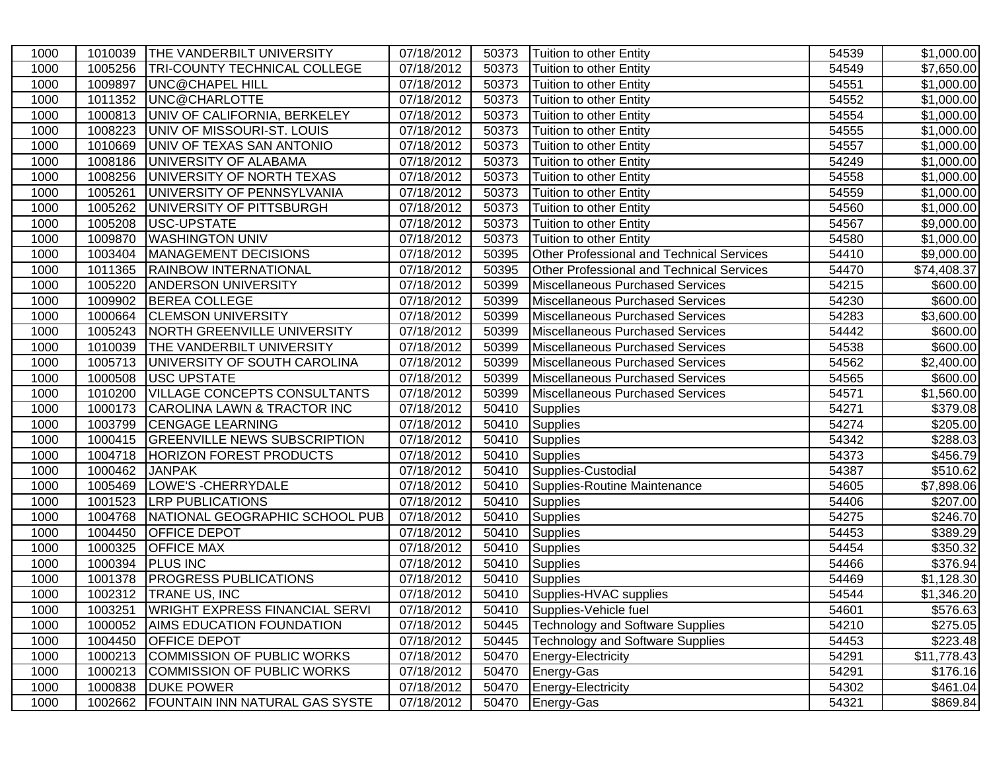| 1000 | 1010039 | <b>THE VANDERBILT UNIVERSITY</b>       | 07/18/2012 | 50373 | Tuition to other Entity                          | 54539 | \$1,000.00  |
|------|---------|----------------------------------------|------------|-------|--------------------------------------------------|-------|-------------|
| 1000 | 1005256 | <b>TRI-COUNTY TECHNICAL COLLEGE</b>    | 07/18/2012 | 50373 | Tuition to other Entity                          | 54549 | \$7,650.00  |
| 1000 | 1009897 | UNC@CHAPEL HILL                        | 07/18/2012 | 50373 | Tuition to other Entity                          | 54551 | \$1,000.00  |
| 1000 | 1011352 | UNC@CHARLOTTE                          | 07/18/2012 | 50373 | Tuition to other Entity                          | 54552 | \$1,000.00  |
| 1000 | 1000813 | UNIV OF CALIFORNIA, BERKELEY           | 07/18/2012 | 50373 | Tuition to other Entity                          | 54554 | \$1,000.00  |
| 1000 | 1008223 | UNIV OF MISSOURI-ST. LOUIS             | 07/18/2012 | 50373 | Tuition to other Entity                          | 54555 | \$1,000.00  |
| 1000 | 1010669 | UNIV OF TEXAS SAN ANTONIO              | 07/18/2012 | 50373 | Tuition to other Entity                          | 54557 | \$1,000.00  |
| 1000 | 1008186 | UNIVERSITY OF ALABAMA                  | 07/18/2012 | 50373 | Tuition to other Entity                          | 54249 | \$1,000.00  |
| 1000 | 1008256 | UNIVERSITY OF NORTH TEXAS              | 07/18/2012 | 50373 | Tuition to other Entity                          | 54558 | \$1,000.00  |
| 1000 | 1005261 | UNIVERSITY OF PENNSYLVANIA             | 07/18/2012 | 50373 | Tuition to other Entity                          | 54559 | \$1,000.00  |
| 1000 |         | 1005262 UNIVERSITY OF PITTSBURGH       | 07/18/2012 | 50373 | Tuition to other Entity                          | 54560 | \$1,000.00  |
| 1000 | 1005208 | USC-UPSTATE                            | 07/18/2012 | 50373 | Tuition to other Entity                          | 54567 | \$9,000.00  |
| 1000 | 1009870 | <b>WASHINGTON UNIV</b>                 | 07/18/2012 | 50373 | Tuition to other Entity                          | 54580 | \$1,000.00  |
| 1000 | 1003404 | MANAGEMENT DECISIONS                   | 07/18/2012 | 50395 | Other Professional and Technical Services        | 54410 | \$9,000.00  |
| 1000 | 1011365 | <b>RAINBOW INTERNATIONAL</b>           | 07/18/2012 | 50395 | <b>Other Professional and Technical Services</b> | 54470 | \$74,408.37 |
| 1000 | 1005220 | <b>ANDERSON UNIVERSITY</b>             | 07/18/2012 | 50399 | Miscellaneous Purchased Services                 | 54215 | \$600.00    |
| 1000 | 1009902 | <b>BEREA COLLEGE</b>                   | 07/18/2012 | 50399 | Miscellaneous Purchased Services                 | 54230 | \$600.00    |
| 1000 | 1000664 | <b>CLEMSON UNIVERSITY</b>              | 07/18/2012 | 50399 | Miscellaneous Purchased Services                 | 54283 | \$3,600.00  |
| 1000 | 1005243 | <b>NORTH GREENVILLE UNIVERSITY</b>     | 07/18/2012 | 50399 | Miscellaneous Purchased Services                 | 54442 | \$600.00    |
| 1000 | 1010039 | <b>THE VANDERBILT UNIVERSITY</b>       | 07/18/2012 | 50399 | Miscellaneous Purchased Services                 | 54538 | \$600.00    |
| 1000 | 1005713 | UNIVERSITY OF SOUTH CAROLINA           | 07/18/2012 | 50399 | Miscellaneous Purchased Services                 | 54562 | \$2,400.00  |
| 1000 | 1000508 | <b>USC UPSTATE</b>                     | 07/18/2012 | 50399 | Miscellaneous Purchased Services                 | 54565 | \$600.00    |
| 1000 | 1010200 | <b>VILLAGE CONCEPTS CONSULTANTS</b>    | 07/18/2012 | 50399 | Miscellaneous Purchased Services                 | 54571 | \$1,560.00  |
| 1000 |         | 1000173 CAROLINA LAWN & TRACTOR INC    | 07/18/2012 | 50410 | Supplies                                         | 54271 | \$379.08    |
| 1000 |         | 1003799 CENGAGE LEARNING               | 07/18/2012 | 50410 | Supplies                                         | 54274 | \$205.00    |
| 1000 |         | 1000415 GREENVILLE NEWS SUBSCRIPTION   | 07/18/2012 | 50410 | Supplies                                         | 54342 | \$288.03    |
| 1000 |         | 1004718 HORIZON FOREST PRODUCTS        | 07/18/2012 | 50410 | Supplies                                         | 54373 | \$456.79    |
| 1000 | 1000462 | <b>JANPAK</b>                          | 07/18/2012 | 50410 | Supplies-Custodial                               | 54387 | \$510.62    |
| 1000 | 1005469 | LOWE'S - CHERRYDALE                    | 07/18/2012 | 50410 | Supplies-Routine Maintenance                     | 54605 | \$7,898.06  |
| 1000 | 1001523 | <b>LRP PUBLICATIONS</b>                | 07/18/2012 | 50410 | Supplies                                         | 54406 | \$207.00    |
| 1000 | 1004768 | NATIONAL GEOGRAPHIC SCHOOL PUB         | 07/18/2012 | 50410 | Supplies                                         | 54275 | \$246.70    |
| 1000 | 1004450 | <b>OFFICE DEPOT</b>                    | 07/18/2012 | 50410 | Supplies                                         | 54453 | \$389.29    |
| 1000 | 1000325 | <b>OFFICE MAX</b>                      | 07/18/2012 | 50410 | Supplies                                         | 54454 | \$350.32    |
| 1000 | 1000394 | <b>PLUS INC</b>                        | 07/18/2012 | 50410 | Supplies                                         | 54466 | \$376.94    |
| 1000 | 1001378 | <b>PROGRESS PUBLICATIONS</b>           | 07/18/2012 | 50410 | <b>Supplies</b>                                  | 54469 | \$1,128.30  |
| 1000 |         | 1002312   TRANE US, INC                | 07/18/2012 | 50410 | Supplies-HVAC supplies                           | 54544 | \$1,346.20  |
| 1000 | 1003251 | <b>WRIGHT EXPRESS FINANCIAL SERVI</b>  | 07/18/2012 | 50410 | Supplies-Vehicle fuel                            | 54601 | \$576.63    |
| 1000 | 1000052 | <b>AIMS EDUCATION FOUNDATION</b>       | 07/18/2012 | 50445 | Technology and Software Supplies                 | 54210 | \$275.05    |
| 1000 |         | 1004450 OFFICE DEPOT                   | 07/18/2012 | 50445 | Technology and Software Supplies                 | 54453 | \$223.48    |
| 1000 |         | 1000213 COMMISSION OF PUBLIC WORKS     | 07/18/2012 | 50470 | Energy-Electricity                               | 54291 | \$11,778.43 |
| 1000 |         | 1000213 COMMISSION OF PUBLIC WORKS     | 07/18/2012 | 50470 | Energy-Gas                                       | 54291 | \$176.16    |
| 1000 | 1000838 | <b>DUKE POWER</b>                      | 07/18/2012 | 50470 | Energy-Electricity                               | 54302 | \$461.04    |
| 1000 |         | 1002662 FOUNTAIN INN NATURAL GAS SYSTE | 07/18/2012 | 50470 | Energy-Gas                                       | 54321 | \$869.84    |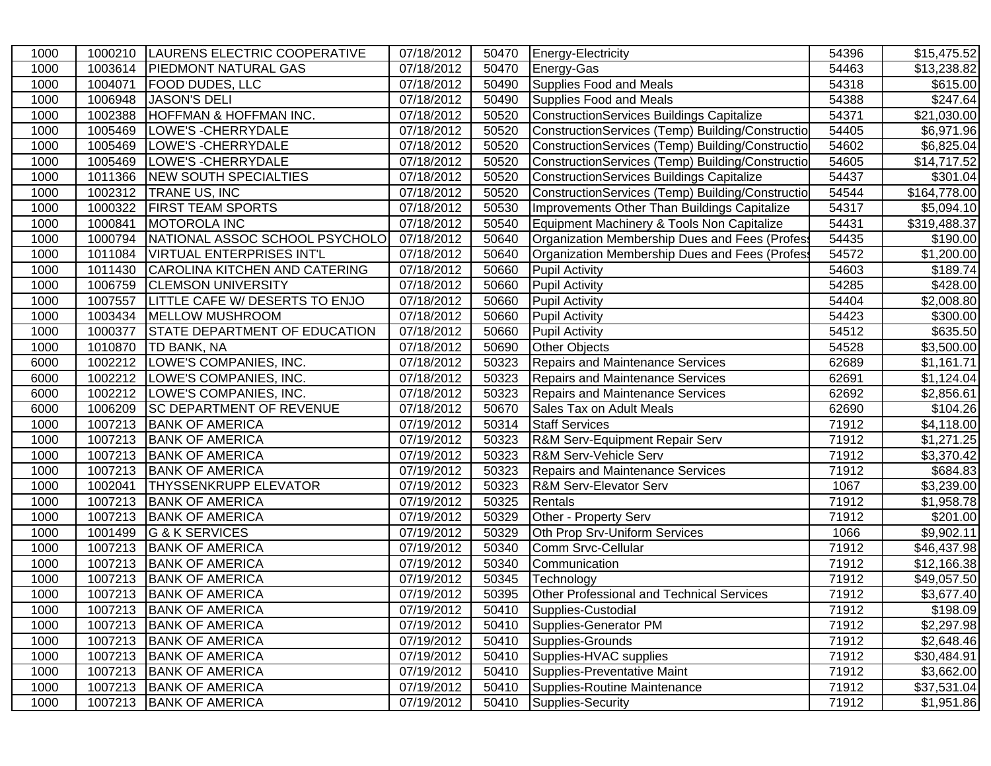| 1000 | 1000210 | LAURENS ELECTRIC COOPERATIVE          | 07/18/2012              | 50470 | Energy-Electricity                               | 54396 | \$15,475.52             |
|------|---------|---------------------------------------|-------------------------|-------|--------------------------------------------------|-------|-------------------------|
| 1000 | 1003614 | <b>PIEDMONT NATURAL GAS</b>           | 07/18/2012              | 50470 | Energy-Gas                                       | 54463 | \$13,238.82             |
| 1000 | 1004071 | <b>FOOD DUDES, LLC</b>                | 07/18/2012              | 50490 | Supplies Food and Meals                          | 54318 | \$615.00                |
| 1000 | 1006948 | <b>JASON'S DELI</b>                   | 07/18/2012              | 50490 | Supplies Food and Meals                          | 54388 | \$247.64                |
| 1000 | 1002388 | <b>HOFFMAN &amp; HOFFMAN INC.</b>     | 07/18/2012              | 50520 | ConstructionServices Buildings Capitalize        | 54371 | $\overline{$21,030.00}$ |
| 1000 | 1005469 | LOWE'S - CHERRYDALE                   | $\overline{07/18}/2012$ | 50520 | ConstructionServices (Temp) Building/Constructio | 54405 | \$6,971.96              |
| 1000 | 1005469 | LOWE'S - CHERRYDALE                   | 07/18/2012              | 50520 | ConstructionServices (Temp) Building/Constructio | 54602 | \$6,825.04              |
| 1000 | 1005469 | LOWE'S - CHERRYDALE                   | 07/18/2012              | 50520 | ConstructionServices (Temp) Building/Constructio | 54605 | \$14,717.52             |
| 1000 | 1011366 | NEW SOUTH SPECIALTIES                 | 07/18/2012              | 50520 | ConstructionServices Buildings Capitalize        | 54437 | \$301.04                |
| 1000 | 1002312 | TRANE US, INC                         | 07/18/2012              | 50520 | ConstructionServices (Temp) Building/Constructio | 54544 | \$164,778.00            |
| 1000 | 1000322 | <b>FIRST TEAM SPORTS</b>              | 07/18/2012              | 50530 | Improvements Other Than Buildings Capitalize     | 54317 | \$5,094.10              |
| 1000 | 1000841 | MOTOROLA INC                          | 07/18/2012              | 50540 | Equipment Machinery & Tools Non Capitalize       | 54431 | \$319,488.37            |
| 1000 | 1000794 | NATIONAL ASSOC SCHOOL PSYCHOLO        | 07/18/2012              | 50640 | Organization Membership Dues and Fees (Profes    | 54435 | \$190.00                |
| 1000 | 1011084 | VIRTUAL ENTERPRISES INT'L             | 07/18/2012              | 50640 | Organization Membership Dues and Fees (Profes    | 54572 | \$1,200.00              |
| 1000 | 1011430 | CAROLINA KITCHEN AND CATERING         | 07/18/2012              | 50660 | <b>Pupil Activity</b>                            | 54603 | \$189.74                |
| 1000 | 1006759 | <b>CLEMSON UNIVERSITY</b>             | 07/18/2012              | 50660 | <b>Pupil Activity</b>                            | 54285 | \$428.00                |
| 1000 | 1007557 | <b>LITTLE CAFE W/ DESERTS TO ENJO</b> | 07/18/2012              | 50660 | <b>Pupil Activity</b>                            | 54404 | \$2,008.80              |
| 1000 | 1003434 | <b>MELLOW MUSHROOM</b>                | 07/18/2012              | 50660 | <b>Pupil Activity</b>                            | 54423 | \$300.00                |
| 1000 | 1000377 | <b>STATE DEPARTMENT OF EDUCATION</b>  | 07/18/2012              | 50660 | <b>Pupil Activity</b>                            | 54512 | \$635.50                |
| 1000 | 1010870 | <b>TD BANK, NA</b>                    | 07/18/2012              | 50690 | <b>Other Objects</b>                             | 54528 | \$3,500.00              |
| 6000 | 1002212 | LOWE'S COMPANIES, INC.                | 07/18/2012              | 50323 | <b>Repairs and Maintenance Services</b>          | 62689 | \$1,161.71              |
| 6000 | 1002212 | LOWE'S COMPANIES, INC.                | 07/18/2012              | 50323 | <b>Repairs and Maintenance Services</b>          | 62691 | \$1,124.04              |
| 6000 |         | 1002212  LOWE'S COMPANIES, INC.       | 07/18/2012              | 50323 | <b>Repairs and Maintenance Services</b>          | 62692 | \$2,856.61              |
| 6000 | 1006209 | <b>SC DEPARTMENT OF REVENUE</b>       | 07/18/2012              | 50670 | Sales Tax on Adult Meals                         | 62690 | \$104.26                |
| 1000 | 1007213 | <b>BANK OF AMERICA</b>                | 07/19/2012              | 50314 | <b>Staff Services</b>                            | 71912 | \$4,118.00              |
| 1000 | 1007213 | <b>BANK OF AMERICA</b>                | 07/19/2012              | 50323 | R&M Serv-Equipment Repair Serv                   | 71912 | \$1,271.25              |
| 1000 |         | 1007213 BANK OF AMERICA               | 07/19/2012              | 50323 | R&M Serv-Vehicle Serv                            | 71912 | $\overline{$}3,370.42$  |
| 1000 |         | 1007213 BANK OF AMERICA               | 07/19/2012              | 50323 | Repairs and Maintenance Services                 | 71912 | \$684.83                |
| 1000 | 1002041 | <b>THYSSENKRUPP ELEVATOR</b>          | 07/19/2012              | 50323 | R&M Serv-Elevator Serv                           | 1067  | \$3,239.00              |
| 1000 | 1007213 | <b>BANK OF AMERICA</b>                | 07/19/2012              | 50325 | Rentals                                          | 71912 | $\overline{\$1,}958.78$ |
| 1000 |         | 1007213 BANK OF AMERICA               | 07/19/2012              | 50329 | Other - Property Serv                            | 71912 | \$201.00                |
| 1000 | 1001499 | G & K SERVICES                        | 07/19/2012              | 50329 | Oth Prop Srv-Uniform Services                    | 1066  | \$9,902.11              |
| 1000 | 1007213 | <b>BANK OF AMERICA</b>                | 07/19/2012              | 50340 | Comm Srvc-Cellular                               | 71912 | \$46,437.98             |
| 1000 | 1007213 | <b>BANK OF AMERICA</b>                | 07/19/2012              | 50340 | Communication                                    | 71912 | \$12,166.38             |
| 1000 | 1007213 | <b>BANK OF AMERICA</b>                | 07/19/2012              | 50345 | Technology                                       | 71912 | \$49,057.50             |
| 1000 | 1007213 | <b>BANK OF AMERICA</b>                | 07/19/2012              | 50395 | Other Professional and Technical Services        | 71912 | \$3,677.40              |
| 1000 |         | 1007213 BANK OF AMERICA               | 07/19/2012              | 50410 | Supplies-Custodial                               | 71912 | \$198.09                |
| 1000 |         | 1007213 BANK OF AMERICA               | 07/19/2012              | 50410 | Supplies-Generator PM                            | 71912 | \$2,297.98              |
| 1000 |         | 1007213 BANK OF AMERICA               | 07/19/2012              | 50410 | Supplies-Grounds                                 | 71912 | \$2,648.46              |
| 1000 |         | 1007213 BANK OF AMERICA               | 07/19/2012              | 50410 | Supplies-HVAC supplies                           | 71912 | \$30,484.91             |
| 1000 |         | 1007213 BANK OF AMERICA               | 07/19/2012              | 50410 | Supplies-Preventative Maint                      | 71912 | \$3,662.00              |
| 1000 | 1007213 | <b>BANK OF AMERICA</b>                | 07/19/2012              | 50410 | Supplies-Routine Maintenance                     | 71912 | \$37,531.04             |
| 1000 | 1007213 | <b>BANK OF AMERICA</b>                | 07/19/2012              | 50410 | Supplies-Security                                | 71912 | \$1,951.86              |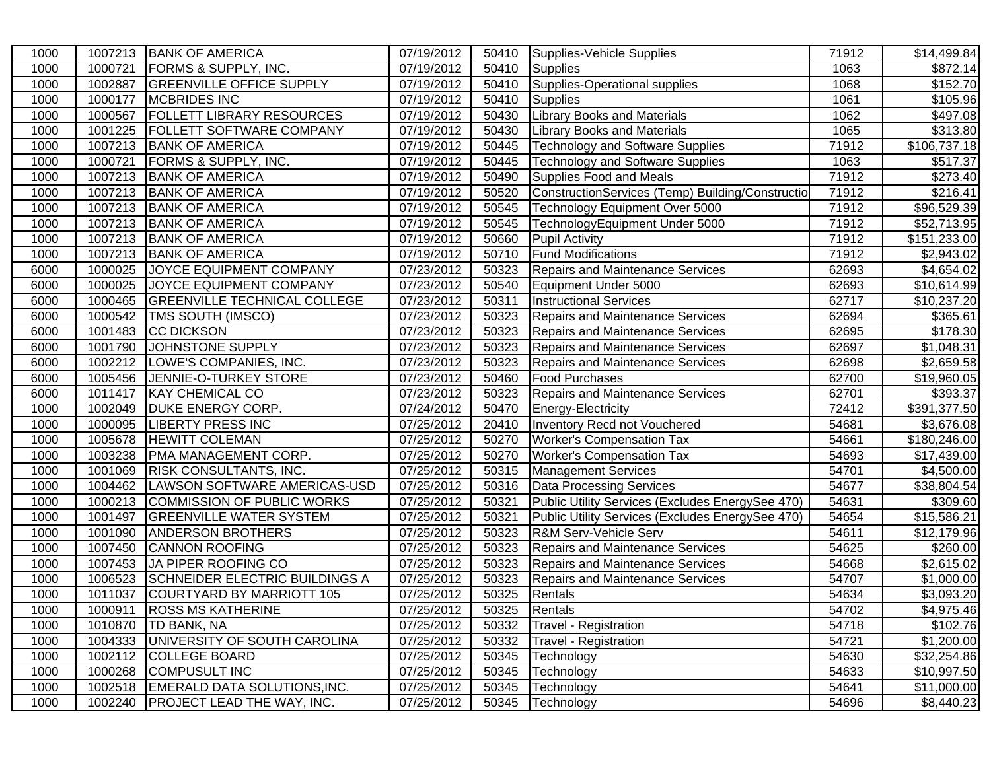| 1000 | 1007213 | <b>BANK OF AMERICA</b>                | 07/19/2012 | 50410 | Supplies-Vehicle Supplies                        | 71912 | \$14,499.84          |
|------|---------|---------------------------------------|------------|-------|--------------------------------------------------|-------|----------------------|
| 1000 | 1000721 | <b>FORMS &amp; SUPPLY, INC.</b>       | 07/19/2012 | 50410 | Supplies                                         | 1063  | \$872.14]            |
| 1000 | 1002887 | <b>GREENVILLE OFFICE SUPPLY</b>       | 07/19/2012 | 50410 | Supplies-Operational supplies                    | 1068  | \$152.70             |
| 1000 | 1000177 | <b>MCBRIDES INC</b>                   | 07/19/2012 | 50410 | <b>Supplies</b>                                  | 1061  | $\overline{$}105.96$ |
| 1000 | 1000567 | <b>FOLLETT LIBRARY RESOURCES</b>      | 07/19/2012 | 50430 | <b>Library Books and Materials</b>               | 1062  | \$497.08             |
| 1000 | 1001225 | <b>FOLLETT SOFTWARE COMPANY</b>       | 07/19/2012 | 50430 | <b>Library Books and Materials</b>               | 1065  | \$313.80             |
| 1000 | 1007213 | <b>BANK OF AMERICA</b>                | 07/19/2012 | 50445 | <b>Technology and Software Supplies</b>          | 71912 | \$106,737.18         |
| 1000 | 1000721 | <b>FORMS &amp; SUPPLY, INC.</b>       | 07/19/2012 | 50445 | <b>Technology and Software Supplies</b>          | 1063  | \$517.37             |
| 1000 | 1007213 | <b>BANK OF AMERICA</b>                | 07/19/2012 | 50490 | Supplies Food and Meals                          | 71912 | \$273.40             |
| 1000 |         | 1007213 BANK OF AMERICA               | 07/19/2012 | 50520 | ConstructionServices (Temp) Building/Constructio | 71912 | \$216.41             |
| 1000 |         | 1007213 BANK OF AMERICA               | 07/19/2012 | 50545 | Technology Equipment Over 5000                   | 71912 | \$96,529.39          |
| 1000 | 1007213 | <b>BANK OF AMERICA</b>                | 07/19/2012 | 50545 | TechnologyEquipment Under 5000                   | 71912 | \$52,713.95          |
| 1000 | 1007213 | <b>BANK OF AMERICA</b>                | 07/19/2012 | 50660 | <b>Pupil Activity</b>                            | 71912 | \$151,233.00         |
| 1000 | 1007213 | <b>BANK OF AMERICA</b>                | 07/19/2012 | 50710 | <b>Fund Modifications</b>                        | 71912 | \$2,943.02           |
| 6000 | 1000025 | JOYCE EQUIPMENT COMPANY               | 07/23/2012 | 50323 | <b>Repairs and Maintenance Services</b>          | 62693 | \$4,654.02           |
| 6000 | 1000025 | JOYCE EQUIPMENT COMPANY               | 07/23/2012 | 50540 | Equipment Under 5000                             | 62693 | \$10,614.99          |
| 6000 | 1000465 | <b>GREENVILLE TECHNICAL COLLEGE</b>   | 07/23/2012 | 50311 | <b>Instructional Services</b>                    | 62717 | \$10,237.20          |
| 6000 | 1000542 | TMS SOUTH (IMSCO)                     | 07/23/2012 | 50323 | <b>Repairs and Maintenance Services</b>          | 62694 | \$365.61             |
| 6000 | 1001483 | CC DICKSON                            | 07/23/2012 | 50323 | <b>Repairs and Maintenance Services</b>          | 62695 | \$178.30             |
| 6000 | 1001790 | JOHNSTONE SUPPLY                      | 07/23/2012 | 50323 | <b>Repairs and Maintenance Services</b>          | 62697 | \$1,048.31           |
| 6000 | 1002212 | LOWE'S COMPANIES, INC.                | 07/23/2012 | 50323 | <b>Repairs and Maintenance Services</b>          | 62698 | \$2,659.58           |
| 6000 | 1005456 | JENNIE-O-TURKEY STORE                 | 07/23/2012 | 50460 | <b>Food Purchases</b>                            | 62700 | \$19,960.05          |
| 6000 | 1011417 | <b>KAY CHEMICAL CO</b>                | 07/23/2012 | 50323 | Repairs and Maintenance Services                 | 62701 | \$393.37             |
| 1000 | 1002049 | <b>DUKE ENERGY CORP.</b>              | 07/24/2012 | 50470 | Energy-Electricity                               | 72412 | \$391,377.50         |
| 1000 | 1000095 | <b>LIBERTY PRESS INC</b>              | 07/25/2012 | 20410 | Inventory Recd not Vouchered                     | 54681 | \$3,676.08           |
| 1000 | 1005678 | <b>HEWITT COLEMAN</b>                 | 07/25/2012 | 50270 | <b>Worker's Compensation Tax</b>                 | 54661 | \$180,246.00         |
| 1000 | 1003238 | PMA MANAGEMENT CORP.                  | 07/25/2012 | 50270 | <b>Worker's Compensation Tax</b>                 | 54693 | \$17,439.00          |
| 1000 | 1001069 | <b>RISK CONSULTANTS, INC.</b>         | 07/25/2012 | 50315 | <b>Management Services</b>                       | 54701 | \$4,500.00           |
| 1000 | 1004462 | LAWSON SOFTWARE AMERICAS-USD          | 07/25/2012 | 50316 | Data Processing Services                         | 54677 | \$38,804.54          |
| 1000 | 1000213 | COMMISSION OF PUBLIC WORKS            | 07/25/2012 | 50321 | Public Utility Services (Excludes EnergySee 470) | 54631 | \$309.60             |
| 1000 | 1001497 | <b>GREENVILLE WATER SYSTEM</b>        | 07/25/2012 | 50321 | Public Utility Services (Excludes EnergySee 470) | 54654 | \$15,586.21          |
| 1000 | 1001090 | <b>ANDERSON BROTHERS</b>              | 07/25/2012 | 50323 | R&M Serv-Vehicle Serv                            | 54611 | \$12,179.96          |
| 1000 | 1007450 | <b>CANNON ROOFING</b>                 | 07/25/2012 | 50323 | <b>Repairs and Maintenance Services</b>          | 54625 | \$260.00             |
| 1000 | 1007453 | JA PIPER ROOFING CO                   | 07/25/2012 | 50323 | <b>Repairs and Maintenance Services</b>          | 54668 | \$2,615.02           |
| 1000 | 1006523 | <b>SCHNEIDER ELECTRIC BUILDINGS A</b> | 07/25/2012 | 50323 | <b>Repairs and Maintenance Services</b>          | 54707 | \$1,000.00           |
| 1000 | 1011037 | COURTYARD BY MARRIOTT 105             | 07/25/2012 | 50325 | Rentals                                          | 54634 | \$3,093.20           |
| 1000 | 1000911 | <b>ROSS MS KATHERINE</b>              | 07/25/2012 | 50325 | Rentals                                          | 54702 | \$4,975.46           |
| 1000 | 1010870 | <b>TD BANK, NA</b>                    | 07/25/2012 | 50332 | Travel - Registration                            | 54718 | \$102.76             |
| 1000 | 1004333 | UNIVERSITY OF SOUTH CAROLINA          | 07/25/2012 | 50332 | Travel - Registration                            | 54721 | \$1,200.00           |
| 1000 | 1002112 | <b>COLLEGE BOARD</b>                  | 07/25/2012 | 50345 | Technology                                       | 54630 | \$32,254.86          |
| 1000 | 1000268 | <b>COMPUSULT INC</b>                  | 07/25/2012 | 50345 | Technology                                       | 54633 | \$10,997.50          |
| 1000 | 1002518 | EMERALD DATA SOLUTIONS, INC.          | 07/25/2012 | 50345 | Technology                                       | 54641 | \$11,000.00          |
| 1000 | 1002240 | <b>PROJECT LEAD THE WAY, INC.</b>     | 07/25/2012 | 50345 | Technology                                       | 54696 | \$8,440.23           |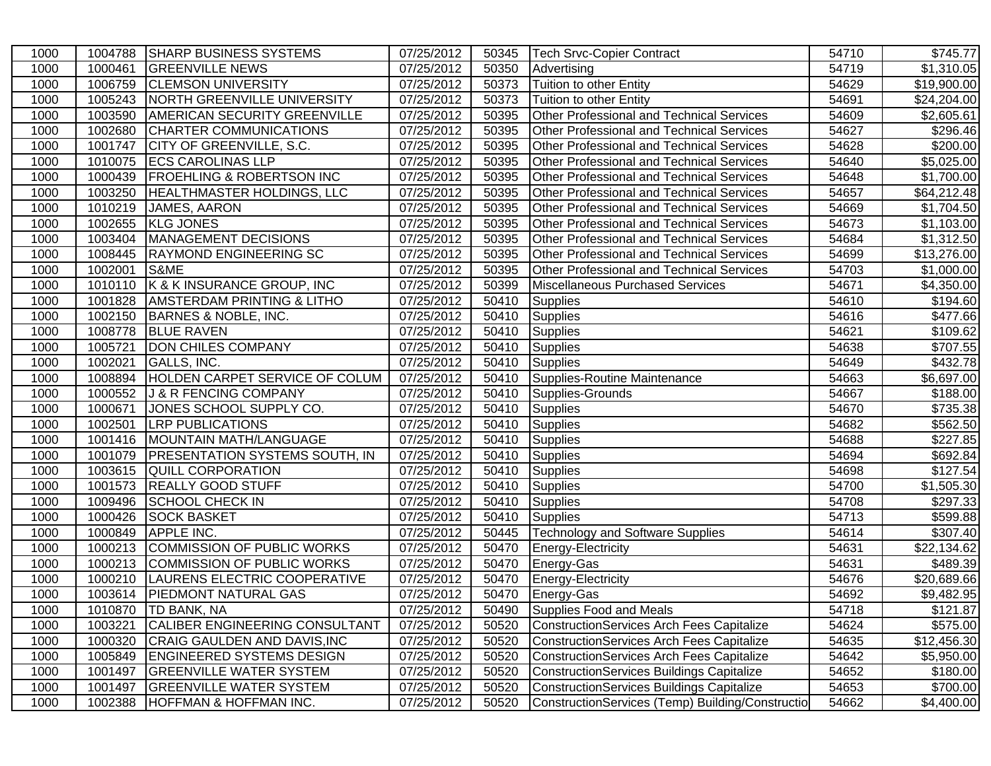| 1000 | 1004788 | <b>SHARP BUSINESS SYSTEMS</b>            | 07/25/2012              | 50345 | <b>Tech Srvc-Copier Contract</b>                 | 54710 | $\overline{$}745.77$ |
|------|---------|------------------------------------------|-------------------------|-------|--------------------------------------------------|-------|----------------------|
| 1000 | 1000461 | <b>GREENVILLE NEWS</b>                   | 07/25/2012              | 50350 | Advertising                                      | 54719 | \$1,310.05           |
| 1000 | 1006759 | <b>CLEMSON UNIVERSITY</b>                | 07/25/2012              | 50373 | Tuition to other Entity                          | 54629 | \$19,900.00          |
| 1000 | 1005243 | <b>NORTH GREENVILLE UNIVERSITY</b>       | 07/25/2012              | 50373 | Tuition to other Entity                          | 54691 | \$24,204.00          |
| 1000 | 1003590 | <b>AMERICAN SECURITY GREENVILLE</b>      | 07/25/2012              | 50395 | Other Professional and Technical Services        | 54609 | \$2,605.61           |
| 1000 | 1002680 | CHARTER COMMUNICATIONS                   | 07/25/2012              | 50395 | Other Professional and Technical Services        | 54627 | \$296.46             |
| 1000 | 1001747 | CITY OF GREENVILLE, S.C.                 | 07/25/2012              | 50395 | <b>Other Professional and Technical Services</b> | 54628 | \$200.00             |
| 1000 |         | 1010075 ECS CAROLINAS LLP                | 07/25/2012              | 50395 | <b>Other Professional and Technical Services</b> | 54640 | \$5,025.00           |
| 1000 | 1000439 | <b>FROEHLING &amp; ROBERTSON INC</b>     | 07/25/2012              | 50395 | <b>Other Professional and Technical Services</b> | 54648 | \$1,700.00           |
| 1000 | 1003250 | <b>HEALTHMASTER HOLDINGS, LLC</b>        | 07/25/2012              | 50395 | <b>Other Professional and Technical Services</b> | 54657 | \$64,212.48          |
| 1000 | 1010219 | JAMES, AARON                             | 07/25/2012              | 50395 | <b>Other Professional and Technical Services</b> | 54669 | \$1,704.50           |
| 1000 | 1002655 | <b>KLG JONES</b>                         | 07/25/2012              | 50395 | <b>Other Professional and Technical Services</b> | 54673 | \$1,103.00           |
| 1000 | 1003404 | MANAGEMENT DECISIONS                     | 07/25/2012              | 50395 | <b>Other Professional and Technical Services</b> | 54684 | \$1,312.50           |
| 1000 | 1008445 | <b>RAYMOND ENGINEERING SC</b>            | 07/25/2012              | 50395 | Other Professional and Technical Services        | 54699 | \$13,276.00          |
| 1000 | 1002001 | S&ME                                     | 07/25/2012              | 50395 | <b>Other Professional and Technical Services</b> | 54703 | \$1,000.00           |
| 1000 | 1010110 | K & K INSURANCE GROUP, INC               | 07/25/2012              | 50399 | <b>Miscellaneous Purchased Services</b>          | 54671 | \$4,350.00           |
| 1000 | 1001828 | <b>AMSTERDAM PRINTING &amp; LITHO</b>    | 07/25/2012              | 50410 | <b>Supplies</b>                                  | 54610 | \$194.60             |
| 1000 | 1002150 | <b>BARNES &amp; NOBLE, INC.</b>          | 07/25/2012              | 50410 | <b>Supplies</b>                                  | 54616 | \$477.66             |
| 1000 | 1008778 | <b>BLUE RAVEN</b>                        | 07/25/2012              | 50410 | Supplies                                         | 54621 | \$109.62             |
| 1000 | 1005721 | <b>DON CHILES COMPANY</b>                | 07/25/2012              | 50410 | Supplies                                         | 54638 | \$707.55             |
| 1000 | 1002021 | GALLS, INC.                              | 07/25/2012              | 50410 | Supplies                                         | 54649 | \$432.78             |
| 1000 | 1008894 | <b>HOLDEN CARPET SERVICE OF COLUM</b>    | 07/25/2012              | 50410 | Supplies-Routine Maintenance                     | 54663 | \$6,697.00           |
| 1000 | 1000552 | J & R FENCING COMPANY                    | 07/25/2012              | 50410 | Supplies-Grounds                                 | 54667 | \$188.00             |
| 1000 | 1000671 | JONES SCHOOL SUPPLY CO.                  | 07/25/2012              | 50410 | Supplies                                         | 54670 | \$735.38             |
| 1000 | 1002501 | <b>LRP PUBLICATIONS</b>                  | 07/25/2012              | 50410 | Supplies                                         | 54682 | \$562.50             |
| 1000 |         | 1001416   MOUNTAIN MATH/LANGUAGE         | 07/25/2012              | 50410 | Supplies                                         | 54688 | \$227.85             |
| 1000 |         | 1001079   PRESENTATION SYSTEMS SOUTH, IN | 07/25/2012              | 50410 | Supplies                                         | 54694 | \$692.84             |
| 1000 | 1003615 | <b>QUILL CORPORATION</b>                 | $\overline{07/25}/2012$ | 50410 | Supplies                                         | 54698 | \$127.54             |
| 1000 | 1001573 | <b>REALLY GOOD STUFF</b>                 | 07/25/2012              | 50410 | Supplies                                         | 54700 | \$1,505.30           |
| 1000 | 1009496 | <b>SCHOOL CHECK IN</b>                   | 07/25/2012              | 50410 | Supplies                                         | 54708 | \$297.33             |
| 1000 | 1000426 | <b>SOCK BASKET</b>                       | 07/25/2012              | 50410 | Supplies                                         | 54713 | \$599.88             |
| 1000 | 1000849 | <b>APPLE INC.</b>                        | 07/25/2012              | 50445 | <b>Technology and Software Supplies</b>          | 54614 | $\overline{$}307.40$ |
| 1000 | 1000213 | COMMISSION OF PUBLIC WORKS               | 07/25/2012              | 50470 | Energy-Electricity                               | 54631 | \$22,134.62          |
| 1000 | 1000213 | COMMISSION OF PUBLIC WORKS               | 07/25/2012              | 50470 | Energy-Gas                                       | 54631 | \$489.39             |
| 1000 | 1000210 | LAURENS ELECTRIC COOPERATIVE             | 07/25/2012              | 50470 | Energy-Electricity                               | 54676 | \$20,689.66          |
| 1000 |         | 1003614   PIEDMONT NATURAL GAS           | 07/25/2012              | 50470 | Energy-Gas                                       | 54692 | \$9,482.95           |
| 1000 |         | 1010870   TD BANK, NA                    | 07/25/2012              | 50490 | Supplies Food and Meals                          | 54718 | \$121.87             |
| 1000 | 1003221 | CALIBER ENGINEERING CONSULTANT           | 07/25/2012              | 50520 | ConstructionServices Arch Fees Capitalize        | 54624 | \$575.00             |
| 1000 | 1000320 | CRAIG GAULDEN AND DAVIS, INC             | 07/25/2012              | 50520 | ConstructionServices Arch Fees Capitalize        | 54635 | \$12,456.30          |
| 1000 | 1005849 | <b>ENGINEERED SYSTEMS DESIGN</b>         | 07/25/2012              | 50520 | ConstructionServices Arch Fees Capitalize        | 54642 | \$5,950.00           |
| 1000 | 1001497 | <b>GREENVILLE WATER SYSTEM</b>           | 07/25/2012              | 50520 | ConstructionServices Buildings Capitalize        | 54652 | \$180.00             |
| 1000 | 1001497 | <b>GREENVILLE WATER SYSTEM</b>           | 07/25/2012              | 50520 | ConstructionServices Buildings Capitalize        | 54653 | \$700.00             |
| 1000 | 1002388 | HOFFMAN & HOFFMAN INC.                   | 07/25/2012              | 50520 | ConstructionServices (Temp) Building/Constructio | 54662 | \$4,400.00           |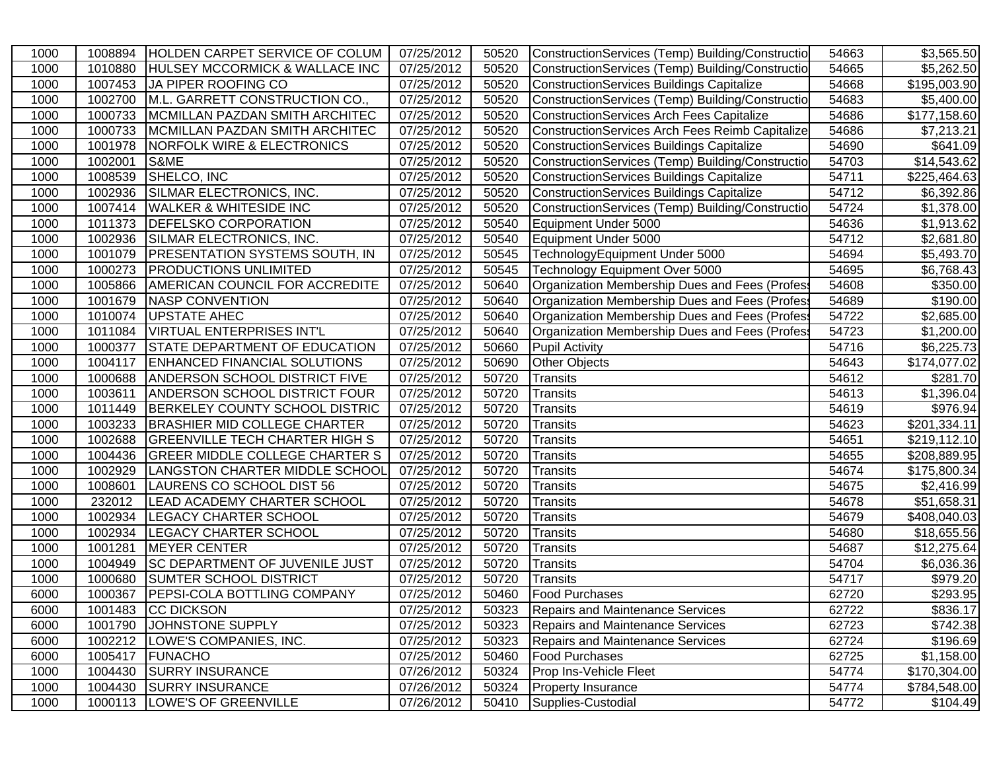| 1000 |         | 1008894 HOLDEN CARPET SERVICE OF COLUM    | 07/25/2012 | 50520 | ConstructionServices (Temp) Building/Constructio | 54663 | \$3,565.50               |
|------|---------|-------------------------------------------|------------|-------|--------------------------------------------------|-------|--------------------------|
| 1000 | 1010880 | <b>HULSEY MCCORMICK &amp; WALLACE INC</b> | 07/25/2012 | 50520 | ConstructionServices (Temp) Building/Constructio | 54665 | \$5,262.50               |
| 1000 | 1007453 | JA PIPER ROOFING CO                       | 07/25/2012 | 50520 | <b>ConstructionServices Buildings Capitalize</b> | 54668 | \$195,003.90             |
| 1000 | 1002700 | M.L. GARRETT CONSTRUCTION CO.,            | 07/25/2012 | 50520 | ConstructionServices (Temp) Building/Constructio | 54683 | \$5,400.00               |
| 1000 | 1000733 | MCMILLAN PAZDAN SMITH ARCHITEC            | 07/25/2012 | 50520 | <b>ConstructionServices Arch Fees Capitalize</b> | 54686 | \$177,158.60             |
| 1000 | 1000733 | MCMILLAN PAZDAN SMITH ARCHITEC            | 07/25/2012 | 50520 | ConstructionServices Arch Fees Reimb Capitalize  | 54686 | \$7,213.21               |
| 1000 | 1001978 | <b>NORFOLK WIRE &amp; ELECTRONICS</b>     | 07/25/2012 | 50520 | ConstructionServices Buildings Capitalize        | 54690 | \$641.09                 |
| 1000 | 1002001 | S&ME                                      | 07/25/2012 | 50520 | ConstructionServices (Temp) Building/Constructio | 54703 | \$14,543.62              |
| 1000 | 1008539 | SHELCO, INC                               | 07/25/2012 | 50520 | ConstructionServices Buildings Capitalize        | 54711 | \$225,464.63             |
| 1000 | 1002936 | SILMAR ELECTRONICS, INC.                  | 07/25/2012 | 50520 | ConstructionServices Buildings Capitalize        | 54712 | \$6,392.86               |
| 1000 | 1007414 | <b>WALKER &amp; WHITESIDE INC</b>         | 07/25/2012 | 50520 | ConstructionServices (Temp) Building/Constructio | 54724 | \$1,378.00               |
| 1000 | 1011373 | <b>DEFELSKO CORPORATION</b>               | 07/25/2012 | 50540 | Equipment Under 5000                             | 54636 | \$1,913.62               |
| 1000 | 1002936 | SILMAR ELECTRONICS, INC.                  | 07/25/2012 | 50540 | Equipment Under 5000                             | 54712 | \$2,681.80               |
| 1000 | 1001079 | <b>PRESENTATION SYSTEMS SOUTH, IN</b>     | 07/25/2012 | 50545 | TechnologyEquipment Under 5000                   | 54694 | \$5,493.70               |
| 1000 | 1000273 | <b>PRODUCTIONS UNLIMITED</b>              | 07/25/2012 | 50545 | Technology Equipment Over 5000                   | 54695 | \$6,768.43               |
| 1000 | 1005866 | <b>AMERICAN COUNCIL FOR ACCREDITE</b>     | 07/25/2012 | 50640 | Organization Membership Dues and Fees (Profes    | 54608 | \$350.00                 |
| 1000 | 1001679 | NASP CONVENTION                           | 07/25/2012 | 50640 | Organization Membership Dues and Fees (Profes    | 54689 | \$190.00                 |
| 1000 | 1010074 | <b>UPSTATE AHEC</b>                       | 07/25/2012 | 50640 | Organization Membership Dues and Fees (Profes    | 54722 | \$2,685.00               |
| 1000 | 1011084 | VIRTUAL ENTERPRISES INT'L                 | 07/25/2012 | 50640 | Organization Membership Dues and Fees (Profes    | 54723 | \$1,200.00               |
| 1000 | 1000377 | <b>STATE DEPARTMENT OF EDUCATION</b>      | 07/25/2012 | 50660 | <b>Pupil Activity</b>                            | 54716 | \$6,225.73               |
| 1000 | 1004117 | <b>ENHANCED FINANCIAL SOLUTIONS</b>       | 07/25/2012 | 50690 | Other Objects                                    | 54643 | $\overline{$174,077.02}$ |
| 1000 | 1000688 | <b>ANDERSON SCHOOL DISTRICT FIVE</b>      | 07/25/2012 | 50720 | Transits                                         | 54612 | \$281.70                 |
| 1000 | 1003611 | <b>ANDERSON SCHOOL DISTRICT FOUR</b>      | 07/25/2012 | 50720 | <b>Transits</b>                                  | 54613 | \$1,396.04               |
| 1000 | 1011449 | <b>BERKELEY COUNTY SCHOOL DISTRIC</b>     | 07/25/2012 | 50720 | Transits                                         | 54619 | \$976.94                 |
| 1000 | 1003233 | <b>BRASHIER MID COLLEGE CHARTER</b>       | 07/25/2012 | 50720 | <b>Transits</b>                                  | 54623 | \$201,334.11             |
| 1000 | 1002688 | <b>GREENVILLE TECH CHARTER HIGH S</b>     | 07/25/2012 | 50720 | Transits                                         | 54651 | \$219,112.10             |
| 1000 | 1004436 | <b>GREER MIDDLE COLLEGE CHARTER S</b>     | 07/25/2012 | 50720 | Transits                                         | 54655 | \$208,889.95             |
| 1000 | 1002929 | <b>LANGSTON CHARTER MIDDLE SCHOOL</b>     | 07/25/2012 | 50720 | Transits                                         | 54674 | \$175,800.34             |
| 1000 | 1008601 | LAURENS CO SCHOOL DIST 56                 | 07/25/2012 | 50720 | Transits                                         | 54675 | \$2,416.99               |
| 1000 | 232012  | <b>LEAD ACADEMY CHARTER SCHOOL</b>        | 07/25/2012 | 50720 | Transits                                         | 54678 | \$51,658.31              |
| 1000 | 1002934 | <b>LEGACY CHARTER SCHOOL</b>              | 07/25/2012 | 50720 | Transits                                         | 54679 | \$408,040.03             |
| 1000 | 1002934 | <b>LEGACY CHARTER SCHOOL</b>              | 07/25/2012 | 50720 | Transits                                         | 54680 | $\overline{$18,655.56}$  |
| 1000 | 1001281 | <b>MEYER CENTER</b>                       | 07/25/2012 | 50720 | Transits                                         | 54687 | \$12,275.64              |
| 1000 | 1004949 | <b>SC DEPARTMENT OF JUVENILE JUST</b>     | 07/25/2012 | 50720 | Transits                                         | 54704 | \$6,036.36               |
| 1000 | 1000680 | <b>SUMTER SCHOOL DISTRICT</b>             | 07/25/2012 | 50720 | Transits                                         | 54717 | \$979.20                 |
| 6000 | 1000367 | <b>PEPSI-COLA BOTTLING COMPANY</b>        | 07/25/2012 | 50460 | <b>Food Purchases</b>                            | 62720 | \$293.95                 |
| 6000 |         | 1001483 CC DICKSON                        | 07/25/2012 | 50323 | <b>Repairs and Maintenance Services</b>          | 62722 | \$836.17                 |
| 6000 | 1001790 | JOHNSTONE SUPPLY                          | 07/25/2012 | 50323 | Repairs and Maintenance Services                 | 62723 | \$742.38                 |
| 6000 |         | 1002212  LOWE'S COMPANIES, INC.           | 07/25/2012 | 50323 | Repairs and Maintenance Services                 | 62724 | \$196.69                 |
| 6000 | 1005417 | <b>FUNACHO</b>                            | 07/25/2012 | 50460 | <b>Food Purchases</b>                            | 62725 | \$1,158.00               |
| 1000 | 1004430 | <b>SURRY INSURANCE</b>                    | 07/26/2012 | 50324 | Prop Ins-Vehicle Fleet                           | 54774 | \$170,304.00             |
| 1000 | 1004430 | <b>SURRY INSURANCE</b>                    | 07/26/2012 | 50324 | <b>Property Insurance</b>                        | 54774 | \$784,548.00             |
| 1000 | 1000113 | <b>LOWE'S OF GREENVILLE</b>               | 07/26/2012 | 50410 | Supplies-Custodial                               | 54772 | \$104.49                 |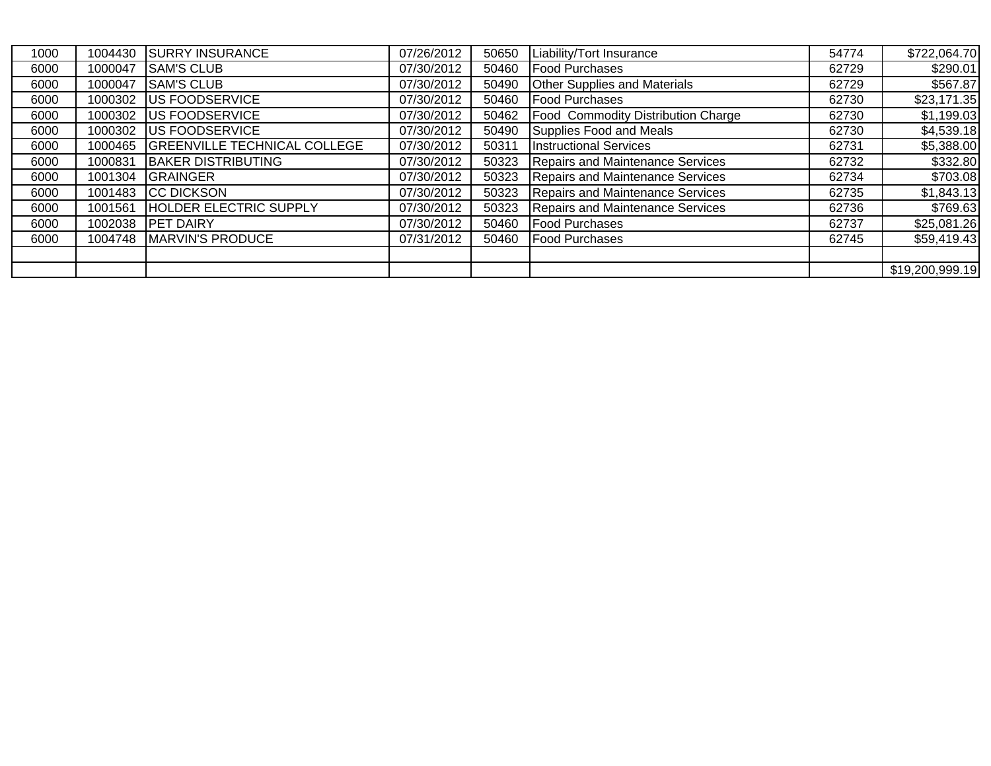| 1000 | 1004430 | <b>SURRY INSURANCE</b>              | 07/26/2012 | 50650 | Liability/Tort Insurance            | 54774 | \$722,064.70    |
|------|---------|-------------------------------------|------------|-------|-------------------------------------|-------|-----------------|
| 6000 | 1000047 | <b>SAM'S CLUB</b>                   | 07/30/2012 | 50460 | <b>Food Purchases</b>               | 62729 | \$290.01        |
| 6000 | 1000047 | <b>SAM'S CLUB</b>                   | 07/30/2012 | 50490 | <b>Other Supplies and Materials</b> | 62729 | \$567.87        |
| 6000 | 1000302 | <b>US FOODSERVICE</b>               | 07/30/2012 | 50460 | <b>TFood Purchases</b>              | 62730 | \$23,171.35     |
| 6000 | 1000302 | <b>US FOODSERVICE</b>               | 07/30/2012 | 50462 | Food Commodity Distribution Charge  | 62730 | \$1,199.03      |
| 6000 | 1000302 | <b>US FOODSERVICE</b>               | 07/30/2012 | 50490 | Supplies Food and Meals             | 62730 | \$4,539.18      |
| 6000 | 1000465 | <b>GREENVILLE TECHNICAL COLLEGE</b> | 07/30/2012 | 50311 | <b>Instructional Services</b>       | 62731 | \$5,388.00      |
| 6000 | 1000831 | <b>BAKER DISTRIBUTING</b>           | 07/30/2012 | 50323 | Repairs and Maintenance Services    | 62732 | \$332.80        |
| 6000 | 1001304 | <b>GRAINGER</b>                     | 07/30/2012 | 50323 | Repairs and Maintenance Services    | 62734 | \$703.08        |
| 6000 | 1001483 | <b>CC DICKSON</b>                   | 07/30/2012 | 50323 | Repairs and Maintenance Services    | 62735 | \$1,843.13      |
| 6000 | 1001561 | <b>HOLDER ELECTRIC SUPPLY</b>       | 07/30/2012 | 50323 | Repairs and Maintenance Services    | 62736 | \$769.63        |
| 6000 | 1002038 | <b>PET DAIRY</b>                    | 07/30/2012 | 50460 | <b>Food Purchases</b>               | 62737 | \$25,081.26     |
| 6000 | 1004748 | MARVIN'S PRODUCE                    | 07/31/2012 | 50460 | <b>Food Purchases</b>               | 62745 | \$59,419.43     |
|      |         |                                     |            |       |                                     |       |                 |
|      |         |                                     |            |       |                                     |       | \$19,200,999.19 |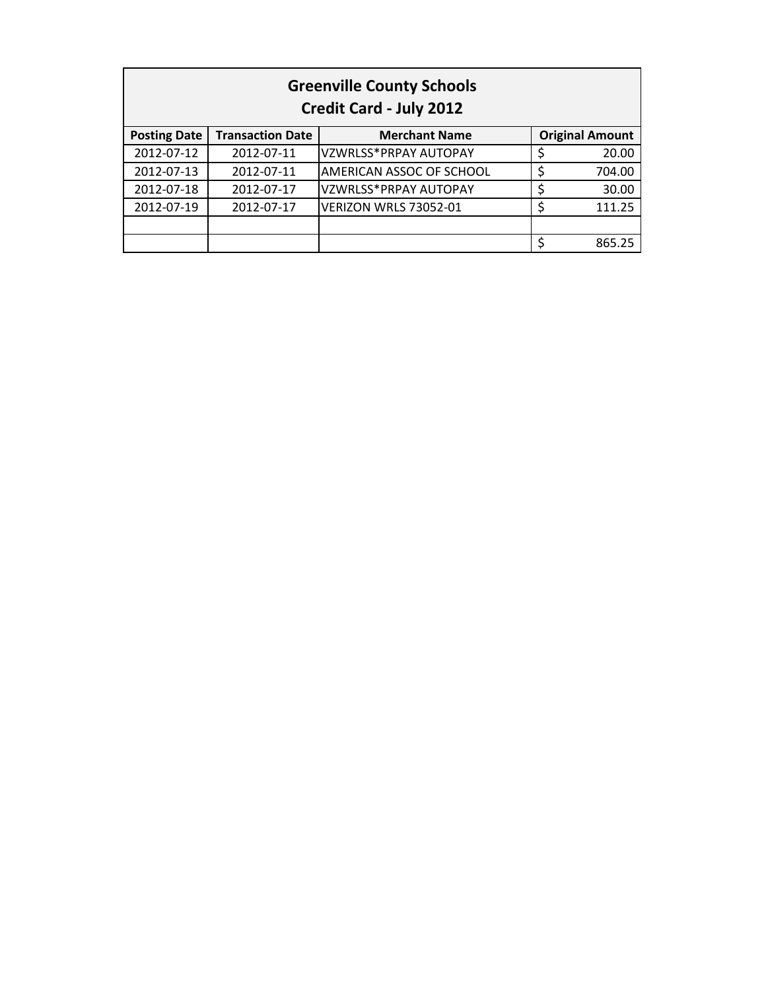| <b>Greenville County Schools</b><br><b>Credit Card - July 2012</b> |                         |                          |    |                        |  |
|--------------------------------------------------------------------|-------------------------|--------------------------|----|------------------------|--|
| <b>Posting Date</b>                                                | <b>Transaction Date</b> | <b>Merchant Name</b>     |    | <b>Original Amount</b> |  |
| 2012-07-12                                                         | 2012-07-11              | VZWRLSS*PRPAY AUTOPAY    |    | 20.00                  |  |
| 2012-07-13                                                         | 2012-07-11              | AMERICAN ASSOC OF SCHOOL | \$ | 704.00                 |  |
| 2012-07-18                                                         | 2012-07-17              | VZWRLSS*PRPAY AUTOPAY    | \$ | 30.00                  |  |
| 2012-07-19                                                         | 2012-07-17              | VERIZON WRLS 73052-01    | \$ | 111.25                 |  |
|                                                                    |                         |                          |    |                        |  |
|                                                                    |                         |                          |    | 865.25                 |  |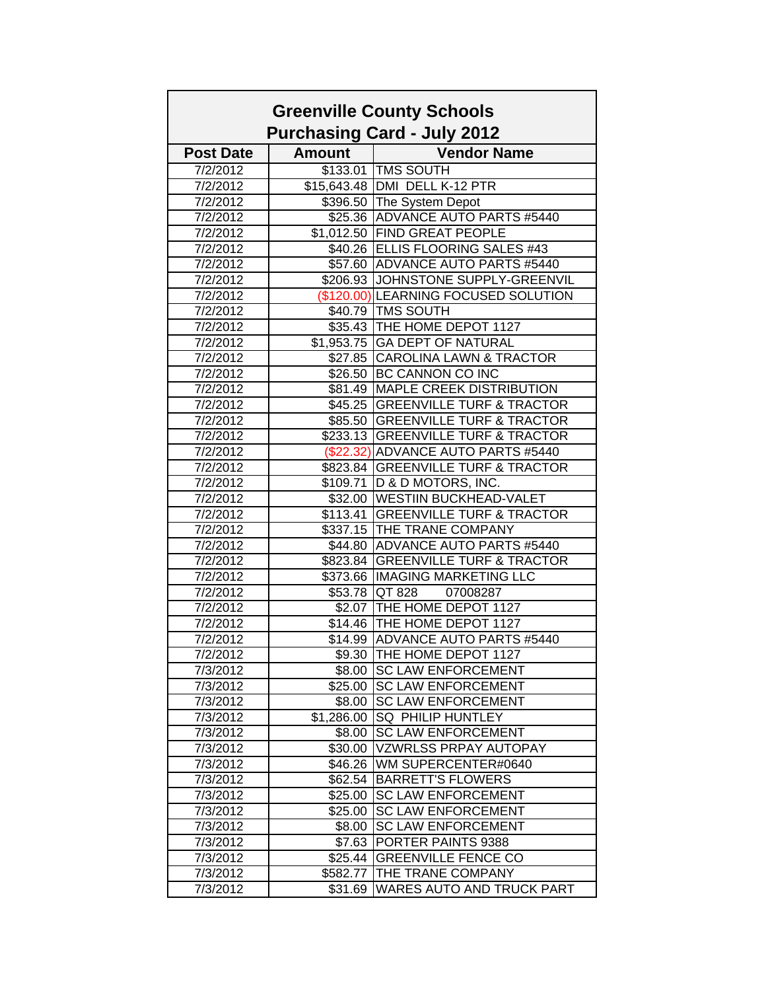|                  |               | <b>Greenville County Schools</b><br><b>Purchasing Card - July 2012</b> |
|------------------|---------------|------------------------------------------------------------------------|
| <b>Post Date</b> | <b>Amount</b> | <b>Vendor Name</b>                                                     |
| 7/2/2012         |               | \$133.01 TMS SOUTH                                                     |
| 7/2/2012         |               | \$15,643.48 DMI DELL K-12 PTR                                          |
| 7/2/2012         |               | \$396.50 The System Depot                                              |
| 7/2/2012         |               | \$25.36 ADVANCE AUTO PARTS #5440                                       |
| 7/2/2012         |               | \$1,012.50 FIND GREAT PEOPLE                                           |
| 7/2/2012         |               | \$40.26 ELLIS FLOORING SALES #43                                       |
| 7/2/2012         |               | \$57.60 ADVANCE AUTO PARTS #5440                                       |
| 7/2/2012         |               | \$206.93 JOHNSTONE SUPPLY-GREENVIL                                     |
| 7/2/2012         |               | (\$120.00) LEARNING FOCUSED SOLUTION                                   |
| 7/2/2012         |               | \$40.79 TMS SOUTH                                                      |
| 7/2/2012         |               | \$35.43 THE HOME DEPOT 1127                                            |
| 7/2/2012         |               | \$1,953.75 GA DEPT OF NATURAL                                          |
| 7/2/2012         |               | \$27.85 CAROLINA LAWN & TRACTOR                                        |
| 7/2/2012         |               | \$26.50 BC CANNON CO INC                                               |
| 7/2/2012         |               | \$81.49 MAPLE CREEK DISTRIBUTION                                       |
| 7/2/2012         |               | \$45.25 GREENVILLE TURF & TRACTOR                                      |
| 7/2/2012         |               | \$85.50 GREENVILLE TURF & TRACTOR                                      |
| 7/2/2012         |               | \$233.13 GREENVILLE TURF & TRACTOR                                     |
| 7/2/2012         |               | (\$22.32) ADVANCE AUTO PARTS #5440                                     |
| 7/2/2012         |               | \$823.84 GREENVILLE TURF & TRACTOR                                     |
| 7/2/2012         |               | \$109.71   D & D MOTORS, INC.                                          |
| 7/2/2012         |               | \$32.00   WESTIIN BUCKHEAD-VALET                                       |
| 7/2/2012         |               | \$113.41 GREENVILLE TURF & TRACTOR                                     |
| 7/2/2012         |               | \$337.15 THE TRANE COMPANY                                             |
| 7/2/2012         |               | \$44.80 ADVANCE AUTO PARTS #5440                                       |
| 7/2/2012         |               | \$823.84 GREENVILLE TURF & TRACTOR                                     |
| 7/2/2012         |               | \$373.66 IMAGING MARKETING LLC                                         |
| 7/2/2012         |               | \$53.78 QT 828<br>07008287                                             |
| 7/2/2012         |               | \$2.07 THE HOME DEPOT 1127                                             |
| 7/2/2012         |               | \$14.46 THE HOME DEPOT 1127                                            |
| 7/2/2012         |               | \$14.99 ADVANCE AUTO PARTS #5440                                       |
| 7/2/2012         |               | \$9.30 THE HOME DEPOT 1127                                             |
| 7/3/2012         |               | \$8.00 SC LAW ENFORCEMENT                                              |
| 7/3/2012         |               | \$25.00 SC LAW ENFORCEMENT                                             |
| 7/3/2012         |               | \$8.00 SC LAW ENFORCEMENT                                              |
| 7/3/2012         |               | \$1,286.00 SQ PHILIP HUNTLEY                                           |
| 7/3/2012         |               | \$8.00 SC LAW ENFORCEMENT                                              |
| 7/3/2012         |               | \$30.00 VZWRLSS PRPAY AUTOPAY                                          |
| 7/3/2012         |               | \$46.26 WM SUPERCENTER#0640                                            |
| 7/3/2012         |               | \$62.54 BARRETT'S FLOWERS                                              |
| 7/3/2012         |               | \$25.00 SC LAW ENFORCEMENT                                             |
| 7/3/2012         | \$25.00       | <b>SC LAW ENFORCEMENT</b>                                              |
| 7/3/2012         | \$8.00        | <b>SC LAW ENFORCEMENT</b>                                              |
| 7/3/2012         |               | \$7.63 PORTER PAINTS 9388                                              |
| 7/3/2012         |               | \$25.44 GREENVILLE FENCE CO                                            |
| 7/3/2012         | \$582.77      | <b>THE TRANE COMPANY</b>                                               |
| 7/3/2012         | \$31.69       | <b>WARES AUTO AND TRUCK PART</b>                                       |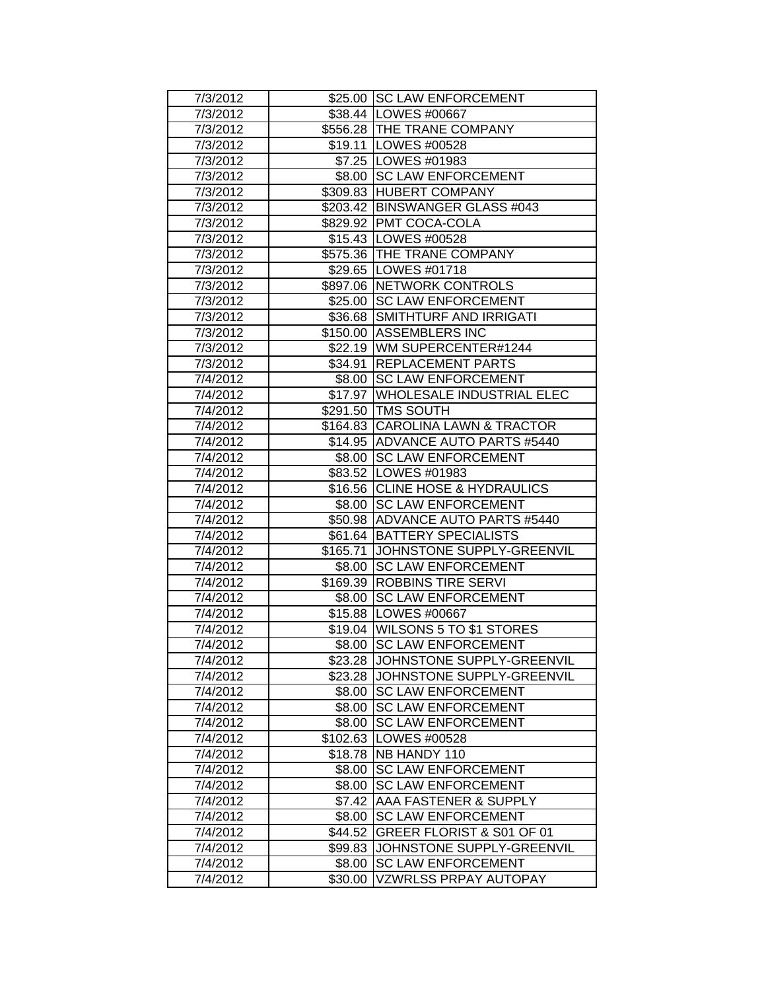| 7/3/2012 |          | \$25.00 SC LAW ENFORCEMENT         |
|----------|----------|------------------------------------|
| 7/3/2012 |          | \$38.44   LOWES #00667             |
| 7/3/2012 |          | \$556.28 THE TRANE COMPANY         |
| 7/3/2012 |          | \$19.11  LOWES #00528              |
| 7/3/2012 |          | \$7.25   LOWES #01983              |
| 7/3/2012 |          | \$8.00 SC LAW ENFORCEMENT          |
| 7/3/2012 |          | \$309.83 HUBERT COMPANY            |
| 7/3/2012 |          | \$203.42 BINSWANGER GLASS #043     |
| 7/3/2012 |          | \$829.92   PMT COCA-COLA           |
| 7/3/2012 |          | \$15.43   LOWES #00528             |
| 7/3/2012 |          | \$575.36 THE TRANE COMPANY         |
| 7/3/2012 |          | \$29.65   LOWES #01718             |
| 7/3/2012 |          | \$897.06 NETWORK CONTROLS          |
| 7/3/2012 |          | \$25.00 SC LAW ENFORCEMENT         |
| 7/3/2012 |          | \$36.68 SMITHTURF AND IRRIGATI     |
| 7/3/2012 |          | \$150.00 ASSEMBLERS INC            |
| 7/3/2012 |          | \$22.19   WM SUPERCENTER#1244      |
| 7/3/2012 |          | \$34.91 REPLACEMENT PARTS          |
| 7/4/2012 | \$8.00   | <b>SC LAW ENFORCEMENT</b>          |
| 7/4/2012 | \$17.97  | WHOLESALE INDUSTRIAL ELEC          |
| 7/4/2012 |          | \$291.50 TMS SOUTH                 |
| 7/4/2012 |          | \$164.83 CAROLINA LAWN & TRACTOR   |
| 7/4/2012 |          | \$14.95 ADVANCE AUTO PARTS #5440   |
| 7/4/2012 | \$8.00   | <b>SC LAW ENFORCEMENT</b>          |
| 7/4/2012 |          | \$83.52   LOWES #01983             |
| 7/4/2012 |          | \$16.56 CLINE HOSE & HYDRAULICS    |
| 7/4/2012 |          | \$8.00 SC LAW ENFORCEMENT          |
| 7/4/2012 |          | \$50.98   ADVANCE AUTO PARTS #5440 |
| 7/4/2012 |          | \$61.64   BATTERY SPECIALISTS      |
| 7/4/2012 | \$165.71 | JOHNSTONE SUPPLY-GREENVIL          |
| 7/4/2012 | \$8.00   | <b>SC LAW ENFORCEMENT</b>          |
| 7/4/2012 |          | \$169.39 ROBBINS TIRE SERVI        |
| 7/4/2012 | \$8.00   | <b>SC LAW ENFORCEMENT</b>          |
| 7/4/2012 |          | \$15.88   LOWES #00667             |
| 7/4/2012 |          | \$19.04 WILSONS 5 TO \$1 STORES    |
| 7/4/2012 | \$8.00   | <b>SC LAW ENFORCEMENT</b>          |
| 7/4/2012 | \$23.28  | JOHNSTONE SUPPLY-GREENVIL          |
| 7/4/2012 | \$23.28  | JOHNSTONE SUPPLY-GREENVIL          |
| 7/4/2012 | \$8.00   | <b>SC LAW ENFORCEMENT</b>          |
| 7/4/2012 | \$8.00   | <b>SC LAW ENFORCEMENT</b>          |
| 7/4/2012 | \$8.00   | <b>SC LAW ENFORCEMENT</b>          |
| 7/4/2012 |          | \$102.63   LOWES #00528            |
| 7/4/2012 |          | \$18.78   NB HANDY 110             |
| 7/4/2012 | \$8.00   | <b>SC LAW ENFORCEMENT</b>          |
| 7/4/2012 | \$8.00   | <b>SC LAW ENFORCEMENT</b>          |
| 7/4/2012 | \$7.42   | AAA FASTENER & SUPPLY              |
| 7/4/2012 | \$8.00   | <b>SC LAW ENFORCEMENT</b>          |
| 7/4/2012 | \$44.52  | GREER FLORIST & S01 OF 01          |
| 7/4/2012 | \$99.83  | JOHNSTONE SUPPLY-GREENVIL          |
| 7/4/2012 | \$8.00   | <b>SC LAW ENFORCEMENT</b>          |
| 7/4/2012 | \$30.00  | VZWRLSS PRPAY AUTOPAY              |
|          |          |                                    |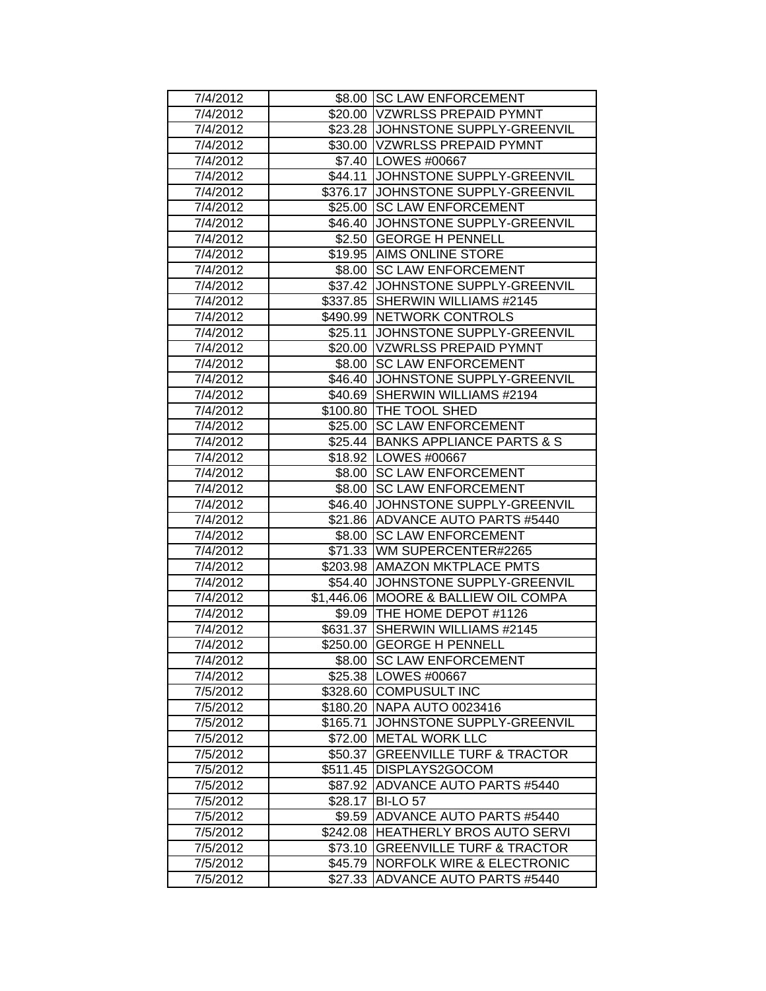| 7/4/2012 |          | \$8.00 SC LAW ENFORCEMENT              |
|----------|----------|----------------------------------------|
| 7/4/2012 |          | \$20.00 VZWRLSS PREPAID PYMNT          |
| 7/4/2012 |          | \$23.28 JJOHNSTONE SUPPLY-GREENVIL     |
| 7/4/2012 |          | \$30.00 VZWRLSS PREPAID PYMNT          |
| 7/4/2012 |          | \$7.40 LOWES #00667                    |
| 7/4/2012 |          | \$44.11 JOHNSTONE SUPPLY-GREENVIL      |
| 7/4/2012 |          | \$376.17 JOHNSTONE SUPPLY-GREENVIL     |
| 7/4/2012 |          | \$25.00 SC LAW ENFORCEMENT             |
| 7/4/2012 |          | \$46.40 JJOHNSTONE SUPPLY-GREENVIL     |
| 7/4/2012 |          | \$2.50   GEORGE H PENNELL              |
| 7/4/2012 |          | \$19.95 AIMS ONLINE STORE              |
| 7/4/2012 |          | \$8.00 SC LAW ENFORCEMENT              |
| 7/4/2012 |          | \$37.42 JJOHNSTONE SUPPLY-GREENVIL     |
| 7/4/2012 |          | \$337.85 SHERWIN WILLIAMS #2145        |
| 7/4/2012 |          | \$490.99 NETWORK CONTROLS              |
| 7/4/2012 | \$25.11  | JOHNSTONE SUPPLY-GREENVIL              |
| 7/4/2012 |          | \$20.00 VZWRLSS PREPAID PYMNT          |
| 7/4/2012 | \$8.00   | <b>SC LAW ENFORCEMENT</b>              |
| 7/4/2012 | \$46.40  | JOHNSTONE SUPPLY-GREENVIL              |
| 7/4/2012 |          | \$40.69 SHERWIN WILLIAMS #2194         |
| 7/4/2012 |          | \$100.80 THE TOOL SHED                 |
| 7/4/2012 |          | \$25.00 SC LAW ENFORCEMENT             |
| 7/4/2012 |          | \$25.44 BANKS APPLIANCE PARTS & S      |
| 7/4/2012 |          | \$18.92   LOWES #00667                 |
| 7/4/2012 |          | \$8.00 SC LAW ENFORCEMENT              |
| 7/4/2012 |          | \$8.00 SC LAW ENFORCEMENT              |
| 7/4/2012 |          | \$46.40 JJOHNSTONE SUPPLY-GREENVIL     |
| 7/4/2012 |          | \$21.86 ADVANCE AUTO PARTS #5440       |
| 7/4/2012 | \$8.00   | <b>SC LAW ENFORCEMENT</b>              |
| 7/4/2012 |          | \$71.33 WM SUPERCENTER#2265            |
| 7/4/2012 |          | \$203.98 AMAZON MKTPLACE PMTS          |
| 7/4/2012 |          | \$54.40 JJOHNSTONE SUPPLY-GREENVIL     |
| 7/4/2012 |          | \$1,446.06   MOORE & BALLIEW OIL COMPA |
| 7/4/2012 |          | \$9.09   THE HOME DEPOT #1126          |
| 7/4/2012 |          | \$631.37 SHERWIN WILLIAMS #2145        |
| 7/4/2012 |          | \$250.00 GEORGE H PENNELL              |
| 7/4/2012 | \$8.00   | <b>SC LAW ENFORCEMENT</b>              |
| 7/4/2012 |          | \$25.38   LOWES #00667                 |
| 7/5/2012 |          | \$328.60 COMPUSULT INC                 |
| 7/5/2012 |          | \$180.20 NAPA AUTO 0023416             |
| 7/5/2012 | \$165.71 | JOHNSTONE SUPPLY-GREENVIL              |
| 7/5/2012 |          | \$72.00 METAL WORK LLC                 |
| 7/5/2012 | \$50.37  | <b>GREENVILLE TURF &amp; TRACTOR</b>   |
| 7/5/2012 |          | \$511.45 DISPLAYS2GOCOM                |
| 7/5/2012 |          | \$87.92 ADVANCE AUTO PARTS #5440       |
| 7/5/2012 |          | \$28.17 BI-LO 57                       |
| 7/5/2012 | \$9.59   | ADVANCE AUTO PARTS #5440               |
| 7/5/2012 | \$242.08 | <b>HEATHERLY BROS AUTO SERVI</b>       |
| 7/5/2012 | \$73.10  | <b>GREENVILLE TURF &amp; TRACTOR</b>   |
| 7/5/2012 | \$45.79  | <b>NORFOLK WIRE &amp; ELECTRONIC</b>   |
| 7/5/2012 | \$27.33  | <b>ADVANCE AUTO PARTS #5440</b>        |
|          |          |                                        |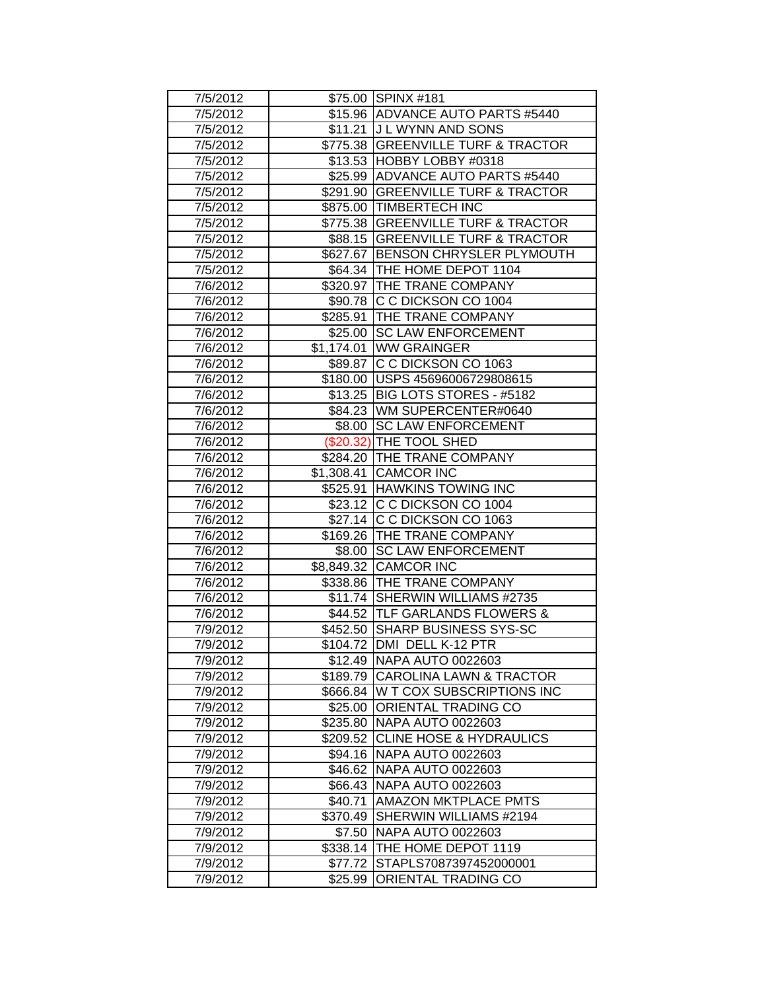| 7/5/2012 |          | \$75.00 SPINX #181                 |
|----------|----------|------------------------------------|
| 7/5/2012 |          | \$15.96 ADVANCE AUTO PARTS #5440   |
| 7/5/2012 |          | \$11.21 J L WYNN AND SONS          |
| 7/5/2012 |          | \$775.38 GREENVILLE TURF & TRACTOR |
| 7/5/2012 |          | \$13.53 HOBBY LOBBY #0318          |
| 7/5/2012 |          | \$25.99 ADVANCE AUTO PARTS #5440   |
| 7/5/2012 |          | \$291.90 GREENVILLE TURF & TRACTOR |
| 7/5/2012 |          | \$875.00 TIMBERTECH INC            |
| 7/5/2012 |          | \$775.38 GREENVILLE TURF & TRACTOR |
| 7/5/2012 |          | \$88.15 GREENVILLE TURF & TRACTOR  |
| 7/5/2012 |          | \$627.67 BENSON CHRYSLER PLYMOUTH  |
| 7/5/2012 |          | \$64.34 THE HOME DEPOT 1104        |
| 7/6/2012 |          | \$320.97 THE TRANE COMPANY         |
| 7/6/2012 |          | \$90.78 C C DICKSON CO 1004        |
| 7/6/2012 |          | \$285.91 THE TRANE COMPANY         |
| 7/6/2012 |          | \$25.00 SC LAW ENFORCEMENT         |
| 7/6/2012 |          | \$1,174.01 WW GRAINGER             |
| 7/6/2012 |          | \$89.87 C C DICKSON CO 1063        |
| 7/6/2012 |          | \$180.00 USPS 45696006729808615    |
| 7/6/2012 |          | \$13.25 BIG LOTS STORES - #5182    |
| 7/6/2012 |          | \$84.23 WM SUPERCENTER#0640        |
| 7/6/2012 |          | \$8.00 SC LAW ENFORCEMENT          |
| 7/6/2012 |          | (\$20.32) THE TOOL SHED            |
| 7/6/2012 |          | \$284.20 THE TRANE COMPANY         |
| 7/6/2012 |          | \$1,308.41 CAMCOR INC              |
| 7/6/2012 |          | \$525.91 HAWKINS TOWING INC        |
| 7/6/2012 |          | \$23.12 C C DICKSON CO 1004        |
| 7/6/2012 |          | \$27.14 C C DICKSON CO 1063        |
| 7/6/2012 |          | \$169.26 THE TRANE COMPANY         |
| 7/6/2012 |          | \$8.00 SC LAW ENFORCEMENT          |
| 7/6/2012 |          | \$8,849.32 CAMCOR INC              |
| 7/6/2012 |          | \$338.86 THE TRANE COMPANY         |
| 7/6/2012 |          | \$11.74 SHERWIN WILLIAMS #2735     |
| 7/6/2012 |          | \$44.52 TLF GARLANDS FLOWERS &     |
| 7/9/2012 |          | \$452.50 SHARP BUSINESS SYS-SC     |
| 7/9/2012 |          | \$104.72 DMI DELL K-12 PTR         |
| 7/9/2012 |          | \$12.49 NAPA AUTO 0022603          |
| 7/9/2012 |          | \$189.79 CAROLINA LAWN & TRACTOR   |
| 7/9/2012 |          | \$666.84 W T COX SUBSCRIPTIONS INC |
| 7/9/2012 |          | \$25.00 ORIENTAL TRADING CO        |
| 7/9/2012 |          | \$235.80 NAPA AUTO 0022603         |
| 7/9/2012 |          | \$209.52 CLINE HOSE & HYDRAULICS   |
| 7/9/2012 |          | \$94.16 NAPA AUTO 0022603          |
| 7/9/2012 |          | \$46.62 NAPA AUTO 0022603          |
| 7/9/2012 |          | \$66.43 NAPA AUTO 0022603          |
| 7/9/2012 | \$40.71  | <b>AMAZON MKTPLACE PMTS</b>        |
| 7/9/2012 | \$370.49 | SHERWIN WILLIAMS #2194             |
| 7/9/2012 | \$7.50   | <b>NAPA AUTO 0022603</b>           |
| 7/9/2012 |          | \$338.14 THE HOME DEPOT 1119       |
| 7/9/2012 | \$77.72  | STAPLS7087397452000001             |
| 7/9/2012 | \$25.99  | ORIENTAL TRADING CO                |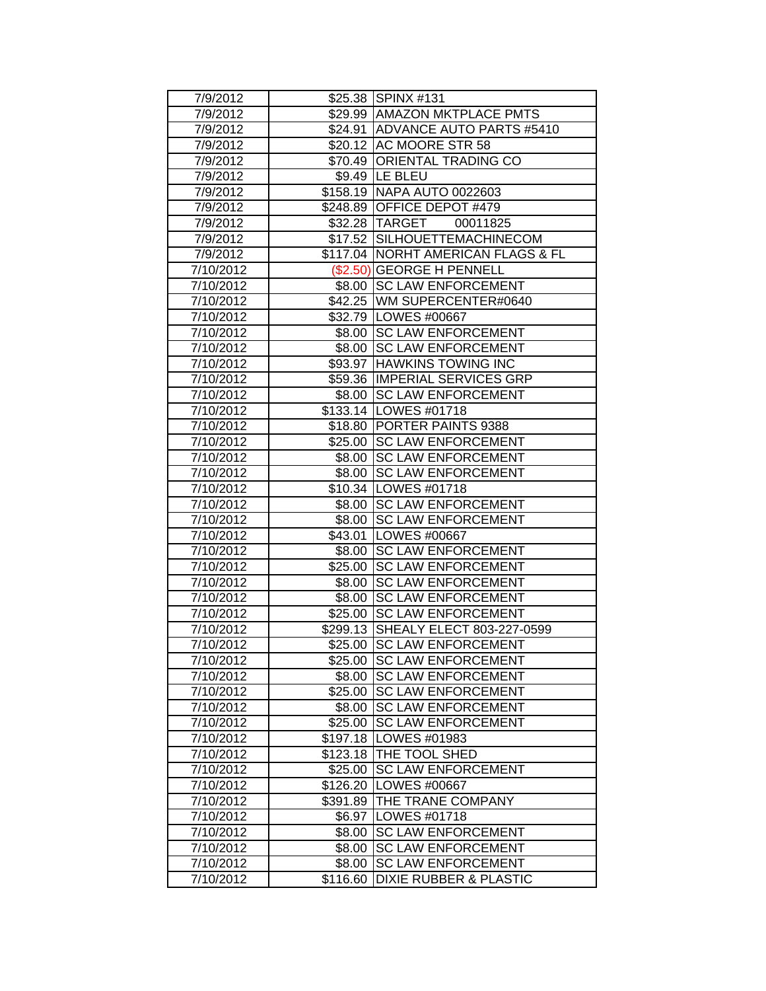| 7/9/2012  |          | \$25.38 SPINX #131                 |
|-----------|----------|------------------------------------|
| 7/9/2012  |          | \$29.99   AMAZON MKTPLACE PMTS     |
| 7/9/2012  |          | \$24.91 ADVANCE AUTO PARTS #5410   |
| 7/9/2012  |          | \$20.12 AC MOORE STR 58            |
| 7/9/2012  |          | \$70.49 ORIENTAL TRADING CO        |
| 7/9/2012  |          | \$9.49 LE BLEU                     |
| 7/9/2012  |          | \$158.19 NAPA AUTO 0022603         |
| 7/9/2012  |          | \$248.89 OFFICE DEPOT #479         |
| 7/9/2012  |          | \$32.28 TARGET<br>00011825         |
| 7/9/2012  |          | \$17.52 SILHOUETTEMACHINECOM       |
| 7/9/2012  |          | \$117.04 NORHT AMERICAN FLAGS & FL |
| 7/10/2012 |          | (\$2.50) GEORGE H PENNELL          |
| 7/10/2012 |          | \$8.00 SC LAW ENFORCEMENT          |
| 7/10/2012 |          | \$42.25 WM SUPERCENTER#0640        |
| 7/10/2012 |          | \$32.79   LOWES #00667             |
| 7/10/2012 |          | \$8.00 SC LAW ENFORCEMENT          |
| 7/10/2012 |          | \$8.00 SC LAW ENFORCEMENT          |
| 7/10/2012 |          | \$93.97 HAWKINS TOWING INC         |
| 7/10/2012 |          | \$59.36 IMPERIAL SERVICES GRP      |
| 7/10/2012 |          | \$8.00 SC LAW ENFORCEMENT          |
| 7/10/2012 |          | \$133.14   LOWES #01718            |
| 7/10/2012 |          | \$18.80 PORTER PAINTS 9388         |
| 7/10/2012 |          | \$25.00 SC LAW ENFORCEMENT         |
| 7/10/2012 |          | \$8.00 SC LAW ENFORCEMENT          |
| 7/10/2012 |          | \$8.00 SC LAW ENFORCEMENT          |
| 7/10/2012 |          | \$10.34   LOWES #01718             |
| 7/10/2012 |          | \$8.00 SC LAW ENFORCEMENT          |
| 7/10/2012 |          | \$8.00 SC LAW ENFORCEMENT          |
| 7/10/2012 |          | \$43.01   LOWES #00667             |
| 7/10/2012 | \$8.00   | <b>SC LAW ENFORCEMENT</b>          |
| 7/10/2012 |          | \$25.00 SC LAW ENFORCEMENT         |
| 7/10/2012 | \$8.00   | <b>SC LAW ENFORCEMENT</b>          |
| 7/10/2012 | \$8.00   | <b>SC LAW ENFORCEMENT</b>          |
| 7/10/2012 |          | \$25.00 SC LAW ENFORCEMENT         |
| 7/10/2012 |          | \$299.13 SHEALY ELECT 803-227-0599 |
| 7/10/2012 |          | \$25.00 SC LAW ENFORCEMENT         |
| 7/10/2012 |          | \$25.00 SC LAW ENFORCEMENT         |
| 7/10/2012 |          | \$8.00 SC LAW ENFORCEMENT          |
| 7/10/2012 |          | \$25.00 SC LAW ENFORCEMENT         |
| 7/10/2012 |          | \$8.00 SC LAW ENFORCEMENT          |
| 7/10/2012 |          | \$25.00 SC LAW ENFORCEMENT         |
| 7/10/2012 |          | \$197.18   LOWES #01983            |
| 7/10/2012 |          | \$123.18 THE TOOL SHED             |
| 7/10/2012 | \$25.00  | <b>SC LAW ENFORCEMENT</b>          |
| 7/10/2012 |          | \$126.20   LOWES #00667            |
| 7/10/2012 |          | \$391.89   THE TRANE COMPANY       |
| 7/10/2012 |          | \$6.97   LOWES #01718              |
| 7/10/2012 | \$8.00   | <b>SC LAW ENFORCEMENT</b>          |
| 7/10/2012 | \$8.00   | <b>SC LAW ENFORCEMENT</b>          |
| 7/10/2012 | \$8.00   | <b>SC LAW ENFORCEMENT</b>          |
| 7/10/2012 | \$116.60 | <b>DIXIE RUBBER &amp; PLASTIC</b>  |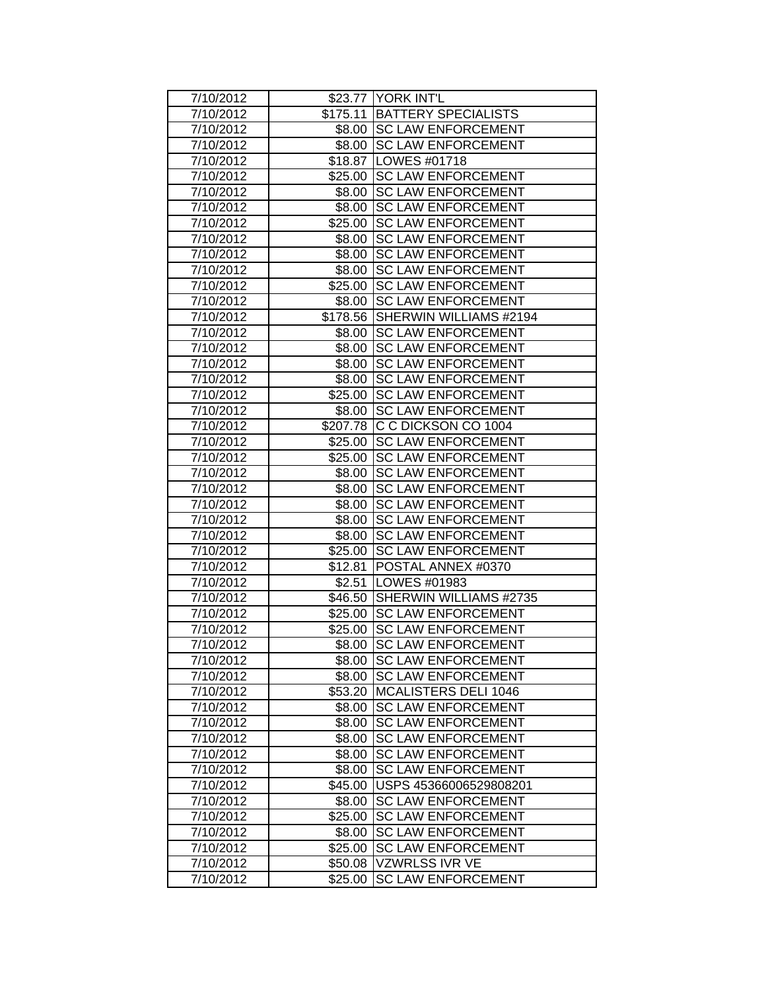| 7/10/2012 |         | \$23.77 YORK INT'L              |
|-----------|---------|---------------------------------|
| 7/10/2012 |         | \$175.11 BATTERY SPECIALISTS    |
| 7/10/2012 |         | \$8.00   SC LAW ENFORCEMENT     |
| 7/10/2012 | \$8.00  | <b>SC LAW ENFORCEMENT</b>       |
| 7/10/2012 |         | \$18.87   LOWES #01718          |
| 7/10/2012 | \$25.00 | <b>SC LAW ENFORCEMENT</b>       |
| 7/10/2012 | \$8.00  | <b>ISC LAW ENFORCEMENT</b>      |
| 7/10/2012 | \$8.00  | <b>SC LAW ENFORCEMENT</b>       |
| 7/10/2012 |         | \$25.00 SC LAW ENFORCEMENT      |
| 7/10/2012 | \$8.00  | <b>SC LAW ENFORCEMENT</b>       |
| 7/10/2012 | \$8.00  | <b>SC LAW ENFORCEMENT</b>       |
| 7/10/2012 | \$8.00  | <b>ISC LAW ENFORCEMENT</b>      |
| 7/10/2012 |         | \$25.00 SC LAW ENFORCEMENT      |
| 7/10/2012 |         | \$8.00 SC LAW ENFORCEMENT       |
| 7/10/2012 |         | \$178.56 SHERWIN WILLIAMS #2194 |
| 7/10/2012 | \$8.00  | <b>SC LAW ENFORCEMENT</b>       |
| 7/10/2012 | \$8.00  | <b>ISC LAW ENFORCEMENT</b>      |
| 7/10/2012 | \$8.00  | <b>SC LAW ENFORCEMENT</b>       |
| 7/10/2012 | \$8.00  | <b>SC LAW ENFORCEMENT</b>       |
| 7/10/2012 | \$25.00 | <b>SC LAW ENFORCEMENT</b>       |
| 7/10/2012 |         | \$8.00 SC LAW ENFORCEMENT       |
| 7/10/2012 |         | \$207.78 C C DICKSON CO 1004    |
| 7/10/2012 |         | \$25.00 SC LAW ENFORCEMENT      |
| 7/10/2012 |         | \$25.00 SC LAW ENFORCEMENT      |
| 7/10/2012 |         | \$8.00 SC LAW ENFORCEMENT       |
| 7/10/2012 |         | \$8.00 SC LAW ENFORCEMENT       |
| 7/10/2012 |         | \$8.00 SC LAW ENFORCEMENT       |
| 7/10/2012 |         | \$8.00 SC LAW ENFORCEMENT       |
| 7/10/2012 | \$8.00  | <b>SC LAW ENFORCEMENT</b>       |
| 7/10/2012 | \$25.00 | <b>SC LAW ENFORCEMENT</b>       |
| 7/10/2012 | \$12.81 | POSTAL ANNEX #0370              |
| 7/10/2012 | \$2.51  | LOWES #01983                    |
| 7/10/2012 |         | \$46.50 SHERWIN WILLIAMS #2735  |
| 7/10/2012 |         | \$25.00 SC LAW ENFORCEMENT      |
| 7/10/2012 | \$25.00 | <b>SC LAW ENFORCEMENT</b>       |
| 7/10/2012 | \$8.00  | <b>SC LAW ENFORCEMENT</b>       |
| 7/10/2012 |         | \$8.00 SC LAW ENFORCEMENT       |
| 7/10/2012 |         | \$8.00 SC LAW ENFORCEMENT       |
| 7/10/2012 |         | \$53.20 MCALISTERS DELI 1046    |
| 7/10/2012 | \$8.00  | <b>SC LAW ENFORCEMENT</b>       |
| 7/10/2012 | \$8.00  | <b>SC LAW ENFORCEMENT</b>       |
| 7/10/2012 | \$8.00  | <b>SC LAW ENFORCEMENT</b>       |
| 7/10/2012 | \$8.00  | <b>SC LAW ENFORCEMENT</b>       |
| 7/10/2012 | \$8.00  | <b>SC LAW ENFORCEMENT</b>       |
| 7/10/2012 | \$45.00 | USPS 45366006529808201          |
| 7/10/2012 |         | \$8.00 SC LAW ENFORCEMENT       |
| 7/10/2012 | \$25.00 | <b>SC LAW ENFORCEMENT</b>       |
| 7/10/2012 | \$8.00  | <b>SC LAW ENFORCEMENT</b>       |
| 7/10/2012 | \$25.00 | <b>SC LAW ENFORCEMENT</b>       |
| 7/10/2012 | \$50.08 | VZWRLSS IVR VE                  |
| 7/10/2012 | \$25.00 | <b>SC LAW ENFORCEMENT</b>       |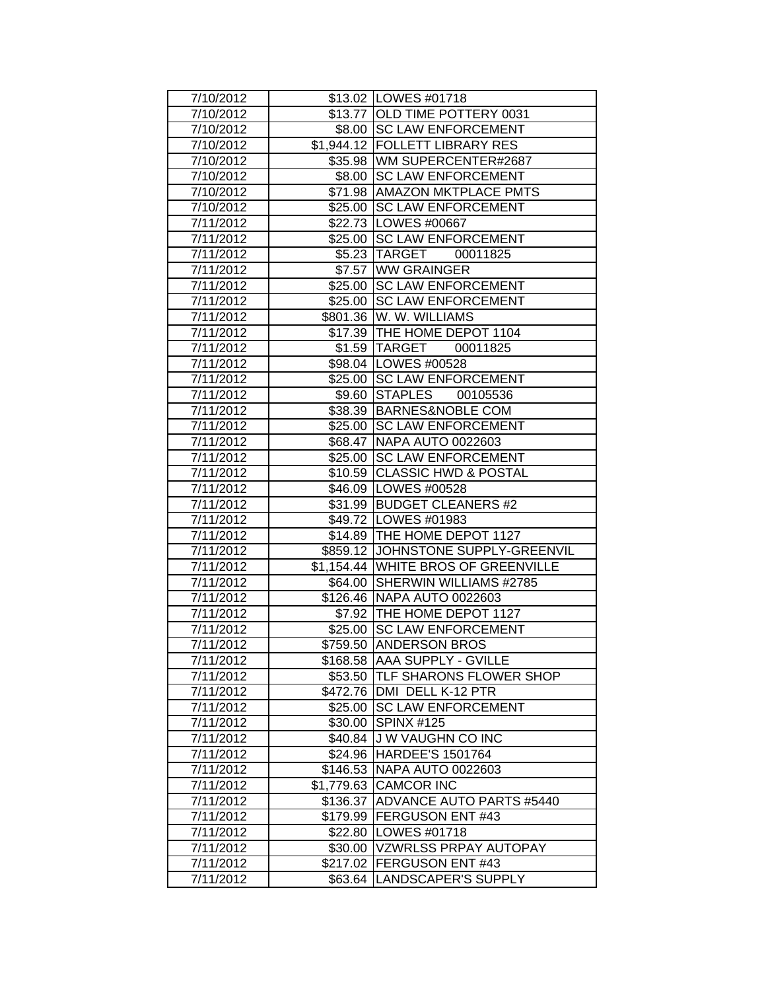| 7/10/2012 |         | \$13.02 LOWES #01718                |
|-----------|---------|-------------------------------------|
| 7/10/2012 |         | \$13.77 OLD TIME POTTERY 0031       |
| 7/10/2012 |         | \$8.00 SC LAW ENFORCEMENT           |
| 7/10/2012 |         | \$1,944.12 FOLLETT LIBRARY RES      |
| 7/10/2012 |         | \$35.98 WM SUPERCENTER#2687         |
| 7/10/2012 |         | \$8.00 SC LAW ENFORCEMENT           |
| 7/10/2012 |         | \$71.98 AMAZON MKTPLACE PMTS        |
| 7/10/2012 |         | \$25.00 SC LAW ENFORCEMENT          |
| 7/11/2012 |         | \$22.73   LOWES #00667              |
| 7/11/2012 |         | \$25.00 SC LAW ENFORCEMENT          |
| 7/11/2012 |         | \$5.23   TARGET 00011825            |
| 7/11/2012 |         | \$7.57 WW GRAINGER                  |
| 7/11/2012 |         | \$25.00 SC LAW ENFORCEMENT          |
| 7/11/2012 |         | \$25.00 SC LAW ENFORCEMENT          |
| 7/11/2012 |         | \$801.36 W. W. WILLIAMS             |
| 7/11/2012 |         | \$17.39 THE HOME DEPOT 1104         |
| 7/11/2012 |         | \$1.59 TARGET 00011825              |
| 7/11/2012 |         | \$98.04   LOWES #00528              |
| 7/11/2012 |         | \$25.00 SC LAW ENFORCEMENT          |
| 7/11/2012 |         | \$9.60 STAPLES 00105536             |
| 7/11/2012 |         | \$38.39 BARNES&NOBLE COM            |
| 7/11/2012 |         | \$25.00 SC LAW ENFORCEMENT          |
| 7/11/2012 |         | \$68.47   NAPA AUTO 0022603         |
| 7/11/2012 |         | \$25.00 SC LAW ENFORCEMENT          |
| 7/11/2012 |         | \$10.59 CLASSIC HWD & POSTAL        |
| 7/11/2012 |         | \$46.09   LOWES #00528              |
| 7/11/2012 |         | \$31.99 BUDGET CLEANERS #2          |
| 7/11/2012 |         | \$49.72   LOWES #01983              |
| 7/11/2012 |         | \$14.89 THE HOME DEPOT 1127         |
| 7/11/2012 |         | \$859.12 JJOHNSTONE SUPPLY-GREENVIL |
| 7/11/2012 |         | \$1,154.44 WHITE BROS OF GREENVILLE |
| 7/11/2012 |         | \$64.00 SHERWIN WILLIAMS #2785      |
| 7/11/2012 |         | \$126.46 NAPA AUTO 0022603          |
| 7/11/2012 |         | \$7.92  THE HOME DEPOT 1127         |
| 7/11/2012 |         | \$25.00 SC LAW ENFORCEMENT          |
| 7/11/2012 |         | \$759.50 ANDERSON BROS              |
| 7/11/2012 |         | \$168.58 AAA SUPPLY - GVILLE        |
| 7/11/2012 |         | \$53.50 TLF SHARONS FLOWER SHOP     |
| 7/11/2012 |         | \$472.76 DMI DELL K-12 PTR          |
| 7/11/2012 |         | \$25.00 SC LAW ENFORCEMENT          |
| 7/11/2012 |         | \$30.00 SPINX #125                  |
| 7/11/2012 |         | \$40.84 J W VAUGHN CO INC           |
| 7/11/2012 |         | \$24.96 HARDEE'S 1501764            |
| 7/11/2012 |         | \$146.53 NAPA AUTO 0022603          |
| 7/11/2012 |         | \$1,779.63 CAMCOR INC               |
| 7/11/2012 |         | \$136.37 ADVANCE AUTO PARTS #5440   |
| 7/11/2012 |         | \$179.99 FERGUSON ENT #43           |
| 7/11/2012 |         | \$22.80   LOWES #01718              |
| 7/11/2012 | \$30.00 | <b>VZWRLSS PRPAY AUTOPAY</b>        |
| 7/11/2012 |         | \$217.02 FERGUSON ENT #43           |
| 7/11/2012 | \$63.64 | LANDSCAPER'S SUPPLY                 |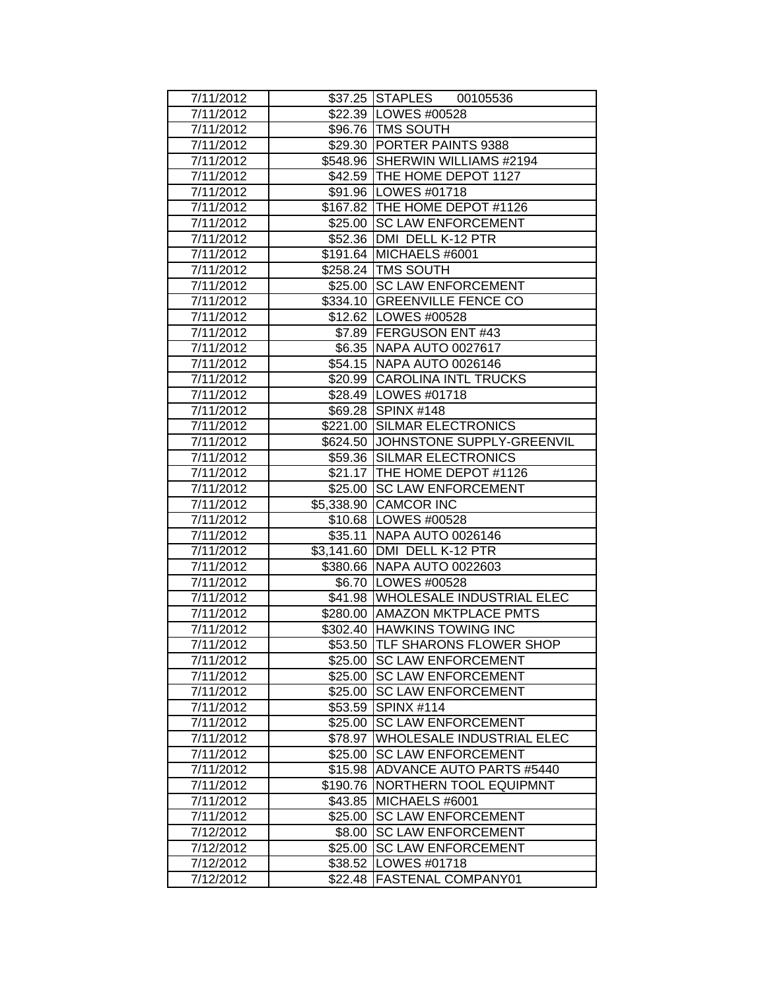| 7/11/2012 |          | \$37.25 STAPLES 00105536            |
|-----------|----------|-------------------------------------|
| 7/11/2012 |          | \$22.39   LOWES #00528              |
| 7/11/2012 |          | \$96.76 TMS SOUTH                   |
| 7/11/2012 |          | \$29.30 PORTER PAINTS 9388          |
| 7/11/2012 |          | \$548.96 SHERWIN WILLIAMS #2194     |
| 7/11/2012 |          | \$42.59 THE HOME DEPOT 1127         |
| 7/11/2012 |          | \$91.96 LOWES #01718                |
| 7/11/2012 |          | \$167.82 THE HOME DEPOT #1126       |
| 7/11/2012 |          | \$25.00 SC LAW ENFORCEMENT          |
| 7/11/2012 |          | \$52.36   DMI DELL K-12 PTR         |
| 7/11/2012 |          | \$191.64 MICHAELS #6001             |
| 7/11/2012 |          | \$258.24 TMS SOUTH                  |
| 7/11/2012 |          | \$25.00 SC LAW ENFORCEMENT          |
| 7/11/2012 |          | \$334.10 GREENVILLE FENCE CO        |
| 7/11/2012 |          | \$12.62   LOWES #00528              |
| 7/11/2012 |          | \$7.89   FERGUSON ENT #43           |
| 7/11/2012 |          | \$6.35 NAPA AUTO 0027617            |
| 7/11/2012 |          | \$54.15 NAPA AUTO 0026146           |
| 7/11/2012 |          | \$20.99 CAROLINA INTL TRUCKS        |
| 7/11/2012 |          | \$28.49   LOWES #01718              |
| 7/11/2012 |          | \$69.28 SPINX #148                  |
| 7/11/2012 |          | \$221.00 SILMAR ELECTRONICS         |
| 7/11/2012 |          | \$624.50 JJOHNSTONE SUPPLY-GREENVIL |
| 7/11/2012 |          | \$59.36 SILMAR ELECTRONICS          |
| 7/11/2012 |          | \$21.17   THE HOME DEPOT #1126      |
| 7/11/2012 |          | \$25.00 SC LAW ENFORCEMENT          |
| 7/11/2012 |          | \$5,338.90 CAMCOR INC               |
| 7/11/2012 |          | \$10.68   LOWES #00528              |
| 7/11/2012 |          | \$35.11 NAPA AUTO 0026146           |
| 7/11/2012 |          | \$3,141.60 DMI DELL K-12 PTR        |
| 7/11/2012 |          | \$380.66 NAPA AUTO 0022603          |
| 7/11/2012 |          | \$6.70   LOWES #00528               |
| 7/11/2012 |          | \$41.98 WHOLESALE INDUSTRIAL ELEC   |
| 7/11/2012 |          | \$280.00   AMAZON MKTPLACE PMTS     |
| 7/11/2012 |          | \$302.40 HAWKINS TOWING INC         |
| 7/11/2012 |          | \$53.50 TLF SHARONS FLOWER SHOP     |
| 7/11/2012 | \$25.00  | <b>SC LAW ENFORCEMENT</b>           |
| 7/11/2012 |          | \$25.00 SC LAW ENFORCEMENT          |
| 7/11/2012 |          | \$25.00 SC LAW ENFORCEMENT          |
| 7/11/2012 |          | \$53.59 SPINX #114                  |
| 7/11/2012 | \$25.00  | <b>SC LAW ENFORCEMENT</b>           |
| 7/11/2012 | \$78.97  | <b>WHOLESALE INDUSTRIAL ELEC</b>    |
| 7/11/2012 | \$25.00  | <b>SC LAW ENFORCEMENT</b>           |
| 7/11/2012 | \$15.98  | <b>ADVANCE AUTO PARTS #5440</b>     |
| 7/11/2012 | \$190.76 | NORTHERN TOOL EQUIPMNT              |
| 7/11/2012 | \$43.85  | MICHAELS #6001                      |
| 7/11/2012 | \$25.00  | <b>SC LAW ENFORCEMENT</b>           |
| 7/12/2012 | \$8.00   | <b>SC LAW ENFORCEMENT</b>           |
| 7/12/2012 | \$25.00  | <b>SC LAW ENFORCEMENT</b>           |
| 7/12/2012 | \$38.52  | LOWES #01718                        |
| 7/12/2012 | \$22.48  | FASTENAL COMPANY01                  |
|           |          |                                     |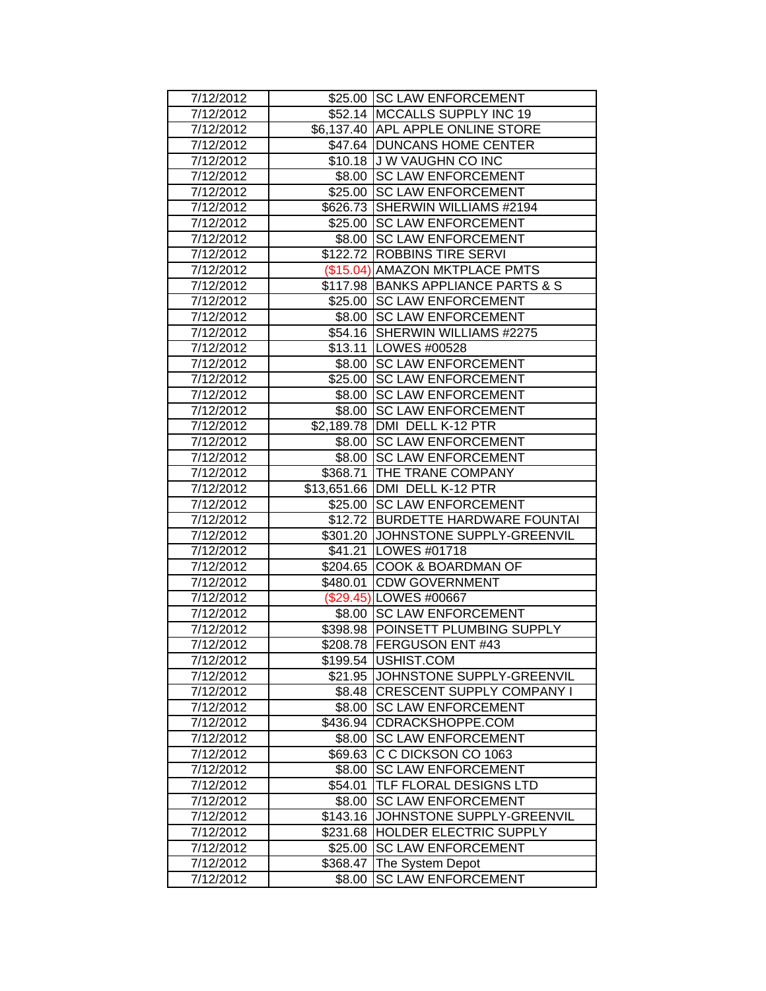| 7/12/2012 |                     | \$25.00 SC LAW ENFORCEMENT          |
|-----------|---------------------|-------------------------------------|
| 7/12/2012 |                     | \$52.14   MCCALLS SUPPLY INC 19     |
| 7/12/2012 |                     | \$6,137.40 APL APPLE ONLINE STORE   |
| 7/12/2012 |                     | \$47.64 DUNCANS HOME CENTER         |
| 7/12/2012 |                     | \$10.18 J W VAUGHN CO INC           |
| 7/12/2012 |                     | \$8.00 SC LAW ENFORCEMENT           |
| 7/12/2012 | \$25.00             | <b>SC LAW ENFORCEMENT</b>           |
| 7/12/2012 |                     | \$626.73 SHERWIN WILLIAMS #2194     |
| 7/12/2012 |                     | \$25.00 SC LAW ENFORCEMENT          |
| 7/12/2012 |                     | \$8.00 SC LAW ENFORCEMENT           |
| 7/12/2012 |                     | \$122.72 ROBBINS TIRE SERVI         |
| 7/12/2012 |                     | (\$15.04) AMAZON MKTPLACE PMTS      |
| 7/12/2012 |                     | \$117.98 BANKS APPLIANCE PARTS & S  |
| 7/12/2012 |                     | \$25.00 SC LAW ENFORCEMENT          |
| 7/12/2012 |                     | \$8.00 SC LAW ENFORCEMENT           |
| 7/12/2012 |                     | \$54.16 SHERWIN WILLIAMS #2275      |
| 7/12/2012 |                     | \$13.11   LOWES #00528              |
| 7/12/2012 | \$8.00              | <b>SC LAW ENFORCEMENT</b>           |
| 7/12/2012 | $\overline{$}25.00$ | <b>SC LAW ENFORCEMENT</b>           |
| 7/12/2012 | \$8.00              | <b>SC LAW ENFORCEMENT</b>           |
| 7/12/2012 |                     | \$8.00 SC LAW ENFORCEMENT           |
| 7/12/2012 |                     | \$2,189.78 DMI DELL K-12 PTR        |
| 7/12/2012 |                     | \$8.00 SC LAW ENFORCEMENT           |
| 7/12/2012 |                     | \$8.00 SC LAW ENFORCEMENT           |
| 7/12/2012 |                     | \$368.71 THE TRANE COMPANY          |
| 7/12/2012 |                     | \$13,651.66   DMI DELL K-12 PTR     |
| 7/12/2012 |                     | \$25.00 SC LAW ENFORCEMENT          |
| 7/12/2012 |                     | \$12.72 BURDETTE HARDWARE FOUNTAI   |
| 7/12/2012 |                     | \$301.20 JJOHNSTONE SUPPLY-GREENVIL |
| 7/12/2012 |                     | \$41.21   LOWES #01718              |
| 7/12/2012 |                     | \$204.65 COOK & BOARDMAN OF         |
| 7/12/2012 | \$480.01            | <b>CDW GOVERNMENT</b>               |
| 7/12/2012 |                     | (\$29.45) LOWES #00667              |
| 7/12/2012 |                     | \$8.00 SC LAW ENFORCEMENT           |
| 7/12/2012 |                     | \$398.98 POINSETT PLUMBING SUPPLY   |
| 7/12/2012 |                     | \$208.78 FERGUSON ENT #43           |
| 7/12/2012 |                     | \$199.54   USHIST.COM               |
| 7/12/2012 |                     | \$21.95 JJOHNSTONE SUPPLY-GREENVIL  |
| 7/12/2012 |                     | \$8.48   CRESCENT SUPPLY COMPANY I  |
| 7/12/2012 |                     | \$8.00 SC LAW ENFORCEMENT           |
| 7/12/2012 |                     | \$436.94 CDRACKSHOPPE.COM           |
| 7/12/2012 |                     | \$8.00 SC LAW ENFORCEMENT           |
| 7/12/2012 |                     | \$69.63 C C DICKSON CO 1063         |
| 7/12/2012 | \$8.00              | <b>SC LAW ENFORCEMENT</b>           |
| 7/12/2012 | \$54.01             | <b>TLF FLORAL DESIGNS LTD</b>       |
| 7/12/2012 |                     | \$8.00 SC LAW ENFORCEMENT           |
| 7/12/2012 |                     | \$143.16 JOHNSTONE SUPPLY-GREENVIL  |
| 7/12/2012 |                     | \$231.68  HOLDER ELECTRIC SUPPLY    |
| 7/12/2012 | \$25.00             | <b>SC LAW ENFORCEMENT</b>           |
| 7/12/2012 |                     | \$368.47 The System Depot           |
| 7/12/2012 | \$8.00              | <b>SC LAW ENFORCEMENT</b>           |
|           |                     |                                     |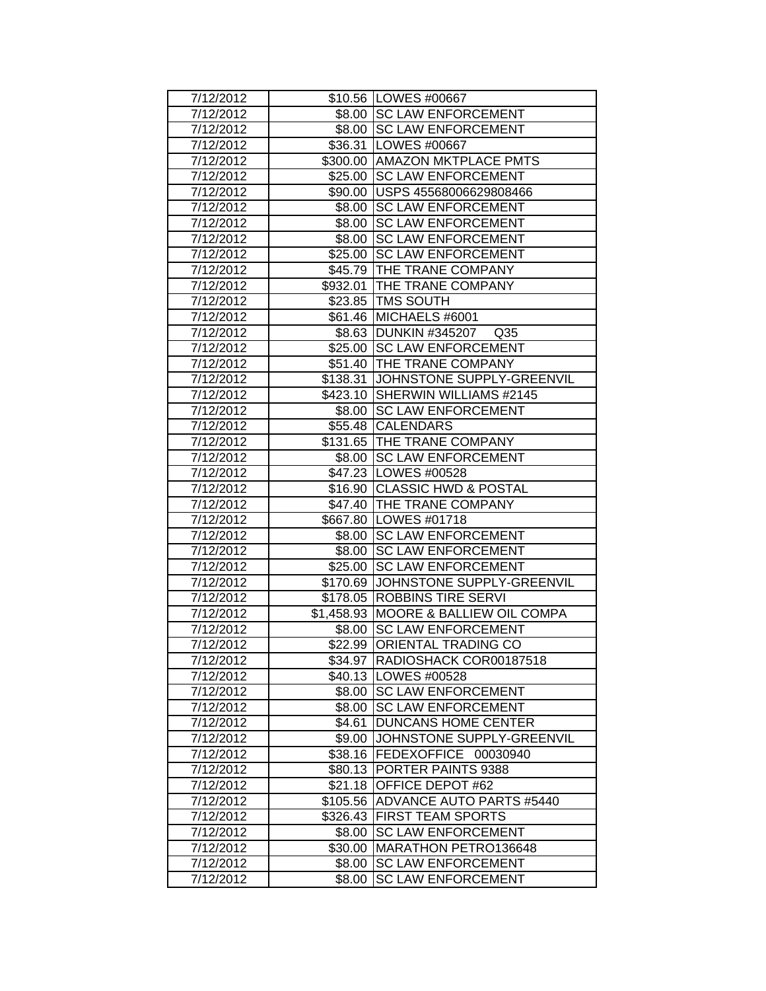| 7/12/2012 |          | \$10.56 LOWES #00667                 |
|-----------|----------|--------------------------------------|
| 7/12/2012 |          | \$8.00 SC LAW ENFORCEMENT            |
| 7/12/2012 |          | \$8.00 SC LAW ENFORCEMENT            |
| 7/12/2012 |          | \$36.31   LOWES #00667               |
| 7/12/2012 |          | \$300.00 AMAZON MKTPLACE PMTS        |
| 7/12/2012 |          | \$25.00 SC LAW ENFORCEMENT           |
| 7/12/2012 |          | \$90.00 USPS 45568006629808466       |
| 7/12/2012 | \$8.00   | <b>SC LAW ENFORCEMENT</b>            |
| 7/12/2012 |          | \$8.00 SC LAW ENFORCEMENT            |
| 7/12/2012 |          | \$8.00 SC LAW ENFORCEMENT            |
| 7/12/2012 | \$25.00  | <b>SC LAW ENFORCEMENT</b>            |
| 7/12/2012 |          | \$45.79   THE TRANE COMPANY          |
| 7/12/2012 |          | \$932.01 THE TRANE COMPANY           |
| 7/12/2012 |          | \$23.85   TMS SOUTH                  |
| 7/12/2012 |          | \$61.46 MICHAELS #6001               |
| 7/12/2012 |          | \$8.63 DUNKIN #345207 Q35            |
| 7/12/2012 |          | \$25.00 SC LAW ENFORCEMENT           |
| 7/12/2012 |          | \$51.40 THE TRANE COMPANY            |
| 7/12/2012 | \$138.31 | JOHNSTONE SUPPLY-GREENVIL            |
| 7/12/2012 | \$423.10 | SHERWIN WILLIAMS #2145               |
| 7/12/2012 |          | \$8.00 SC LAW ENFORCEMENT            |
| 7/12/2012 |          | \$55.48 CALENDARS                    |
| 7/12/2012 |          | \$131.65 THE TRANE COMPANY           |
| 7/12/2012 | \$8.00   | <b>SC LAW ENFORCEMENT</b>            |
| 7/12/2012 |          | \$47.23   LOWES #00528               |
| 7/12/2012 |          | \$16.90 CLASSIC HWD & POSTAL         |
| 7/12/2012 |          | \$47.40 THE TRANE COMPANY            |
| 7/12/2012 |          | \$667.80   LOWES #01718              |
| 7/12/2012 |          | \$8.00 SC LAW ENFORCEMENT            |
| 7/12/2012 |          | \$8.00 SC LAW ENFORCEMENT            |
| 7/12/2012 | \$25.00  | <b>SC LAW ENFORCEMENT</b>            |
| 7/12/2012 | \$170.69 | JOHNSTONE SUPPLY-GREENVIL            |
| 7/12/2012 |          | \$178.05 ROBBINS TIRE SERVI          |
| 7/12/2012 |          | \$1,458.93 MOORE & BALLIEW OIL COMPA |
| 7/12/2012 | \$8.00   | <b>SC LAW ENFORCEMENT</b>            |
| 7/12/2012 |          | \$22.99 ORIENTAL TRADING CO          |
| 7/12/2012 |          | \$34.97 RADIOSHACK COR00187518       |
| 7/12/2012 |          | \$40.13   LOWES #00528               |
| 7/12/2012 |          | \$8.00 SC LAW ENFORCEMENT            |
| 7/12/2012 |          | \$8.00 SC LAW ENFORCEMENT            |
| 7/12/2012 | \$4.61   | <b>DUNCANS HOME CENTER</b>           |
| 7/12/2012 |          | \$9.00 JJOHNSTONE SUPPLY-GREENVIL    |
| 7/12/2012 |          | \$38.16 FEDEXOFFICE 00030940         |
| 7/12/2012 |          | \$80.13 PORTER PAINTS 9388           |
| 7/12/2012 |          | \$21.18 OFFICE DEPOT #62             |
| 7/12/2012 |          | \$105.56 ADVANCE AUTO PARTS #5440    |
| 7/12/2012 |          | \$326.43 FIRST TEAM SPORTS           |
| 7/12/2012 | \$8.00   | <b>SC LAW ENFORCEMENT</b>            |
| 7/12/2012 | \$30.00  | MARATHON PETRO136648                 |
| 7/12/2012 | \$8.00   | <b>SC LAW ENFORCEMENT</b>            |
| 7/12/2012 | \$8.00   | <b>SC LAW ENFORCEMENT</b>            |
|           |          |                                      |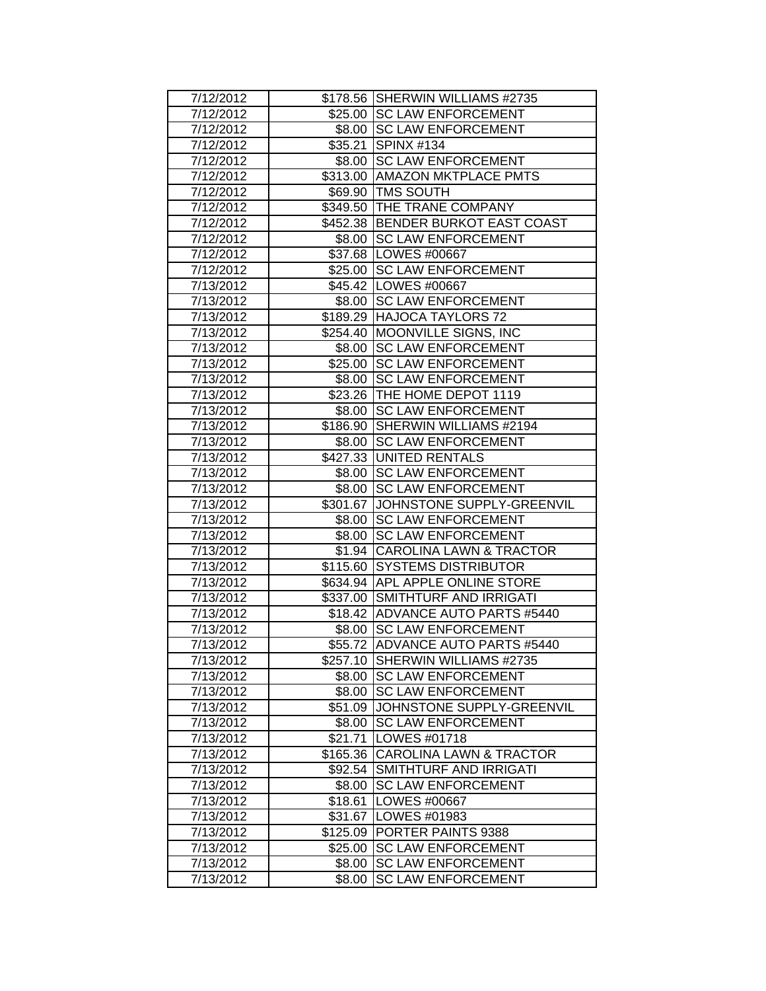| 7/12/2012 |         | \$178.56 SHERWIN WILLIAMS #2735     |
|-----------|---------|-------------------------------------|
| 7/12/2012 |         | \$25.00 SC LAW ENFORCEMENT          |
| 7/12/2012 |         | \$8.00 SC LAW ENFORCEMENT           |
| 7/12/2012 |         | \$35.21 SPINX #134                  |
| 7/12/2012 |         | \$8.00 SC LAW ENFORCEMENT           |
| 7/12/2012 |         | \$313.00 AMAZON MKTPLACE PMTS       |
| 7/12/2012 |         | \$69.90 TMS SOUTH                   |
| 7/12/2012 |         | \$349.50 THE TRANE COMPANY          |
| 7/12/2012 |         | \$452.38 BENDER BURKOT EAST COAST   |
| 7/12/2012 |         | \$8.00 SC LAW ENFORCEMENT           |
| 7/12/2012 |         | \$37.68   LOWES #00667              |
| 7/12/2012 |         | \$25.00 SC LAW ENFORCEMENT          |
| 7/13/2012 |         | \$45.42   LOWES #00667              |
| 7/13/2012 |         | \$8.00 SC LAW ENFORCEMENT           |
| 7/13/2012 |         | \$189.29 HAJOCA TAYLORS 72          |
| 7/13/2012 |         | \$254.40 MOONVILLE SIGNS, INC       |
| 7/13/2012 | \$8.00  | <b>SC LAW ENFORCEMENT</b>           |
| 7/13/2012 | \$25.00 | <b>SC LAW ENFORCEMENT</b>           |
| 7/13/2012 | \$8.00  | <b>SC LAW ENFORCEMENT</b>           |
| 7/13/2012 |         | \$23.26 THE HOME DEPOT 1119         |
| 7/13/2012 |         | \$8.00 SC LAW ENFORCEMENT           |
| 7/13/2012 |         | \$186.90 SHERWIN WILLIAMS #2194     |
| 7/13/2012 |         | \$8.00 SC LAW ENFORCEMENT           |
| 7/13/2012 |         | \$427.33 UNITED RENTALS             |
| 7/13/2012 |         | \$8.00 SC LAW ENFORCEMENT           |
| 7/13/2012 |         | \$8.00 SC LAW ENFORCEMENT           |
| 7/13/2012 |         | \$301.67 JJOHNSTONE SUPPLY-GREENVIL |
| 7/13/2012 |         | \$8.00 SC LAW ENFORCEMENT           |
| 7/13/2012 |         | \$8.00 SC LAW ENFORCEMENT           |
| 7/13/2012 |         | \$1.94 CAROLINA LAWN & TRACTOR      |
| 7/13/2012 |         | \$115.60 SYSTEMS DISTRIBUTOR        |
| 7/13/2012 |         | \$634.94 APL APPLE ONLINE STORE     |
| 7/13/2012 |         | \$337.00 SMITHTURF AND IRRIGATI     |
| 7/13/2012 |         | \$18.42   ADVANCE AUTO PARTS #5440  |
| 7/13/2012 |         | \$8.00 SC LAW ENFORCEMENT           |
| 7/13/2012 |         | \$55.72 ADVANCE AUTO PARTS #5440    |
| 7/13/2012 |         | \$257.10 SHERWIN WILLIAMS #2735     |
| 7/13/2012 |         | \$8.00 SC LAW ENFORCEMENT           |
| 7/13/2012 |         | \$8.00 SC LAW ENFORCEMENT           |
| 7/13/2012 |         | \$51.09 JOHNSTONE SUPPLY-GREENVIL   |
| 7/13/2012 |         | \$8.00 SC LAW ENFORCEMENT           |
| 7/13/2012 |         | \$21.71   LOWES #01718              |
| 7/13/2012 |         | \$165.36 CAROLINA LAWN & TRACTOR    |
| 7/13/2012 |         | \$92.54 SMITHTURF AND IRRIGATI      |
| 7/13/2012 | \$8.00  | <b>SC LAW ENFORCEMENT</b>           |
| 7/13/2012 |         | \$18.61   LOWES #00667              |
| 7/13/2012 |         | \$31.67 LOWES #01983                |
| 7/13/2012 |         | \$125.09 PORTER PAINTS 9388         |
| 7/13/2012 |         | \$25.00 SC LAW ENFORCEMENT          |
| 7/13/2012 | \$8.00  | <b>SC LAW ENFORCEMENT</b>           |
| 7/13/2012 | \$8.00  | <b>SC LAW ENFORCEMENT</b>           |
|           |         |                                     |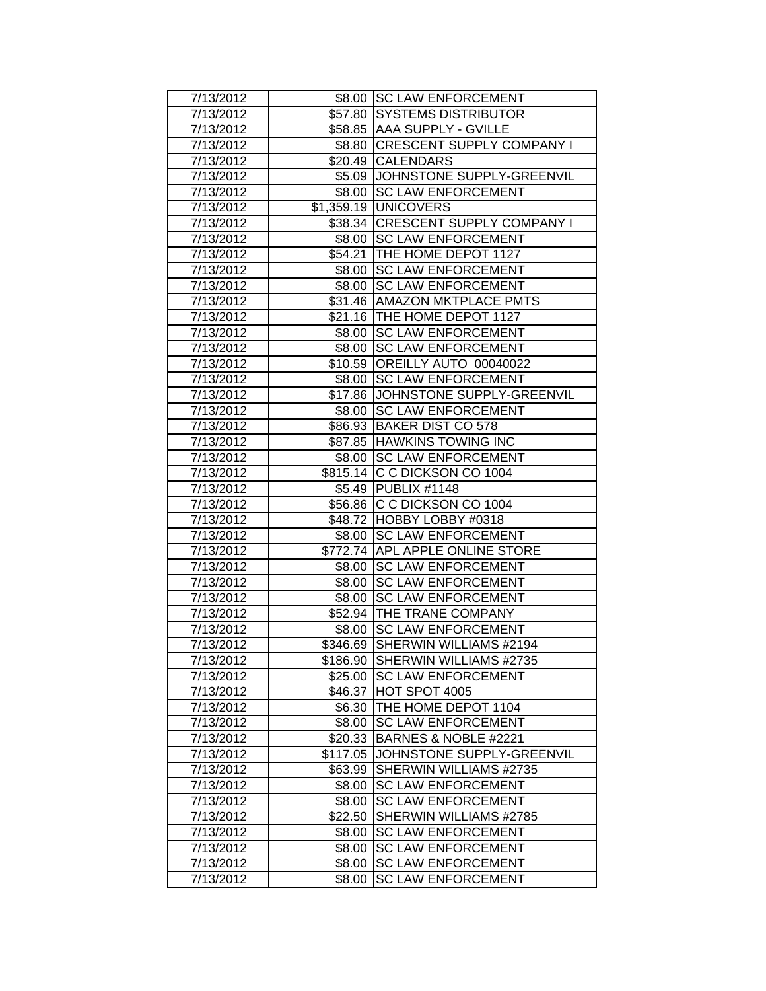| 7/13/2012 |         | \$8.00 SC LAW ENFORCEMENT          |
|-----------|---------|------------------------------------|
| 7/13/2012 |         | \$57.80 SYSTEMS DISTRIBUTOR        |
| 7/13/2012 |         | \$58.85 AAA SUPPLY - GVILLE        |
| 7/13/2012 |         | \$8.80 CRESCENT SUPPLY COMPANY I   |
| 7/13/2012 |         | \$20.49 CALENDARS                  |
| 7/13/2012 |         | \$5.09 JOHNSTONE SUPPLY-GREENVIL   |
| 7/13/2012 |         | \$8.00   SC LAW ENFORCEMENT        |
| 7/13/2012 |         | \$1,359.19 UNICOVERS               |
| 7/13/2012 |         | \$38.34 CRESCENT SUPPLY COMPANY I  |
| 7/13/2012 |         | \$8.00 SC LAW ENFORCEMENT          |
| 7/13/2012 |         | \$54.21 THE HOME DEPOT 1127        |
| 7/13/2012 |         | \$8.00 SC LAW ENFORCEMENT          |
| 7/13/2012 |         | \$8.00 SC LAW ENFORCEMENT          |
| 7/13/2012 |         | \$31.46 AMAZON MKTPLACE PMTS       |
| 7/13/2012 |         | \$21.16   THE HOME DEPOT 1127      |
| 7/13/2012 |         | \$8.00 SC LAW ENFORCEMENT          |
| 7/13/2012 |         | \$8.00 SC LAW ENFORCEMENT          |
| 7/13/2012 |         | \$10.59 OREILLY AUTO 00040022      |
| 7/13/2012 | \$8.00  | <b>SC LAW ENFORCEMENT</b>          |
| 7/13/2012 |         | \$17.86 JOHNSTONE SUPPLY-GREENVIL  |
| 7/13/2012 |         | \$8.00 SC LAW ENFORCEMENT          |
| 7/13/2012 |         | \$86.93 BAKER DIST CO 578          |
| 7/13/2012 |         | \$87.85 HAWKINS TOWING INC         |
| 7/13/2012 |         | \$8.00 SC LAW ENFORCEMENT          |
| 7/13/2012 |         | \$815.14 C C DICKSON CO 1004       |
| 7/13/2012 |         | \$5.49 PUBLIX #1148                |
| 7/13/2012 |         | \$56.86 C C DICKSON CO 1004        |
| 7/13/2012 |         | \$48.72 HOBBY LOBBY #0318          |
| 7/13/2012 |         | \$8.00 SC LAW ENFORCEMENT          |
| 7/13/2012 |         | \$772.74 APL APPLE ONLINE STORE    |
| 7/13/2012 |         | \$8.00 SC LAW ENFORCEMENT          |
| 7/13/2012 |         | \$8.00 SC LAW ENFORCEMENT          |
| 7/13/2012 | \$8.00  | <b>SC LAW ENFORCEMENT</b>          |
| 7/13/2012 |         | \$52.94 THE TRANE COMPANY          |
| 7/13/2012 |         | \$8.00 SC LAW ENFORCEMENT          |
| 7/13/2012 |         | \$346.69 SHERWIN WILLIAMS #2194    |
| 7/13/2012 |         | \$186.90 SHERWIN WILLIAMS #2735    |
| 7/13/2012 |         | \$25.00 SC LAW ENFORCEMENT         |
| 7/13/2012 | \$46.37 | HOT SPOT 4005                      |
| 7/13/2012 |         | \$6.30   THE HOME DEPOT 1104       |
| 7/13/2012 |         | \$8.00 SC LAW ENFORCEMENT          |
| 7/13/2012 |         | \$20.33 BARNES & NOBLE #2221       |
| 7/13/2012 |         | \$117.05 JOHNSTONE SUPPLY-GREENVIL |
| 7/13/2012 |         | \$63.99 SHERWIN WILLIAMS #2735     |
| 7/13/2012 | \$8.00  | <b>SC LAW ENFORCEMENT</b>          |
| 7/13/2012 | \$8.00  | <b>SC LAW ENFORCEMENT</b>          |
| 7/13/2012 |         | \$22.50 SHERWIN WILLIAMS #2785     |
| 7/13/2012 | \$8.00  | <b>SC LAW ENFORCEMENT</b>          |
| 7/13/2012 | \$8.00  | <b>SC LAW ENFORCEMENT</b>          |
| 7/13/2012 | \$8.00  | <b>SC LAW ENFORCEMENT</b>          |
| 7/13/2012 | \$8.00  | <b>SC LAW ENFORCEMENT</b>          |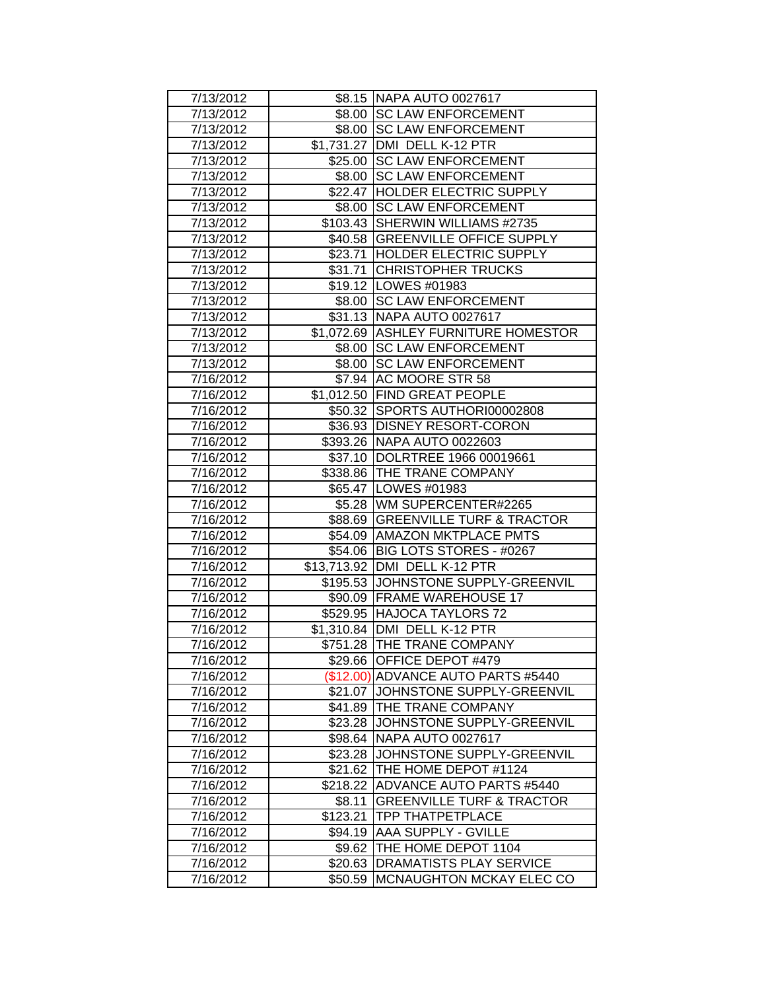| 7/13/2012 |          | \$8.15   NAPA AUTO 0027617           |
|-----------|----------|--------------------------------------|
| 7/13/2012 |          | \$8.00 SC LAW ENFORCEMENT            |
| 7/13/2012 |          | \$8.00 SC LAW ENFORCEMENT            |
| 7/13/2012 |          | \$1,731.27 DMI DELL K-12 PTR         |
| 7/13/2012 |          | \$25.00 SC LAW ENFORCEMENT           |
| 7/13/2012 | \$8.00   | <b>SC LAW ENFORCEMENT</b>            |
| 7/13/2012 |          | \$22.47 HOLDER ELECTRIC SUPPLY       |
| 7/13/2012 | \$8.00   | <b>SC LAW ENFORCEMENT</b>            |
| 7/13/2012 |          | \$103.43 SHERWIN WILLIAMS #2735      |
| 7/13/2012 |          | \$40.58 GREENVILLE OFFICE SUPPLY     |
| 7/13/2012 |          | \$23.71 HOLDER ELECTRIC SUPPLY       |
| 7/13/2012 |          | \$31.71 CHRISTOPHER TRUCKS           |
| 7/13/2012 |          | \$19.12   LOWES #01983               |
| 7/13/2012 |          | \$8.00 SC LAW ENFORCEMENT            |
| 7/13/2012 |          | \$31.13 NAPA AUTO 0027617            |
| 7/13/2012 |          | \$1,072.69 ASHLEY FURNITURE HOMESTOR |
| 7/13/2012 |          | \$8.00 SC LAW ENFORCEMENT            |
| 7/13/2012 | \$8.00   | <b>SC LAW ENFORCEMENT</b>            |
| 7/16/2012 |          | \$7.94 AC MOORE STR 58               |
| 7/16/2012 |          | \$1,012.50 FIND GREAT PEOPLE         |
| 7/16/2012 |          | \$50.32 SPORTS AUTHORI00002808       |
| 7/16/2012 |          | \$36.93   DISNEY RESORT-CORON        |
| 7/16/2012 |          | \$393.26   NAPA AUTO 0022603         |
| 7/16/2012 |          | \$37.10  DOLRTREE 1966 00019661      |
| 7/16/2012 |          | \$338.86 THE TRANE COMPANY           |
| 7/16/2012 |          | \$65.47   LOWES #01983               |
| 7/16/2012 |          | \$5.28   WM SUPERCENTER#2265         |
| 7/16/2012 |          | \$88.69 GREENVILLE TURF & TRACTOR    |
| 7/16/2012 |          | \$54.09 AMAZON MKTPLACE PMTS         |
| 7/16/2012 |          | \$54.06 BIG LOTS STORES - #0267      |
| 7/16/2012 |          | \$13,713.92 DMI DELL K-12 PTR        |
| 7/16/2012 |          | \$195.53 JJOHNSTONE SUPPLY-GREENVIL  |
| 7/16/2012 |          | \$90.09   FRAME WAREHOUSE 17         |
| 7/16/2012 |          | \$529.95 HAJOCA TAYLORS 72           |
| 7/16/2012 |          | \$1,310.84 DMI DELL K-12 PTR         |
| 7/16/2012 |          | \$751.28 THE TRANE COMPANY           |
| 7/16/2012 |          | \$29.66 OFFICE DEPOT #479            |
| 7/16/2012 |          | (\$12.00) ADVANCE AUTO PARTS #5440   |
| 7/16/2012 |          | \$21.07 JJOHNSTONE SUPPLY-GREENVIL   |
| 7/16/2012 |          | \$41.89 THE TRANE COMPANY            |
| 7/16/2012 |          | \$23.28 JJOHNSTONE SUPPLY-GREENVIL   |
| 7/16/2012 |          | \$98.64 NAPA AUTO 0027617            |
| 7/16/2012 |          | \$23.28 JJOHNSTONE SUPPLY-GREENVIL   |
| 7/16/2012 |          | \$21.62   THE HOME DEPOT #1124       |
| 7/16/2012 |          | \$218.22 ADVANCE AUTO PARTS #5440    |
| 7/16/2012 | \$8.11   | <b>GREENVILLE TURF &amp; TRACTOR</b> |
| 7/16/2012 | \$123.21 | <b>ITPP THATPETPLACE</b>             |
| 7/16/2012 | \$94.19  | <b>AAA SUPPLY - GVILLE</b>           |
| 7/16/2012 | \$9.62   | THE HOME DEPOT 1104                  |
| 7/16/2012 | \$20.63  | <b>DRAMATISTS PLAY SERVICE</b>       |
| 7/16/2012 | \$50.59  | <b>MCNAUGHTON MCKAY ELEC CO</b>      |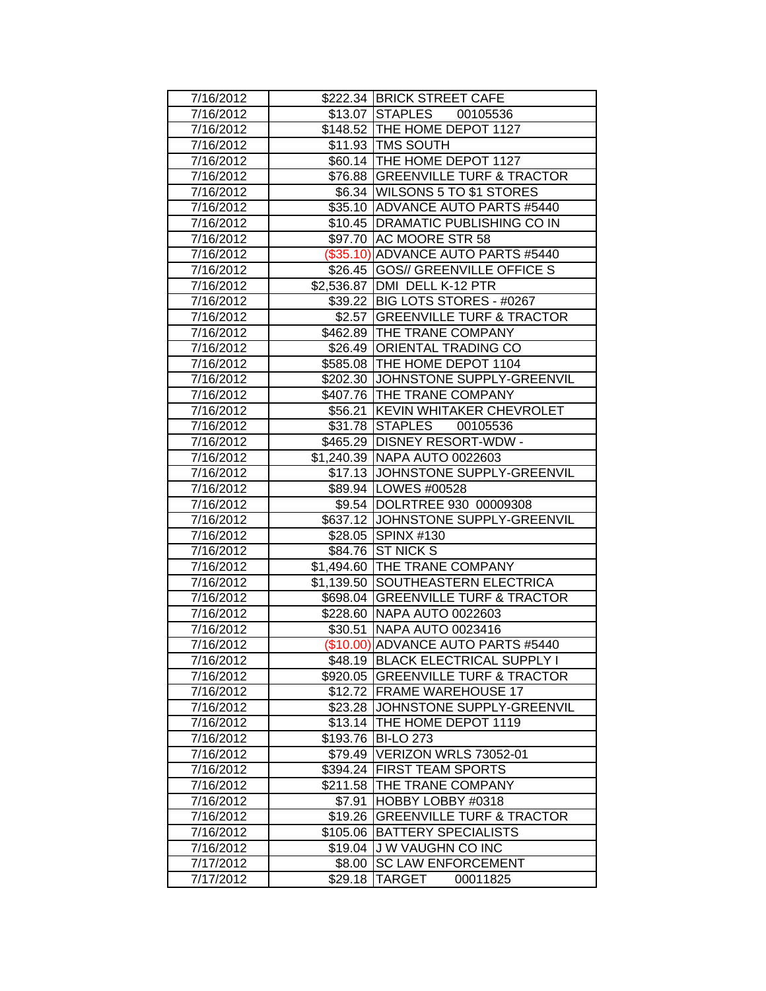| 7/16/2012 |         | \$222.34 BRICK STREET CAFE          |
|-----------|---------|-------------------------------------|
| 7/16/2012 |         | \$13.07 STAPLES 00105536            |
| 7/16/2012 |         | \$148.52 THE HOME DEPOT 1127        |
| 7/16/2012 |         | \$11.93 TMS SOUTH                   |
| 7/16/2012 |         | \$60.14 THE HOME DEPOT 1127         |
| 7/16/2012 |         | \$76.88 GREENVILLE TURF & TRACTOR   |
| 7/16/2012 |         | \$6.34   WILSONS 5 TO \$1 STORES    |
| 7/16/2012 |         | \$35.10 ADVANCE AUTO PARTS #5440    |
| 7/16/2012 |         | \$10.45   DRAMATIC PUBLISHING CO IN |
| 7/16/2012 |         | \$97.70 AC MOORE STR 58             |
| 7/16/2012 |         | (\$35.10) ADVANCE AUTO PARTS #5440  |
| 7/16/2012 |         | \$26.45 GOS// GREENVILLE OFFICE S   |
| 7/16/2012 |         | \$2,536.87   DMI DELL K-12 PTR      |
| 7/16/2012 |         | \$39.22 BIG LOTS STORES - #0267     |
| 7/16/2012 |         | \$2.57 GREENVILLE TURF & TRACTOR    |
| 7/16/2012 |         | \$462.89 THE TRANE COMPANY          |
| 7/16/2012 |         | \$26.49 ORIENTAL TRADING CO         |
| 7/16/2012 |         | \$585.08 THE HOME DEPOT 1104        |
| 7/16/2012 |         | \$202.30 JJOHNSTONE SUPPLY-GREENVIL |
| 7/16/2012 |         | \$407.76 THE TRANE COMPANY          |
| 7/16/2012 |         | \$56.21 KEVIN WHITAKER CHEVROLET    |
| 7/16/2012 |         | \$31.78 STAPLES 00105536            |
| 7/16/2012 |         | \$465.29   DISNEY RESORT-WDW -      |
| 7/16/2012 |         | \$1,240.39   NAPA AUTO 0022603      |
| 7/16/2012 |         | \$17.13 JOHNSTONE SUPPLY-GREENVIL   |
| 7/16/2012 |         | \$89.94   LOWES #00528              |
| 7/16/2012 |         | \$9.54 DOLRTREE 930 00009308        |
| 7/16/2012 |         | \$637.12 JOHNSTONE SUPPLY-GREENVIL  |
| 7/16/2012 |         | \$28.05 SPINX #130                  |
| 7/16/2012 |         | \$84.76 ST NICK S                   |
| 7/16/2012 |         | \$1,494.60 THE TRANE COMPANY        |
| 7/16/2012 |         | \$1,139.50 SOUTHEASTERN ELECTRICA   |
| 7/16/2012 |         | \$698.04 GREENVILLE TURF & TRACTOR  |
| 7/16/2012 |         | \$228.60 NAPA AUTO 0022603          |
| 7/16/2012 | \$30.51 | NAPA AUTO 0023416                   |
| 7/16/2012 |         | (\$10.00) ADVANCE AUTO PARTS #5440  |
| 7/16/2012 |         | \$48.19 BLACK ELECTRICAL SUPPLY I   |
| 7/16/2012 |         | \$920.05 GREENVILLE TURF & TRACTOR  |
| 7/16/2012 |         | \$12.72 FRAME WAREHOUSE 17          |
| 7/16/2012 |         | \$23.28 JJOHNSTONE SUPPLY-GREENVIL  |
| 7/16/2012 |         | \$13.14 THE HOME DEPOT 1119         |
| 7/16/2012 |         | \$193.76 BI-LO 273                  |
| 7/16/2012 |         | \$79.49 VERIZON WRLS 73052-01       |
| 7/16/2012 |         | \$394.24 FIRST TEAM SPORTS          |
| 7/16/2012 |         | \$211.58 THE TRANE COMPANY          |
| 7/16/2012 | \$7.91  | HOBBY LOBBY #0318                   |
| 7/16/2012 |         | \$19.26 GREENVILLE TURF & TRACTOR   |
| 7/16/2012 |         | \$105.06 BATTERY SPECIALISTS        |
| 7/16/2012 | \$19.04 | J W VAUGHN CO INC                   |
| 7/17/2012 | \$8.00  | <b>SC LAW ENFORCEMENT</b>           |
| 7/17/2012 | \$29.18 | TARGET<br>00011825                  |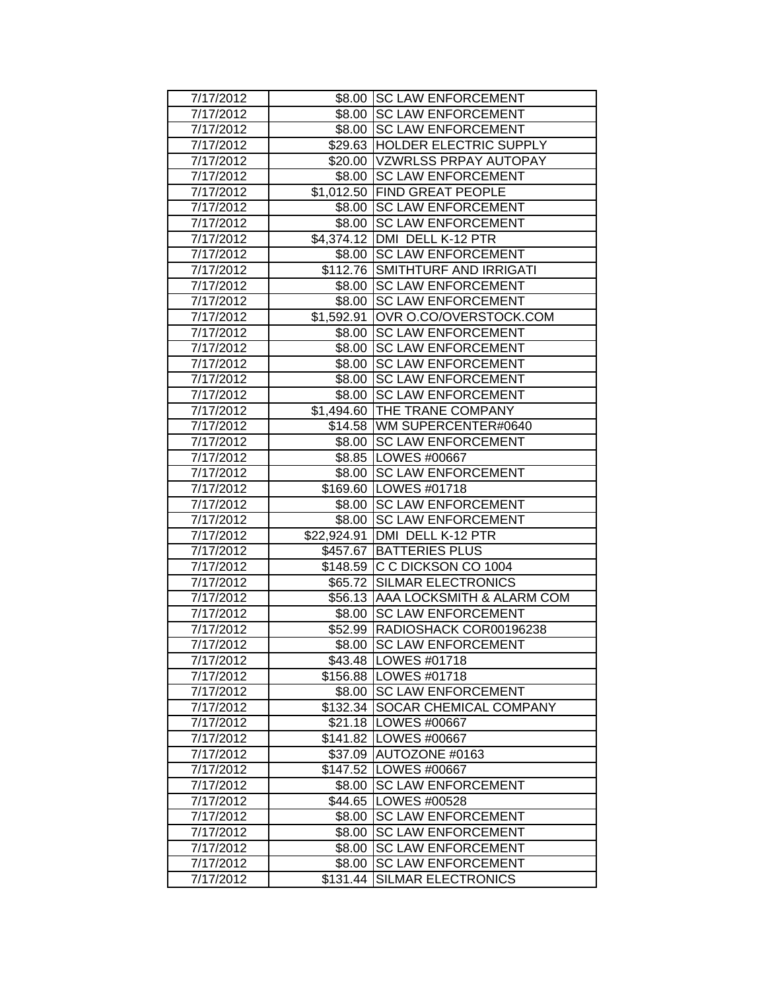| 7/17/2012 |             | \$8.00 SC LAW ENFORCEMENT         |
|-----------|-------------|-----------------------------------|
| 7/17/2012 |             | \$8.00 SC LAW ENFORCEMENT         |
| 7/17/2012 |             | \$8.00 SC LAW ENFORCEMENT         |
| 7/17/2012 |             | \$29.63 HOLDER ELECTRIC SUPPLY    |
| 7/17/2012 |             | \$20.00 VZWRLSS PRPAY AUTOPAY     |
| 7/17/2012 |             | \$8.00 SC LAW ENFORCEMENT         |
| 7/17/2012 |             | \$1,012.50 FIND GREAT PEOPLE      |
| 7/17/2012 | \$8.00      | <b>SC LAW ENFORCEMENT</b>         |
| 7/17/2012 | \$8.00      | <b>SC LAW ENFORCEMENT</b>         |
| 7/17/2012 |             | \$4,374.12 DMI DELL K-12 PTR      |
| 7/17/2012 |             | \$8.00 SC LAW ENFORCEMENT         |
| 7/17/2012 |             | \$112.76 SMITHTURF AND IRRIGATI   |
| 7/17/2012 |             | \$8.00 SC LAW ENFORCEMENT         |
| 7/17/2012 |             | \$8.00 SC LAW ENFORCEMENT         |
| 7/17/2012 | \$1,592.91  | OVR O.CO/OVERSTOCK.COM            |
| 7/17/2012 | \$8.00      | <b>SC LAW ENFORCEMENT</b>         |
| 7/17/2012 | \$8.00      | <b>SC LAW ENFORCEMENT</b>         |
| 7/17/2012 | \$8.00      | <b>SC LAW ENFORCEMENT</b>         |
| 7/17/2012 | \$8.00      | <b>SC LAW ENFORCEMENT</b>         |
| 7/17/2012 | \$8.00      | <b>SC LAW ENFORCEMENT</b>         |
| 7/17/2012 |             | \$1,494.60 THE TRANE COMPANY      |
| 7/17/2012 |             | \$14.58 WM SUPERCENTER#0640       |
| 7/17/2012 |             | \$8.00 SC LAW ENFORCEMENT         |
| 7/17/2012 |             | \$8.85   LOWES #00667             |
| 7/17/2012 |             | \$8.00 SC LAW ENFORCEMENT         |
| 7/17/2012 |             | \$169.60 LOWES #01718             |
| 7/17/2012 |             | \$8.00 SC LAW ENFORCEMENT         |
| 7/17/2012 |             | \$8.00 SC LAW ENFORCEMENT         |
| 7/17/2012 | \$22,924.91 | DMI DELL K-12 PTR                 |
| 7/17/2012 | \$457.67    | <b>BATTERIES PLUS</b>             |
| 7/17/2012 | \$148.59    | C C DICKSON CO 1004               |
| 7/17/2012 | \$65.72     | <b>SILMAR ELECTRONICS</b>         |
| 7/17/2012 |             | \$56.13 AAA LOCKSMITH & ALARM COM |
| 7/17/2012 | \$8.00      | <b>SC LAW ENFORCEMENT</b>         |
| 7/17/2012 |             | \$52.99 RADIOSHACK COR00196238    |
| 7/17/2012 |             | \$8.00 SC LAW ENFORCEMENT         |
| 7/17/2012 |             | \$43.48   LOWES #01718            |
| 7/17/2012 |             | \$156.88   LOWES #01718           |
| 7/17/2012 |             | \$8.00 SC LAW ENFORCEMENT         |
| 7/17/2012 |             | \$132.34 SOCAR CHEMICAL COMPANY   |
| 7/17/2012 |             | \$21.18   LOWES #00667            |
| 7/17/2012 |             | \$141.82   LOWES #00667           |
| 7/17/2012 |             | \$37.09 AUTOZONE #0163            |
| 7/17/2012 |             | \$147.52 LOWES #00667             |
| 7/17/2012 |             | \$8.00 SC LAW ENFORCEMENT         |
| 7/17/2012 |             | \$44.65   LOWES #00528            |
| 7/17/2012 |             | \$8.00 SC LAW ENFORCEMENT         |
| 7/17/2012 | \$8.00      | <b>SC LAW ENFORCEMENT</b>         |
| 7/17/2012 | \$8.00      | <b>SC LAW ENFORCEMENT</b>         |
| 7/17/2012 | \$8.00      | <b>SC LAW ENFORCEMENT</b>         |
| 7/17/2012 | \$131.44    | <b>SILMAR ELECTRONICS</b>         |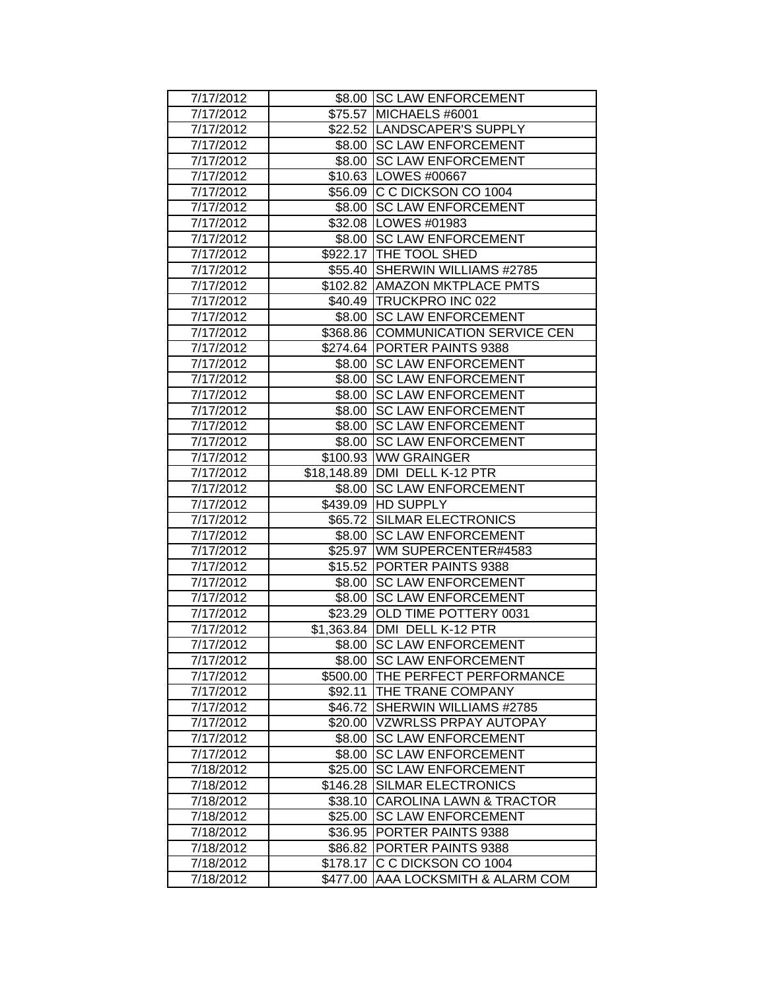| 7/17/2012 |          | \$8.00 SC LAW ENFORCEMENT          |
|-----------|----------|------------------------------------|
| 7/17/2012 |          | \$75.57 MICHAELS #6001             |
| 7/17/2012 |          | \$22.52 LANDSCAPER'S SUPPLY        |
| 7/17/2012 |          | \$8.00 SC LAW ENFORCEMENT          |
| 7/17/2012 |          | \$8.00 SC LAW ENFORCEMENT          |
| 7/17/2012 |          | \$10.63 LOWES #00667               |
| 7/17/2012 |          | \$56.09 C C DICKSON CO 1004        |
| 7/17/2012 |          | \$8.00 SC LAW ENFORCEMENT          |
| 7/17/2012 |          | \$32.08   LOWES #01983             |
| 7/17/2012 |          | \$8.00 SC LAW ENFORCEMENT          |
| 7/17/2012 |          | \$922.17 THE TOOL SHED             |
| 7/17/2012 |          | \$55.40 SHERWIN WILLIAMS #2785     |
| 7/17/2012 |          | \$102.82   AMAZON MKTPLACE PMTS    |
| 7/17/2012 |          | \$40.49 TRUCKPRO INC 022           |
| 7/17/2012 |          | \$8.00 SC LAW ENFORCEMENT          |
| 7/17/2012 |          | \$368.86 COMMUNICATION SERVICE CEN |
| 7/17/2012 |          | \$274.64 PORTER PAINTS 9388        |
| 7/17/2012 | \$8.00   | <b>SC LAW ENFORCEMENT</b>          |
| 7/17/2012 | \$8.00   | <b>SC LAW ENFORCEMENT</b>          |
| 7/17/2012 | \$8.00   | <b>SC LAW ENFORCEMENT</b>          |
| 7/17/2012 |          | \$8.00 SC LAW ENFORCEMENT          |
| 7/17/2012 |          | \$8.00 SC LAW ENFORCEMENT          |
| 7/17/2012 |          | \$8.00 SC LAW ENFORCEMENT          |
| 7/17/2012 |          | \$100.93 WW GRAINGER               |
| 7/17/2012 |          | \$18,148.89   DMI DELL K-12 PTR    |
| 7/17/2012 |          | \$8.00 SC LAW ENFORCEMENT          |
| 7/17/2012 |          | \$439.09 HD SUPPLY                 |
| 7/17/2012 |          | \$65.72 SILMAR ELECTRONICS         |
| 7/17/2012 |          | \$8.00 SC LAW ENFORCEMENT          |
| 7/17/2012 |          | \$25.97 WM SUPERCENTER#4583        |
| 7/17/2012 |          | \$15.52 PORTER PAINTS 9388         |
| 7/17/2012 | \$8.00   | <b>SC LAW ENFORCEMENT</b>          |
| 7/17/2012 |          | \$8.00 SC LAW ENFORCEMENT          |
| 7/17/2012 |          | \$23.29 OLD TIME POTTERY 0031      |
| 7/17/2012 |          | \$1,363.84 DMI DELL K-12 PTR       |
| 7/17/2012 |          | \$8.00 SC LAW ENFORCEMENT          |
| 7/17/2012 |          | \$8.00 SC LAW ENFORCEMENT          |
| 7/17/2012 |          | \$500.00 THE PERFECT PERFORMANCE   |
| 7/17/2012 |          | \$92.11 THE TRANE COMPANY          |
| 7/17/2012 |          | \$46.72 SHERWIN WILLIAMS #2785     |
| 7/17/2012 |          | \$20.00 VZWRLSS PRPAY AUTOPAY      |
| 7/17/2012 |          | \$8.00 SC LAW ENFORCEMENT          |
| 7/17/2012 | \$8.00   | <b>SC LAW ENFORCEMENT</b>          |
| 7/18/2012 | \$25.00  | <b>SC LAW ENFORCEMENT</b>          |
| 7/18/2012 | \$146.28 | <b>SILMAR ELECTRONICS</b>          |
| 7/18/2012 |          | \$38.10 CAROLINA LAWN & TRACTOR    |
| 7/18/2012 | \$25.00  | <b>SC LAW ENFORCEMENT</b>          |
| 7/18/2012 | \$36.95  | <b>PORTER PAINTS 9388</b>          |
| 7/18/2012 | \$86.82  | <b>PORTER PAINTS 9388</b>          |
| 7/18/2012 | \$178.17 | C C DICKSON CO 1004                |
| 7/18/2012 | \$477.00 | AAA LOCKSMITH & ALARM COM          |
|           |          |                                    |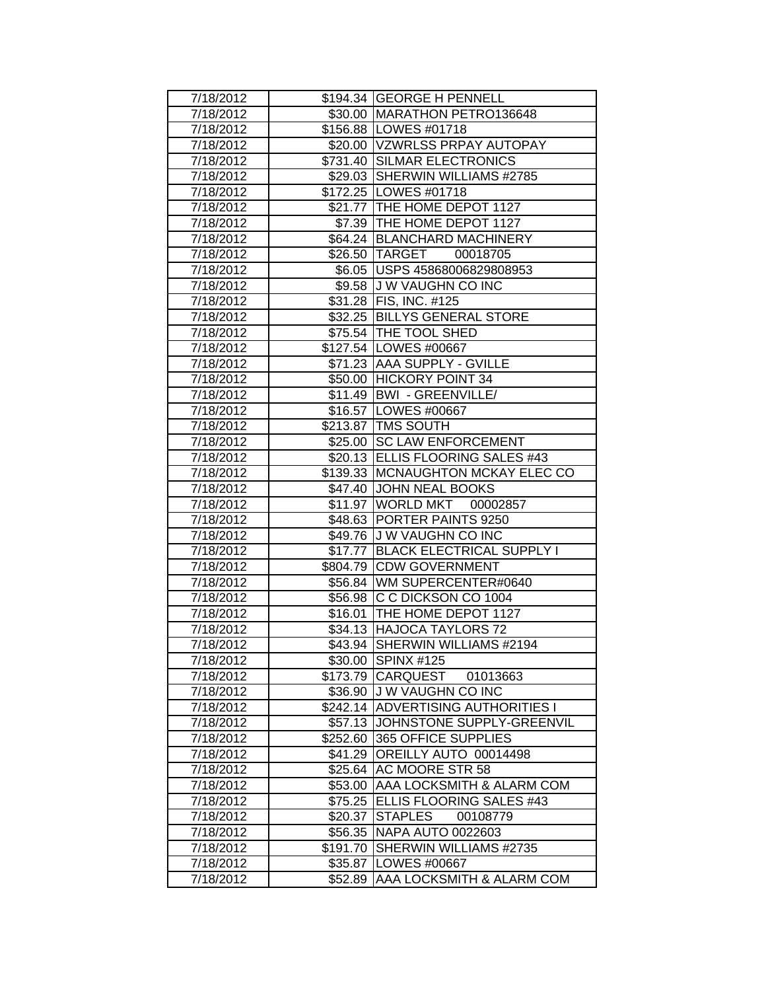| 7/18/2012 |          | \$194.34 GEORGE H PENNELL           |
|-----------|----------|-------------------------------------|
| 7/18/2012 |          | \$30.00   MARATHON PETRO136648      |
| 7/18/2012 |          | \$156.88 LOWES #01718               |
| 7/18/2012 |          | \$20.00 VZWRLSS PRPAY AUTOPAY       |
| 7/18/2012 |          | \$731.40 SILMAR ELECTRONICS         |
| 7/18/2012 |          | \$29.03 SHERWIN WILLIAMS #2785      |
| 7/18/2012 |          | \$172.25 LOWES #01718               |
| 7/18/2012 |          | \$21.77 THE HOME DEPOT 1127         |
| 7/18/2012 |          | \$7.39 THE HOME DEPOT 1127          |
| 7/18/2012 |          | \$64.24 BLANCHARD MACHINERY         |
| 7/18/2012 |          | \$26.50 TARGET 00018705             |
| 7/18/2012 |          | \$6.05   USPS 45868006829808953     |
| 7/18/2012 |          | \$9.58 JJ W VAUGHN CO INC           |
| 7/18/2012 |          | \$31.28   FIS, INC. #125            |
| 7/18/2012 |          | \$32.25 BILLYS GENERAL STORE        |
| 7/18/2012 |          | \$75.54 THE TOOL SHED               |
| 7/18/2012 |          | \$127.54 LOWES #00667               |
| 7/18/2012 |          | \$71.23 AAA SUPPLY - GVILLE         |
| 7/18/2012 |          | \$50.00 HICKORY POINT 34            |
| 7/18/2012 |          | \$11.49 BWI - GREENVILLE/           |
| 7/18/2012 |          | \$16.57   LOWES #00667              |
| 7/18/2012 |          | \$213.87 TMS SOUTH                  |
| 7/18/2012 |          | \$25.00 SC LAW ENFORCEMENT          |
| 7/18/2012 |          | \$20.13 ELLIS FLOORING SALES #43    |
| 7/18/2012 |          | \$139.33   MCNAUGHTON MCKAY ELEC CO |
| 7/18/2012 |          | \$47.40 JJOHN NEAL BOOKS            |
| 7/18/2012 |          | \$11.97 WORLD MKT 00002857          |
| 7/18/2012 |          | \$48.63 PORTER PAINTS 9250          |
| 7/18/2012 |          | \$49.76 J W VAUGHN CO INC           |
| 7/18/2012 |          | \$17.77 BLACK ELECTRICAL SUPPLY I   |
| 7/18/2012 |          | \$804.79 CDW GOVERNMENT             |
| 7/18/2012 |          | \$56.84 WM SUPERCENTER#0640         |
| 7/18/2012 |          | \$56.98 C C DICKSON CO 1004         |
| 7/18/2012 |          | \$16.01   THE HOME DEPOT 1127       |
| 7/18/2012 |          | \$34.13 HAJOCA TAYLORS 72           |
| 7/18/2012 | \$43.94  | SHERWIN WILLIAMS #2194              |
| 7/18/2012 |          | \$30.00 SPINX #125                  |
| 7/18/2012 |          | \$173.79 CARQUEST 01013663          |
| 7/18/2012 |          | \$36.90 J W VAUGHN CO INC           |
| 7/18/2012 |          | \$242.14 ADVERTISING AUTHORITIES I  |
| 7/18/2012 |          | \$57.13 JOHNSTONE SUPPLY-GREENVIL   |
| 7/18/2012 |          | \$252.60 365 OFFICE SUPPLIES        |
| 7/18/2012 |          | \$41.29 OREILLY AUTO 00014498       |
| 7/18/2012 |          | \$25.64 AC MOORE STR 58             |
| 7/18/2012 |          | \$53.00 AAA LOCKSMITH & ALARM COM   |
| 7/18/2012 |          | \$75.25 ELLIS FLOORING SALES #43    |
| 7/18/2012 | \$20.37  | <b>STAPLES</b><br>00108779          |
| 7/18/2012 |          | \$56.35 NAPA AUTO 0022603           |
| 7/18/2012 | \$191.70 | SHERWIN WILLIAMS #2735              |
| 7/18/2012 |          | \$35.87   LOWES #00667              |
| 7/18/2012 | \$52.89  | AAA LOCKSMITH & ALARM COM           |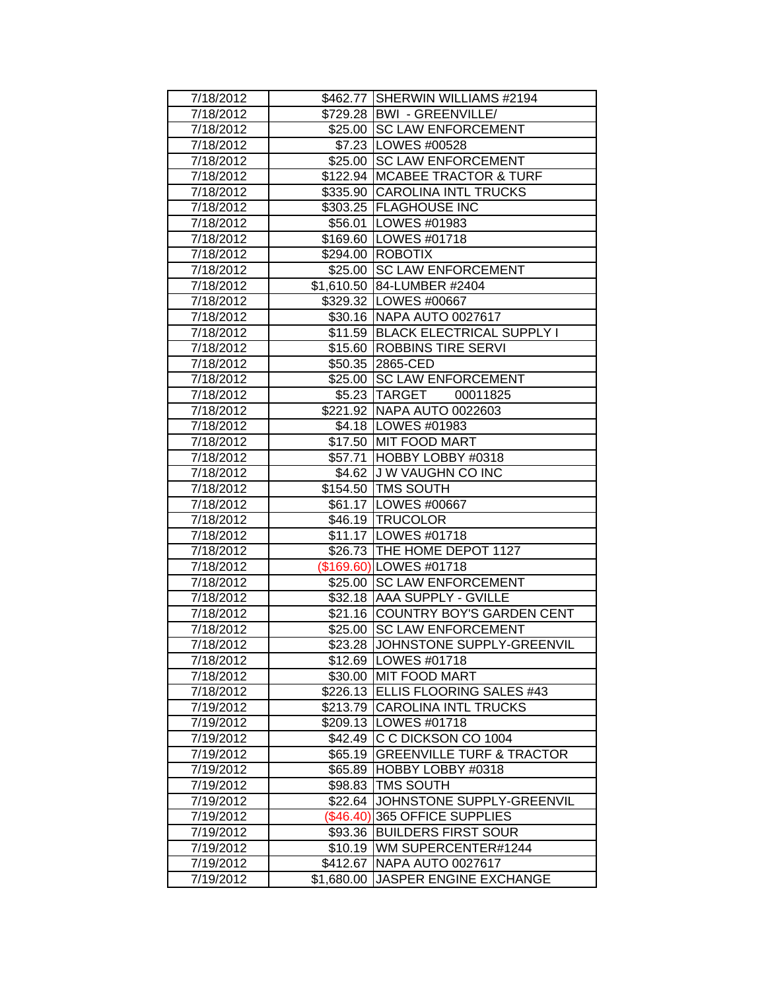| 7/18/2012 |            | \$462.77 SHERWIN WILLIAMS #2194    |
|-----------|------------|------------------------------------|
| 7/18/2012 |            | \$729.28 BWI - GREENVILLE/         |
| 7/18/2012 |            | \$25.00 SC LAW ENFORCEMENT         |
| 7/18/2012 |            | \$7.23   LOWES #00528              |
| 7/18/2012 |            | \$25.00 SC LAW ENFORCEMENT         |
| 7/18/2012 |            | \$122.94 MCABEE TRACTOR & TURF     |
| 7/18/2012 |            | \$335.90 CAROLINA INTL TRUCKS      |
| 7/18/2012 |            | \$303.25 FLAGHOUSE INC             |
| 7/18/2012 |            | \$56.01   LOWES #01983             |
| 7/18/2012 |            | \$169.60 LOWES #01718              |
| 7/18/2012 |            | \$294.00 ROBOTIX                   |
| 7/18/2012 | \$25.00    | <b>SC LAW ENFORCEMENT</b>          |
| 7/18/2012 |            | \$1,610.50 84-LUMBER #2404         |
| 7/18/2012 |            | \$329.32 LOWES #00667              |
| 7/18/2012 |            | \$30.16 NAPA AUTO 0027617          |
| 7/18/2012 |            | \$11.59 BLACK ELECTRICAL SUPPLY I  |
| 7/18/2012 |            | \$15.60 ROBBINS TIRE SERVI         |
| 7/18/2012 |            | \$50.35 2865-CED                   |
| 7/18/2012 |            | \$25.00 SC LAW ENFORCEMENT         |
| 7/18/2012 |            | \$5.23 TARGET 00011825             |
| 7/18/2012 |            | \$221.92 NAPA AUTO 0022603         |
| 7/18/2012 |            | \$4.18   LOWES #01983              |
| 7/18/2012 |            | \$17.50 MIT FOOD MART              |
| 7/18/2012 |            | \$57.71 HOBBY LOBBY #0318          |
| 7/18/2012 |            | \$4.62 J W VAUGHN CO INC           |
| 7/18/2012 |            | \$154.50 TMS SOUTH                 |
| 7/18/2012 |            | \$61.17   LOWES #00667             |
| 7/18/2012 |            | \$46.19 TRUCOLOR                   |
| 7/18/2012 |            | \$11.17   LOWES #01718             |
| 7/18/2012 |            | \$26.73 THE HOME DEPOT 1127        |
| 7/18/2012 |            | (\$169.60) LOWES #01718            |
| 7/18/2012 |            | \$25.00 SC LAW ENFORCEMENT         |
| 7/18/2012 |            | \$32.18 AAA SUPPLY - GVILLE        |
| 7/18/2012 |            | \$21.16 COUNTRY BOY'S GARDEN CENT  |
| 7/18/2012 |            | \$25.00 SC LAW ENFORCEMENT         |
| 7/18/2012 |            | \$23.28 JOHNSTONE SUPPLY-GREENVIL  |
| 7/18/2012 |            | \$12.69   LOWES #01718             |
| 7/18/2012 |            | \$30.00 MIT FOOD MART              |
| 7/18/2012 |            | \$226.13 ELLIS FLOORING SALES #43  |
| 7/19/2012 |            | \$213.79 CAROLINA INTL TRUCKS      |
| 7/19/2012 |            | \$209.13 LOWES #01718              |
| 7/19/2012 |            | \$42.49 C C DICKSON CO 1004        |
| 7/19/2012 |            | \$65.19 GREENVILLE TURF & TRACTOR  |
| 7/19/2012 |            | \$65.89 HOBBY LOBBY #0318          |
| 7/19/2012 |            | \$98.83   TMS SOUTH                |
| 7/19/2012 |            | \$22.64 JJOHNSTONE SUPPLY-GREENVIL |
| 7/19/2012 |            | (\$46.40) 365 OFFICE SUPPLIES      |
| 7/19/2012 |            | \$93.36 BUILDERS FIRST SOUR        |
| 7/19/2012 |            | \$10.19   WM SUPERCENTER#1244      |
| 7/19/2012 | \$412.67   | NAPA AUTO 0027617                  |
| 7/19/2012 | \$1,680.00 | JASPER ENGINE EXCHANGE             |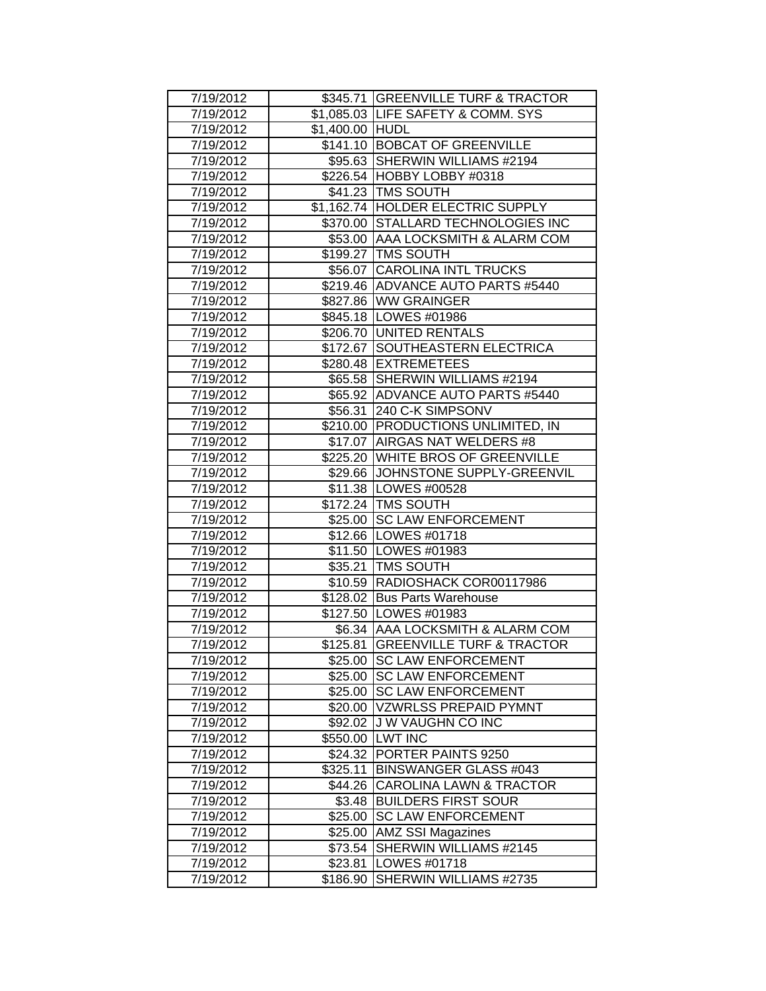| 7/19/2012 |                 | \$345.71 GREENVILLE TURF & TRACTOR |
|-----------|-----------------|------------------------------------|
| 7/19/2012 |                 | \$1,085.03 LIFE SAFETY & COMM. SYS |
| 7/19/2012 | \$1,400.00 HUDL |                                    |
| 7/19/2012 |                 | \$141.10 BOBCAT OF GREENVILLE      |
| 7/19/2012 |                 | \$95.63 SHERWIN WILLIAMS #2194     |
| 7/19/2012 |                 | \$226.54 HOBBY LOBBY #0318         |
| 7/19/2012 |                 | \$41.23 TMS SOUTH                  |
| 7/19/2012 |                 | \$1,162.74 HOLDER ELECTRIC SUPPLY  |
| 7/19/2012 |                 | \$370.00 STALLARD TECHNOLOGIES INC |
| 7/19/2012 |                 | \$53.00 AAA LOCKSMITH & ALARM COM  |
| 7/19/2012 |                 | \$199.27 TMS SOUTH                 |
| 7/19/2012 |                 | \$56.07 CAROLINA INTL TRUCKS       |
| 7/19/2012 |                 | \$219.46 ADVANCE AUTO PARTS #5440  |
| 7/19/2012 |                 | \$827.86 WW GRAINGER               |
| 7/19/2012 |                 | \$845.18   LOWES #01986            |
| 7/19/2012 |                 | \$206.70 UNITED RENTALS            |
| 7/19/2012 |                 | \$172.67 SOUTHEASTERN ELECTRICA    |
| 7/19/2012 |                 | \$280.48 EXTREMETEES               |
| 7/19/2012 |                 | \$65.58 SHERWIN WILLIAMS #2194     |
| 7/19/2012 |                 | \$65.92 ADVANCE AUTO PARTS #5440   |
| 7/19/2012 |                 | \$56.31 240 C-K SIMPSONV           |
| 7/19/2012 |                 | \$210.00 PRODUCTIONS UNLIMITED, IN |
| 7/19/2012 |                 | \$17.07 AIRGAS NAT WELDERS #8      |
| 7/19/2012 |                 | \$225.20 WHITE BROS OF GREENVILLE  |
| 7/19/2012 |                 | \$29.66 JJOHNSTONE SUPPLY-GREENVIL |
| 7/19/2012 |                 | \$11.38   LOWES #00528             |
| 7/19/2012 |                 | \$172.24   TMS SOUTH               |
| 7/19/2012 |                 | \$25.00 SC LAW ENFORCEMENT         |
| 7/19/2012 |                 | \$12.66   LOWES #01718             |
| 7/19/2012 |                 | \$11.50 LOWES #01983               |
| 7/19/2012 |                 | \$35.21   TMS SOUTH                |
| 7/19/2012 |                 | \$10.59 RADIOSHACK COR00117986     |
| 7/19/2012 |                 | \$128.02 Bus Parts Warehouse       |
| 7/19/2012 |                 | \$127.50 LOWES #01983              |
| 7/19/2012 |                 | \$6.34 AAA LOCKSMITH & ALARM COM   |
| 7/19/2012 |                 | \$125.81 GREENVILLE TURF & TRACTOR |
| 7/19/2012 |                 | \$25.00 SC LAW ENFORCEMENT         |
| 7/19/2012 |                 | \$25.00 SC LAW ENFORCEMENT         |
| 7/19/2012 |                 | \$25.00 SC LAW ENFORCEMENT         |
| 7/19/2012 |                 | \$20.00 VZWRLSS PREPAID PYMNT      |
| 7/19/2012 |                 | \$92.02 J W VAUGHN CO INC          |
| 7/19/2012 |                 | \$550.00 LWT INC                   |
| 7/19/2012 |                 | \$24.32 PORTER PAINTS 9250         |
| 7/19/2012 |                 | \$325.11 BINSWANGER GLASS #043     |
| 7/19/2012 |                 | \$44.26 CAROLINA LAWN & TRACTOR    |
| 7/19/2012 |                 | \$3.48 BUILDERS FIRST SOUR         |
| 7/19/2012 |                 | \$25.00 SC LAW ENFORCEMENT         |
| 7/19/2012 |                 | \$25.00 AMZ SSI Magazines          |
| 7/19/2012 |                 | \$73.54 SHERWIN WILLIAMS #2145     |
| 7/19/2012 | \$23.81         | LOWES #01718                       |
| 7/19/2012 | \$186.90        | SHERWIN WILLIAMS #2735             |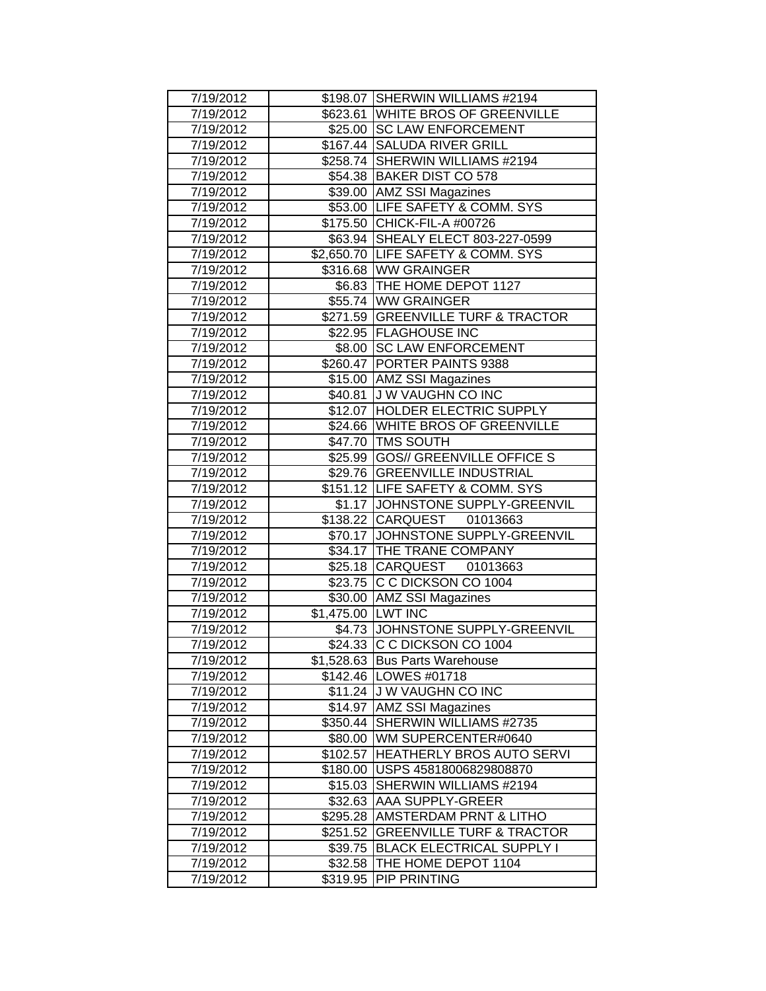| 7/19/2012 |                    | \$198.07 SHERWIN WILLIAMS #2194    |
|-----------|--------------------|------------------------------------|
| 7/19/2012 |                    | \$623.61 WHITE BROS OF GREENVILLE  |
| 7/19/2012 |                    | \$25.00 SC LAW ENFORCEMENT         |
| 7/19/2012 |                    | \$167.44 SALUDA RIVER GRILL        |
| 7/19/2012 |                    | \$258.74 SHERWIN WILLIAMS #2194    |
| 7/19/2012 |                    | \$54.38 BAKER DIST CO 578          |
| 7/19/2012 |                    | \$39.00 AMZ SSI Magazines          |
| 7/19/2012 |                    | \$53.00 LIFE SAFETY & COMM. SYS    |
| 7/19/2012 |                    | \$175.50 CHICK-FIL-A #00726        |
| 7/19/2012 |                    | \$63.94 SHEALY ELECT 803-227-0599  |
| 7/19/2012 |                    | \$2,650.70 LIFE SAFETY & COMM. SYS |
| 7/19/2012 |                    | \$316.68 WW GRAINGER               |
| 7/19/2012 |                    | \$6.83 THE HOME DEPOT 1127         |
| 7/19/2012 |                    | \$55.74 WW GRAINGER                |
| 7/19/2012 |                    | \$271.59 GREENVILLE TURF & TRACTOR |
| 7/19/2012 |                    | \$22.95 FLAGHOUSE INC              |
| 7/19/2012 |                    | \$8.00 SC LAW ENFORCEMENT          |
| 7/19/2012 |                    | \$260.47 PORTER PAINTS 9388        |
| 7/19/2012 |                    | \$15.00 AMZ SSI Magazines          |
| 7/19/2012 |                    | \$40.81 J W VAUGHN CO INC          |
| 7/19/2012 |                    | \$12.07 HOLDER ELECTRIC SUPPLY     |
| 7/19/2012 |                    | \$24.66 WHITE BROS OF GREENVILLE   |
| 7/19/2012 |                    | \$47.70 TMS SOUTH                  |
| 7/19/2012 |                    | \$25.99 GOS// GREENVILLE OFFICE S  |
| 7/19/2012 |                    | \$29.76 GREENVILLE INDUSTRIAL      |
| 7/19/2012 |                    | \$151.12 LIFE SAFETY & COMM. SYS   |
| 7/19/2012 |                    | \$1.17 JOHNSTONE SUPPLY-GREENVIL   |
| 7/19/2012 |                    | \$138.22 CARQUEST 01013663         |
| 7/19/2012 |                    | \$70.17 JOHNSTONE SUPPLY-GREENVIL  |
| 7/19/2012 |                    | \$34.17 THE TRANE COMPANY          |
| 7/19/2012 |                    | \$25.18 CARQUEST 01013663          |
| 7/19/2012 |                    | \$23.75 C C DICKSON CO 1004        |
| 7/19/2012 |                    | \$30.00 AMZ SSI Magazines          |
| 7/19/2012 | \$1,475.00 LWT INC |                                    |
| 7/19/2012 |                    | \$4.73 JOHNSTONE SUPPLY-GREENVIL   |
| 7/19/2012 |                    | \$24.33 C C DICKSON CO 1004        |
| 7/19/2012 |                    | \$1,528.63 Bus Parts Warehouse     |
| 7/19/2012 |                    | \$142.46 LOWES #01718              |
| 7/19/2012 |                    | \$11.24 J W VAUGHN CO INC          |
| 7/19/2012 |                    | \$14.97 AMZ SSI Magazines          |
| 7/19/2012 |                    | \$350.44 SHERWIN WILLIAMS #2735    |
| 7/19/2012 |                    | \$80.00   WM SUPERCENTER#0640      |
| 7/19/2012 |                    | \$102.57 HEATHERLY BROS AUTO SERVI |
| 7/19/2012 |                    | \$180.00 USPS 45818006829808870    |
| 7/19/2012 |                    | \$15.03 SHERWIN WILLIAMS #2194     |
| 7/19/2012 |                    | \$32.63 AAA SUPPLY-GREER           |
| 7/19/2012 |                    | \$295.28 AMSTERDAM PRNT & LITHO    |
| 7/19/2012 |                    | \$251.52 GREENVILLE TURF & TRACTOR |
| 7/19/2012 |                    | \$39.75 BLACK ELECTRICAL SUPPLY I  |
| 7/19/2012 |                    | \$32.58  THE HOME DEPOT 1104       |
| 7/19/2012 | \$319.95           | <b>PIP PRINTING</b>                |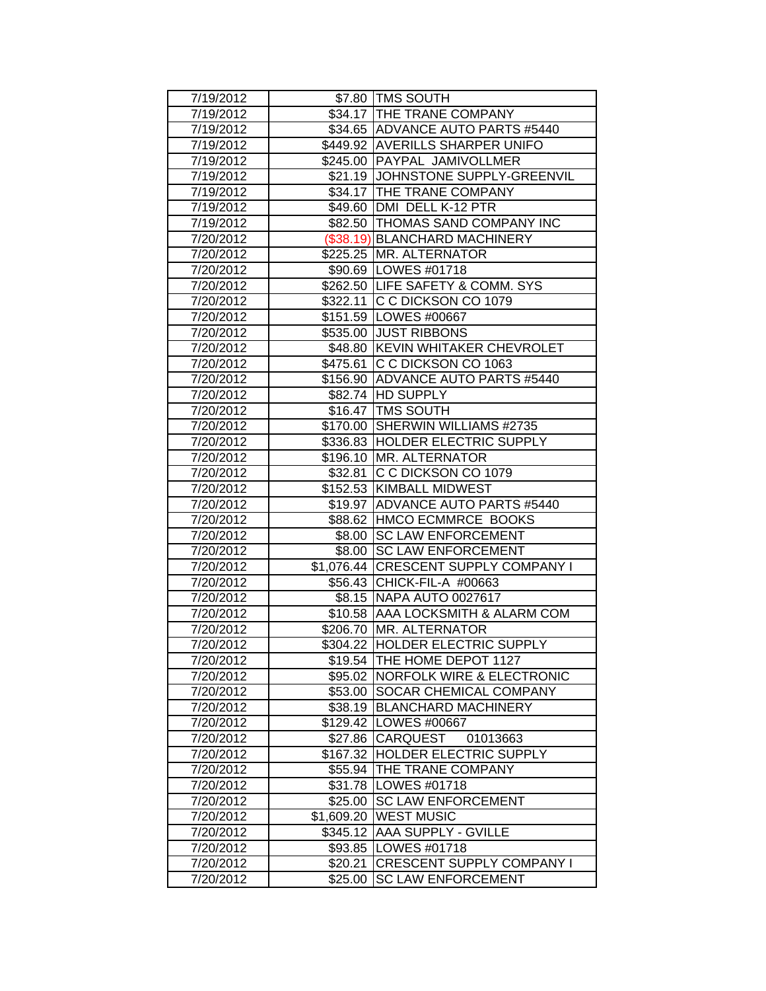| 7/19/2012 |         | \$7.80 TMS SOUTH<br>\$34.17 THE TRANE COMPANY |
|-----------|---------|-----------------------------------------------|
| 7/19/2012 |         |                                               |
| 7/19/2012 |         | \$34.65 ADVANCE AUTO PARTS #5440              |
| 7/19/2012 |         | \$449.92 AVERILLS SHARPER UNIFO               |
| 7/19/2012 |         | \$245.00 PAYPAL JAMIVOLLMER                   |
| 7/19/2012 |         | \$21.19 JOHNSTONE SUPPLY-GREENVIL             |
| 7/19/2012 |         | \$34.17 THE TRANE COMPANY                     |
| 7/19/2012 |         | \$49.60 DMI DELL K-12 PTR                     |
| 7/19/2012 |         | \$82.50 THOMAS SAND COMPANY INC               |
| 7/20/2012 |         | (\$38.19) BLANCHARD MACHINERY                 |
| 7/20/2012 |         | \$225.25 MR. ALTERNATOR                       |
| 7/20/2012 |         | \$90.69   LOWES #01718                        |
| 7/20/2012 |         | \$262.50 LIFE SAFETY & COMM. SYS              |
| 7/20/2012 |         | \$322.11 C C DICKSON CO 1079                  |
| 7/20/2012 |         | \$151.59 LOWES #00667                         |
| 7/20/2012 |         | \$535.00 JUST RIBBONS                         |
| 7/20/2012 |         | \$48.80 KEVIN WHITAKER CHEVROLET              |
| 7/20/2012 |         | \$475.61 C C DICKSON CO 1063                  |
| 7/20/2012 |         | \$156.90 ADVANCE AUTO PARTS #5440             |
| 7/20/2012 |         | \$82.74 HD SUPPLY                             |
| 7/20/2012 |         | \$16.47 TMS SOUTH                             |
| 7/20/2012 |         | \$170.00 SHERWIN WILLIAMS #2735               |
| 7/20/2012 |         | \$336.83 HOLDER ELECTRIC SUPPLY               |
| 7/20/2012 |         | \$196.10   MR. ALTERNATOR                     |
| 7/20/2012 |         | \$32.81 C C DICKSON CO 1079                   |
| 7/20/2012 |         | \$152.53 KIMBALL MIDWEST                      |
| 7/20/2012 |         | \$19.97 ADVANCE AUTO PARTS #5440              |
| 7/20/2012 |         | \$88.62 HMCO ECMMRCE BOOKS                    |
| 7/20/2012 |         | \$8.00 SC LAW ENFORCEMENT                     |
| 7/20/2012 |         | \$8.00 SC LAW ENFORCEMENT                     |
| 7/20/2012 |         | \$1,076.44 CRESCENT SUPPLY COMPANY I          |
| 7/20/2012 |         | \$56.43 CHICK-FIL-A #00663                    |
| 7/20/2012 |         | \$8.15 NAPA AUTO 0027617                      |
| 7/20/2012 |         | \$10.58 AAA LOCKSMITH & ALARM COM             |
| 7/20/2012 |         | \$206.70 MR. ALTERNATOR                       |
| 7/20/2012 |         | \$304.22 HOLDER ELECTRIC SUPPLY               |
| 7/20/2012 |         | \$19.54 THE HOME DEPOT 1127                   |
| 7/20/2012 |         | \$95.02   NORFOLK WIRE & ELECTRONIC           |
| 7/20/2012 |         | \$53.00 SOCAR CHEMICAL COMPANY                |
| 7/20/2012 |         | \$38.19 BLANCHARD MACHINERY                   |
| 7/20/2012 |         | \$129.42 LOWES #00667                         |
| 7/20/2012 |         | \$27.86 CARQUEST 01013663                     |
| 7/20/2012 |         | \$167.32 HOLDER ELECTRIC SUPPLY               |
| 7/20/2012 |         | \$55.94 THE TRANE COMPANY                     |
| 7/20/2012 |         | \$31.78   LOWES #01718                        |
| 7/20/2012 | \$25.00 | <b>SC LAW ENFORCEMENT</b>                     |
| 7/20/2012 |         | \$1,609.20 WEST MUSIC                         |
| 7/20/2012 |         | \$345.12 AAA SUPPLY - GVILLE                  |
| 7/20/2012 |         | \$93.85   LOWES #01718                        |
| 7/20/2012 | \$20.21 | <b>CRESCENT SUPPLY COMPANY I</b>              |
| 7/20/2012 | \$25.00 | <b>SC LAW ENFORCEMENT</b>                     |
|           |         |                                               |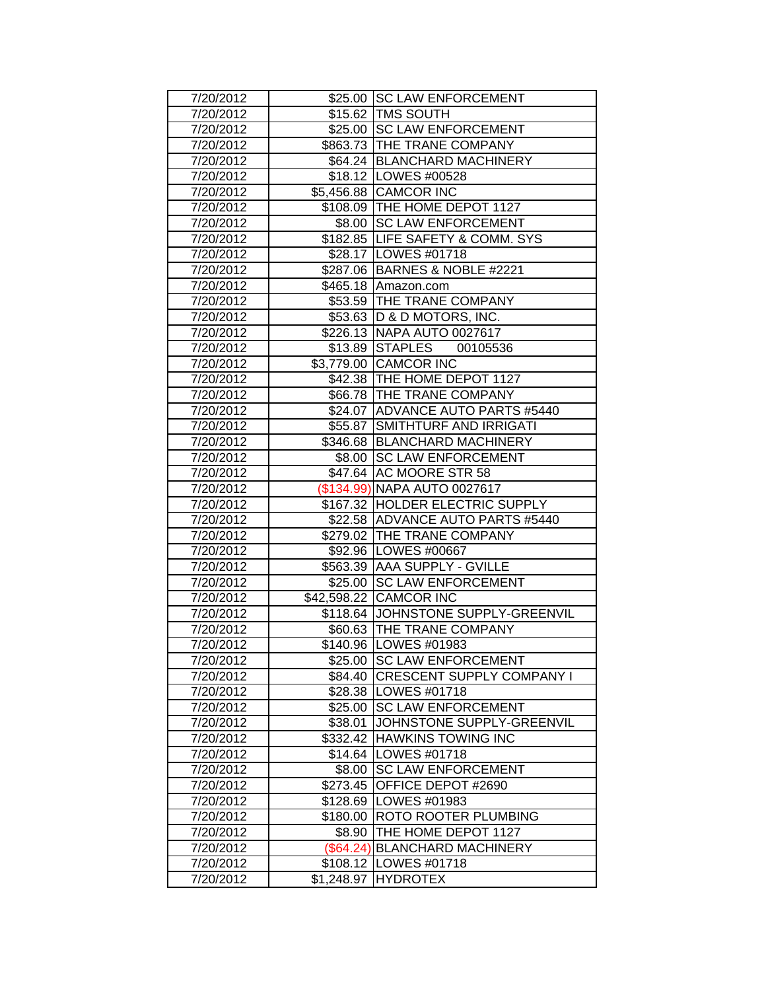| 7/20/2012 |            | \$25.00 SC LAW ENFORCEMENT          |
|-----------|------------|-------------------------------------|
| 7/20/2012 |            | \$15.62   TMS SOUTH                 |
| 7/20/2012 |            | \$25.00 SC LAW ENFORCEMENT          |
| 7/20/2012 |            | \$863.73 THE TRANE COMPANY          |
| 7/20/2012 |            | \$64.24 BLANCHARD MACHINERY         |
| 7/20/2012 |            | \$18.12   LOWES #00528              |
| 7/20/2012 |            | \$5,456.88 CAMCOR INC               |
| 7/20/2012 |            | \$108.09 THE HOME DEPOT 1127        |
| 7/20/2012 |            | \$8.00 SC LAW ENFORCEMENT           |
| 7/20/2012 |            | \$182.85 LIFE SAFETY & COMM. SYS    |
| 7/20/2012 |            | \$28.17   LOWES #01718              |
| 7/20/2012 |            | \$287.06 BARNES & NOBLE #2221       |
| 7/20/2012 |            | \$465.18 Amazon.com                 |
| 7/20/2012 |            | \$53.59 THE TRANE COMPANY           |
| 7/20/2012 |            | \$53.63  D & D MOTORS, INC.         |
| 7/20/2012 |            | \$226.13 NAPA AUTO 0027617          |
| 7/20/2012 |            | \$13.89 STAPLES 00105536            |
| 7/20/2012 |            | \$3,779.00 CAMCOR INC               |
| 7/20/2012 |            | \$42.38 THE HOME DEPOT 1127         |
| 7/20/2012 |            | \$66.78   THE TRANE COMPANY         |
| 7/20/2012 |            | \$24.07 ADVANCE AUTO PARTS #5440    |
| 7/20/2012 |            | \$55.87 SMITHTURF AND IRRIGATI      |
| 7/20/2012 |            | \$346.68   BLANCHARD MACHINERY      |
| 7/20/2012 | \$8.00     | <b>SC LAW ENFORCEMENT</b>           |
| 7/20/2012 |            | \$47.64 AC MOORE STR 58             |
| 7/20/2012 |            | (\$134.99) NAPA AUTO 0027617        |
| 7/20/2012 |            | \$167.32 HOLDER ELECTRIC SUPPLY     |
| 7/20/2012 |            | \$22.58 ADVANCE AUTO PARTS #5440    |
| 7/20/2012 |            | \$279.02 THE TRANE COMPANY          |
| 7/20/2012 |            | \$92.96   LOWES #00667              |
| 7/20/2012 |            | \$563.39 AAA SUPPLY - GVILLE        |
| 7/20/2012 | \$25.00    | <b>SC LAW ENFORCEMENT</b>           |
| 7/20/2012 |            | \$42,598.22 CAMCOR INC              |
| 7/20/2012 |            | \$118.64 JJOHNSTONE SUPPLY-GREENVIL |
| 7/20/2012 |            | \$60.63 THE TRANE COMPANY           |
| 7/20/2012 |            | \$140.96 LOWES #01983               |
| 7/20/2012 |            | \$25.00 SC LAW ENFORCEMENT          |
| 7/20/2012 |            | \$84.40 CRESCENT SUPPLY COMPANY I   |
| 7/20/2012 |            | \$28.38   LOWES #01718              |
| 7/20/2012 |            | \$25.00 SC LAW ENFORCEMENT          |
| 7/20/2012 |            | \$38.01 JOHNSTONE SUPPLY-GREENVIL   |
| 7/20/2012 |            | \$332.42 HAWKINS TOWING INC         |
| 7/20/2012 |            | \$14.64 LOWES #01718                |
| 7/20/2012 |            | \$8.00 SC LAW ENFORCEMENT           |
| 7/20/2012 |            | \$273.45 OFFICE DEPOT #2690         |
| 7/20/2012 |            | \$128.69   LOWES #01983             |
| 7/20/2012 |            | \$180.00 ROTO ROOTER PLUMBING       |
| 7/20/2012 | \$8.90     | <b>THE HOME DEPOT 1127</b>          |
| 7/20/2012 | (\$64.24)  | <b>BLANCHARD MACHINERY</b>          |
| 7/20/2012 | \$108.12   | LOWES #01718                        |
| 7/20/2012 | \$1,248.97 | <b>HYDROTEX</b>                     |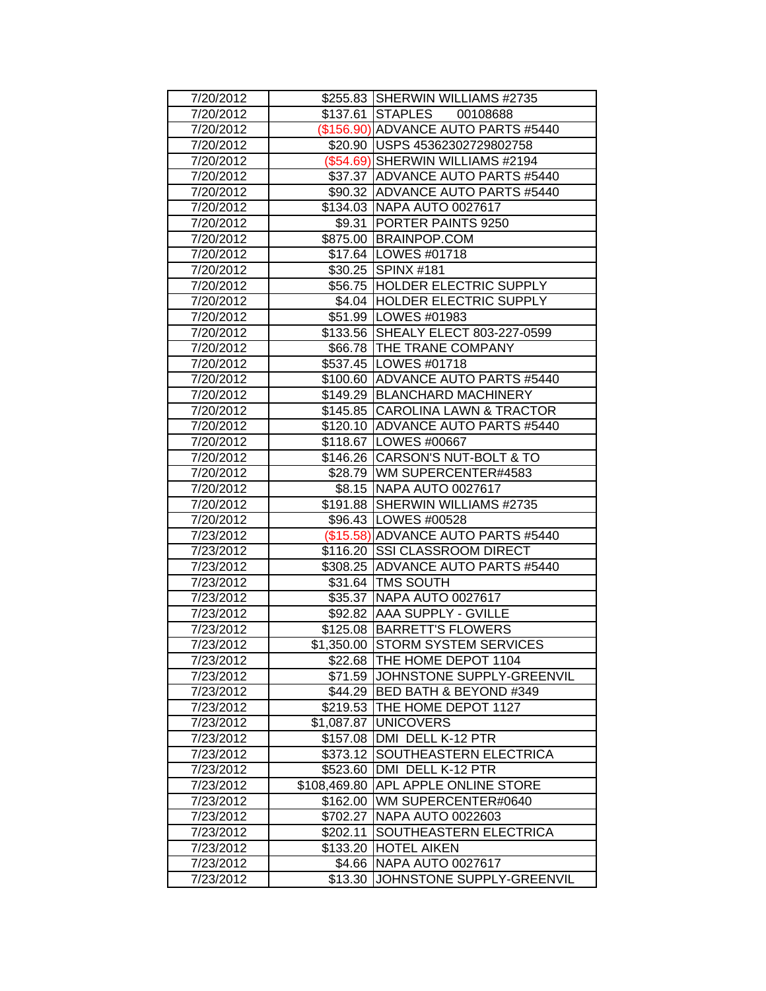| 7/20/2012              |              | \$255.83 SHERWIN WILLIAMS #2735                    |
|------------------------|--------------|----------------------------------------------------|
| 7/20/2012              |              | \$137.61 STAPLES 00108688                          |
| 7/20/2012              |              | (\$156.90) ADVANCE AUTO PARTS #5440                |
| 7/20/2012              |              | \$20.90 USPS 45362302729802758                     |
| 7/20/2012              |              | $($54.69)$ SHERWIN WILLIAMS #2194                  |
| 7/20/2012              |              | \$37.37 ADVANCE AUTO PARTS #5440                   |
| 7/20/2012              |              | \$90.32 ADVANCE AUTO PARTS #5440                   |
| 7/20/2012              |              | \$134.03   NAPA AUTO 0027617                       |
| 7/20/2012              |              | \$9.31   PORTER PAINTS 9250                        |
| 7/20/2012              |              | \$875.00 BRAINPOP.COM                              |
| 7/20/2012              |              | \$17.64   LOWES #01718                             |
| 7/20/2012              |              | \$30.25 SPINX #181                                 |
| 7/20/2012              |              | \$56.75  HOLDER ELECTRIC SUPPLY                    |
| 7/20/2012              |              | \$4.04   HOLDER ELECTRIC SUPPLY                    |
| 7/20/2012              |              | \$51.99 LOWES #01983                               |
| 7/20/2012              |              | \$133.56 SHEALY ELECT 803-227-0599                 |
| 7/20/2012              |              | \$66.78 THE TRANE COMPANY                          |
| 7/20/2012              |              | \$537.45   LOWES #01718                            |
| 7/20/2012              |              | \$100.60 ADVANCE AUTO PARTS #5440                  |
| 7/20/2012              |              | \$149.29 BLANCHARD MACHINERY                       |
| 7/20/2012              |              | \$145.85 CAROLINA LAWN & TRACTOR                   |
| 7/20/2012              |              | \$120.10 ADVANCE AUTO PARTS #5440                  |
| 7/20/2012              |              | \$118.67   LOWES #00667                            |
| 7/20/2012              |              | \$146.26 CARSON'S NUT-BOLT & TO                    |
| 7/20/2012              |              | \$28.79   WM SUPERCENTER#4583                      |
| 7/20/2012              |              | \$8.15 NAPA AUTO 0027617                           |
| 7/20/2012              |              | \$191.88 SHERWIN WILLIAMS #2735                    |
| 7/20/2012              |              | \$96.43   LOWES #00528                             |
| 7/23/2012              |              | (\$15.58) ADVANCE AUTO PARTS #5440                 |
| 7/23/2012              |              | \$116.20 SSI CLASSROOM DIRECT                      |
| 7/23/2012              |              | \$308.25 ADVANCE AUTO PARTS #5440                  |
| 7/23/2012              |              | \$31.64   TMS SOUTH                                |
| 7/23/2012              |              | \$35.37 NAPA AUTO 0027617                          |
| 7/23/2012              |              | \$92.82 AAA SUPPLY - GVILLE                        |
| 7/23/2012              |              | \$125.08 BARRETT'S FLOWERS                         |
| 7/23/2012              |              | \$1,350.00 STORM SYSTEM SERVICES                   |
| 7/23/2012              |              | \$22.68 THE HOME DEPOT 1104                        |
| 7/23/2012              |              | \$71.59 JJOHNSTONE SUPPLY-GREENVIL                 |
|                        |              | \$44.29 BED BATH & BEYOND #349                     |
| 7/23/2012              |              | \$219.53 THE HOME DEPOT 1127                       |
| 7/23/2012              |              |                                                    |
| 7/23/2012<br>7/23/2012 |              | \$1,087.87 UNICOVERS<br>\$157.08 DMI DELL K-12 PTR |
|                        |              |                                                    |
| 7/23/2012              |              | \$373.12 SOUTHEASTERN ELECTRICA                    |
| 7/23/2012              | \$523.60     | DMI DELL K-12 PTR                                  |
| 7/23/2012              | \$108,469.80 | <b>APL APPLE ONLINE STORE</b>                      |
| 7/23/2012              | \$162.00     | WM SUPERCENTER#0640                                |
| 7/23/2012              |              | \$702.27 NAPA AUTO 0022603                         |
| 7/23/2012              | \$202.11     | SOUTHEASTERN ELECTRICA                             |
| 7/23/2012              | \$133.20     | <b>HOTEL AIKEN</b>                                 |
| 7/23/2012              | \$4.66       | NAPA AUTO 0027617                                  |
| 7/23/2012              | \$13.30      | JOHNSTONE SUPPLY-GREENVIL                          |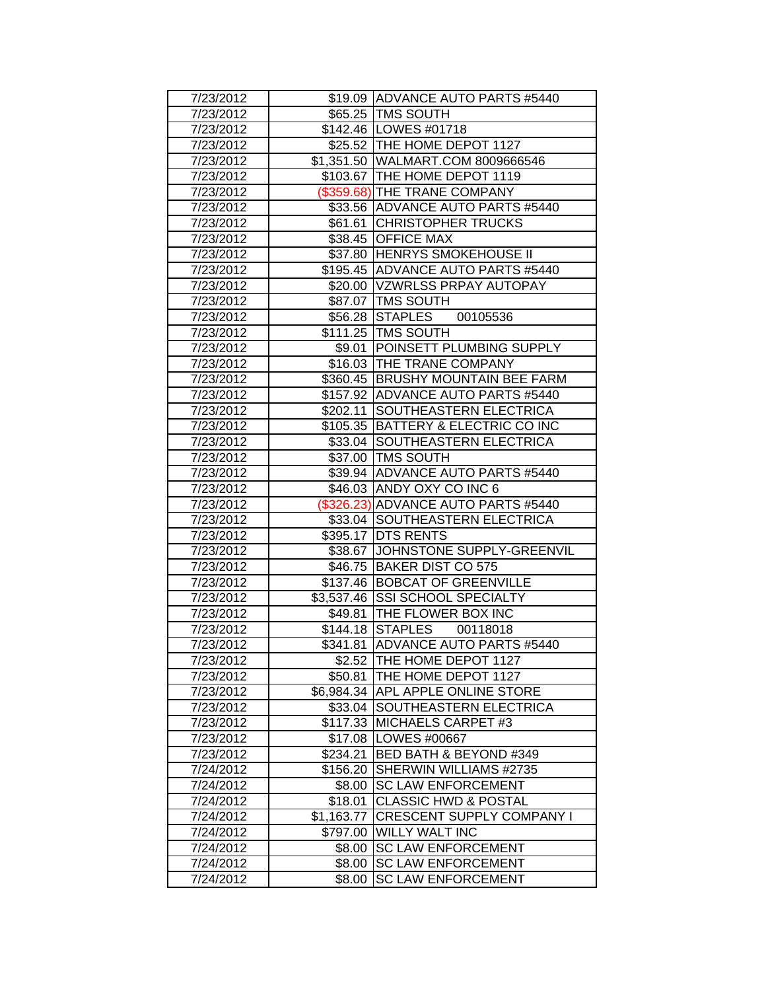| 7/23/2012 |            | \$19.09 ADVANCE AUTO PARTS #5440    |
|-----------|------------|-------------------------------------|
| 7/23/2012 |            | \$65.25   TMS SOUTH                 |
| 7/23/2012 |            | \$142.46   LOWES #01718             |
| 7/23/2012 |            | \$25.52 THE HOME DEPOT 1127         |
| 7/23/2012 |            | \$1,351.50 WALMART.COM 8009666546   |
| 7/23/2012 |            | \$103.67 THE HOME DEPOT 1119        |
| 7/23/2012 |            | (\$359.68) THE TRANE COMPANY        |
| 7/23/2012 |            | \$33.56 ADVANCE AUTO PARTS #5440    |
| 7/23/2012 |            | \$61.61 CHRISTOPHER TRUCKS          |
| 7/23/2012 |            | \$38.45 OFFICE MAX                  |
| 7/23/2012 |            | \$37.80 HENRYS SMOKEHOUSE II        |
| 7/23/2012 |            | \$195.45 ADVANCE AUTO PARTS #5440   |
| 7/23/2012 |            | \$20.00   VZWRLSS PRPAY AUTOPAY     |
| 7/23/2012 |            | \$87.07   TMS SOUTH                 |
| 7/23/2012 |            | \$56.28 STAPLES 00105536            |
| 7/23/2012 |            | \$111.25 TMS SOUTH                  |
| 7/23/2012 |            | \$9.01 POINSETT PLUMBING SUPPLY     |
| 7/23/2012 |            | \$16.03 THE TRANE COMPANY           |
| 7/23/2012 | \$360.45   | <b>BRUSHY MOUNTAIN BEE FARM</b>     |
| 7/23/2012 |            | \$157.92 ADVANCE AUTO PARTS #5440   |
| 7/23/2012 | \$202.11   | SOUTHEASTERN ELECTRICA              |
| 7/23/2012 |            | \$105.35 BATTERY & ELECTRIC CO INC  |
| 7/23/2012 |            | \$33.04 SOUTHEASTERN ELECTRICA      |
| 7/23/2012 |            | \$37.00   TMS SOUTH                 |
| 7/23/2012 |            | \$39.94 ADVANCE AUTO PARTS #5440    |
| 7/23/2012 |            | \$46.03 ANDY OXY CO INC 6           |
| 7/23/2012 |            | (\$326.23) ADVANCE AUTO PARTS #5440 |
| 7/23/2012 |            | \$33.04 SOUTHEASTERN ELECTRICA      |
| 7/23/2012 |            | \$395.17 DTS RENTS                  |
| 7/23/2012 |            | \$38.67 JOHNSTONE SUPPLY-GREENVIL   |
| 7/23/2012 |            | \$46.75 BAKER DIST CO 575           |
| 7/23/2012 |            | \$137.46 BOBCAT OF GREENVILLE       |
| 7/23/2012 |            | \$3,537.46 SSI SCHOOL SPECIALTY     |
| 7/23/2012 |            | \$49.81   THE FLOWER BOX INC        |
| 7/23/2012 |            | \$144.18 STAPLES 00118018           |
| 7/23/2012 |            | \$341.81 ADVANCE AUTO PARTS #5440   |
| 7/23/2012 |            | \$2.52 THE HOME DEPOT 1127          |
| 7/23/2012 | \$50.81    | <b>THE HOME DEPOT 1127</b>          |
| 7/23/2012 |            | \$6,984.34 APL APPLE ONLINE STORE   |
| 7/23/2012 |            | \$33.04 SOUTHEASTERN ELECTRICA      |
| 7/23/2012 |            | \$117.33 MICHAELS CARPET #3         |
| 7/23/2012 |            | \$17.08   LOWES #00667              |
| 7/23/2012 |            | \$234.21 BED BATH & BEYOND #349     |
| 7/24/2012 | \$156.20   | SHERWIN WILLIAMS #2735              |
| 7/24/2012 | \$8.00     | <b>SC LAW ENFORCEMENT</b>           |
| 7/24/2012 |            | \$18.01 CLASSIC HWD & POSTAL        |
| 7/24/2012 | \$1,163.77 | <b>CRESCENT SUPPLY COMPANY I</b>    |
| 7/24/2012 | \$797.00   | <b>WILLY WALT INC</b>               |
| 7/24/2012 | \$8.00     | <b>SC LAW ENFORCEMENT</b>           |
| 7/24/2012 | \$8.00     | <b>SC LAW ENFORCEMENT</b>           |
| 7/24/2012 | \$8.00     | <b>SC LAW ENFORCEMENT</b>           |
|           |            |                                     |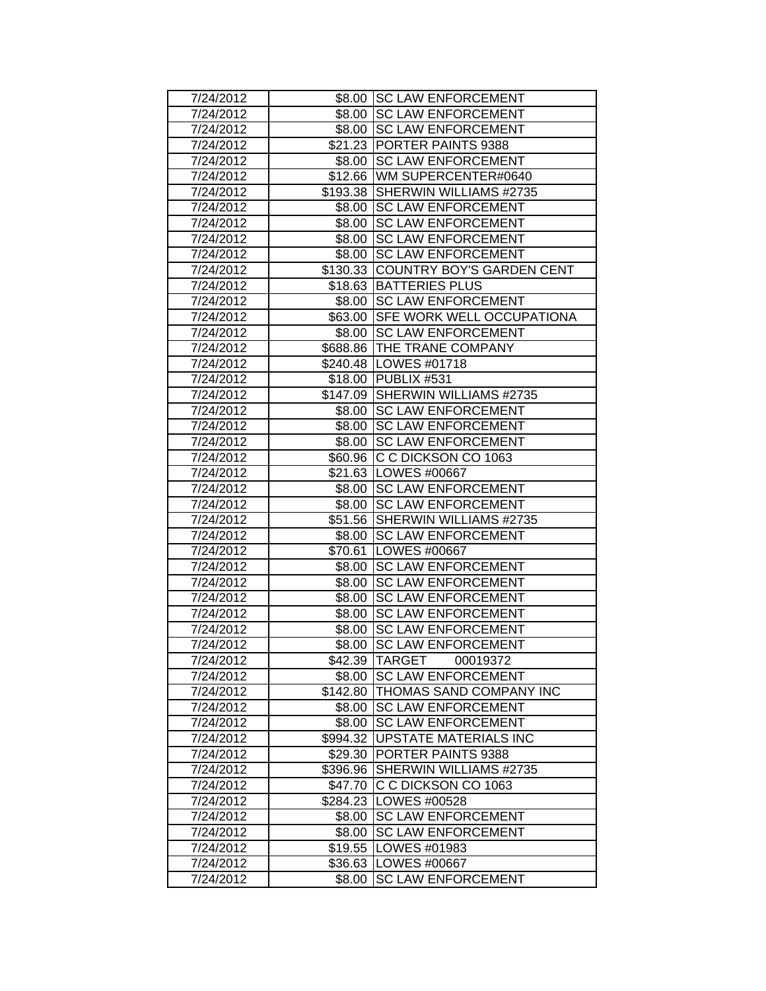| 7/24/2012 |          | \$8.00 SC LAW ENFORCEMENT          |
|-----------|----------|------------------------------------|
| 7/24/2012 |          | \$8.00 SC LAW ENFORCEMENT          |
| 7/24/2012 |          | \$8.00 SC LAW ENFORCEMENT          |
| 7/24/2012 |          | \$21.23 PORTER PAINTS 9388         |
| 7/24/2012 | \$8.00   | <b>SC LAW ENFORCEMENT</b>          |
| 7/24/2012 |          | \$12.66 WM SUPERCENTER#0640        |
| 7/24/2012 | \$193.38 | SHERWIN WILLIAMS #2735             |
| 7/24/2012 | \$8.00   | <b>SC LAW ENFORCEMENT</b>          |
| 7/24/2012 |          | \$8.00 SC LAW ENFORCEMENT          |
| 7/24/2012 |          | \$8.00 SC LAW ENFORCEMENT          |
| 7/24/2012 | \$8.00   | <b>SC LAW ENFORCEMENT</b>          |
| 7/24/2012 |          | \$130.33 COUNTRY BOY'S GARDEN CENT |
| 7/24/2012 |          | \$18.63 BATTERIES PLUS             |
| 7/24/2012 |          | \$8.00 SC LAW ENFORCEMENT          |
| 7/24/2012 |          | \$63.00 SFE WORK WELL OCCUPATIONA  |
| 7/24/2012 |          | \$8.00 SC LAW ENFORCEMENT          |
| 7/24/2012 |          | \$688.86 THE TRANE COMPANY         |
| 7/24/2012 |          | \$240.48   LOWES #01718            |
| 7/24/2012 |          | \$18.00 PUBLIX #531                |
| 7/24/2012 |          | \$147.09 SHERWIN WILLIAMS #2735    |
| 7/24/2012 |          | \$8.00 SC LAW ENFORCEMENT          |
| 7/24/2012 |          | \$8.00 SC LAW ENFORCEMENT          |
| 7/24/2012 |          | \$8.00 SC LAW ENFORCEMENT          |
| 7/24/2012 |          | \$60.96 C C DICKSON CO 1063        |
| 7/24/2012 |          | \$21.63   LOWES #00667             |
| 7/24/2012 |          | \$8.00 SC LAW ENFORCEMENT          |
| 7/24/2012 |          | \$8.00 SC LAW ENFORCEMENT          |
| 7/24/2012 |          | \$51.56 SHERWIN WILLIAMS #2735     |
| 7/24/2012 | \$8.00   | <b>SC LAW ENFORCEMENT</b>          |
| 7/24/2012 | \$70.61  | LOWES #00667                       |
| 7/24/2012 | \$8.00   | <b>SC LAW ENFORCEMENT</b>          |
| 7/24/2012 | \$8.00   | <b>SC LAW ENFORCEMENT</b>          |
| 7/24/2012 | \$8.00   | <b>SC LAW ENFORCEMENT</b>          |
| 7/24/2012 |          | \$8.00 SC LAW ENFORCEMENT          |
| 7/24/2012 | \$8.00   | <b>SC LAW ENFORCEMENT</b>          |
| 7/24/2012 | \$8.00   | <b>SC LAW ENFORCEMENT</b>          |
| 7/24/2012 |          | \$42.39 TARGET 00019372            |
| 7/24/2012 |          | \$8.00 SC LAW ENFORCEMENT          |
| 7/24/2012 |          | \$142.80 THOMAS SAND COMPANY INC   |
| 7/24/2012 |          | \$8.00 SC LAW ENFORCEMENT          |
| 7/24/2012 |          | \$8.00 SC LAW ENFORCEMENT          |
| 7/24/2012 |          | \$994.32 UPSTATE MATERIALS INC     |
| 7/24/2012 |          | \$29.30 PORTER PAINTS 9388         |
| 7/24/2012 |          | \$396.96 SHERWIN WILLIAMS #2735    |
| 7/24/2012 |          | \$47.70 C C DICKSON CO 1063        |
| 7/24/2012 |          | \$284.23   LOWES #00528            |
| 7/24/2012 |          | \$8.00 SC LAW ENFORCEMENT          |
| 7/24/2012 |          | \$8.00 SC LAW ENFORCEMENT          |
| 7/24/2012 |          | \$19.55   LOWES #01983             |
| 7/24/2012 |          | \$36.63   LOWES #00667             |
| 7/24/2012 | \$8.00   | <b>SC LAW ENFORCEMENT</b>          |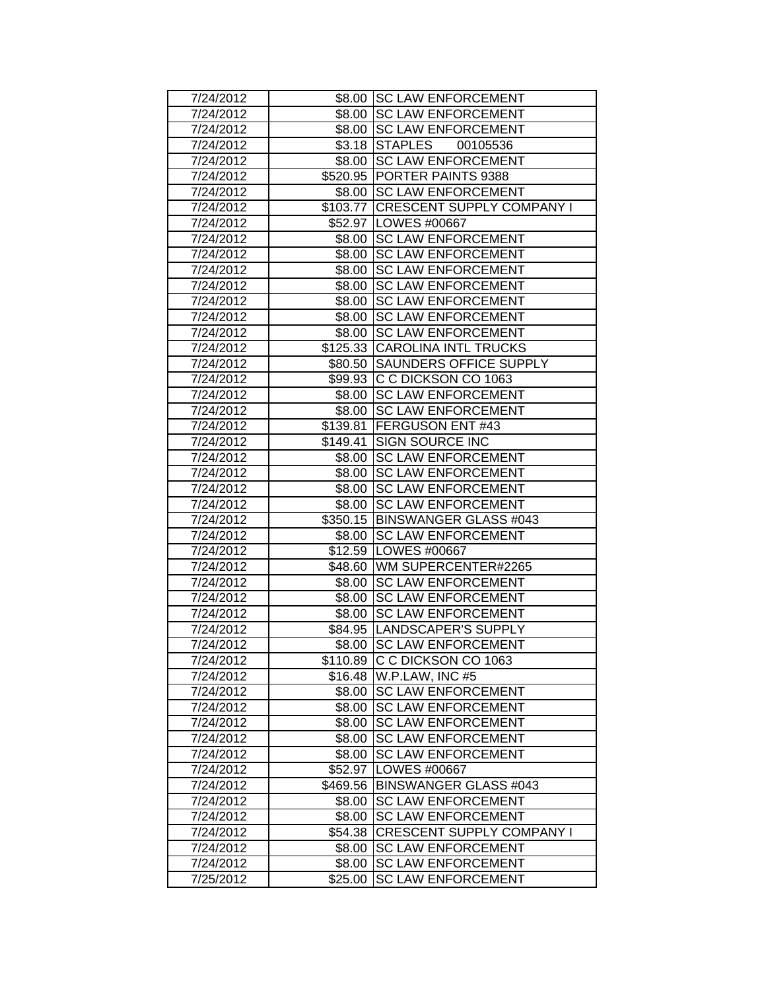| 7/24/2012 |          | \$8.00 SC LAW ENFORCEMENT          |
|-----------|----------|------------------------------------|
| 7/24/2012 |          | \$8.00 SC LAW ENFORCEMENT          |
| 7/24/2012 |          | \$8.00 SC LAW ENFORCEMENT          |
| 7/24/2012 |          | \$3.18 STAPLES 00105536            |
| 7/24/2012 | \$8.00   | <b>SC LAW ENFORCEMENT</b>          |
| 7/24/2012 |          | \$520.95 PORTER PAINTS 9388        |
| 7/24/2012 |          | \$8.00 SC LAW ENFORCEMENT          |
| 7/24/2012 |          | \$103.77 CRESCENT SUPPLY COMPANY I |
| 7/24/2012 |          | \$52.97   LOWES #00667             |
| 7/24/2012 |          | \$8.00 SC LAW ENFORCEMENT          |
| 7/24/2012 | \$8.00   | <b>SC LAW ENFORCEMENT</b>          |
| 7/24/2012 | \$8.00   | <b>SC LAW ENFORCEMENT</b>          |
| 7/24/2012 |          | \$8.00 SC LAW ENFORCEMENT          |
| 7/24/2012 |          | \$8.00 SC LAW ENFORCEMENT          |
| 7/24/2012 |          | \$8.00 SC LAW ENFORCEMENT          |
| 7/24/2012 |          | \$8.00 SC LAW ENFORCEMENT          |
| 7/24/2012 |          | \$125.33 CAROLINA INTL TRUCKS      |
| 7/24/2012 |          | \$80.50 SAUNDERS OFFICE SUPPLY     |
| 7/24/2012 | \$99.93  | C C DICKSON CO 1063                |
| 7/24/2012 | \$8.00   | <b>SC LAW ENFORCEMENT</b>          |
| 7/24/2012 |          | \$8.00 SC LAW ENFORCEMENT          |
| 7/24/2012 |          | \$139.81 FERGUSON ENT #43          |
| 7/24/2012 | \$149.41 | <b>SIGN SOURCE INC</b>             |
| 7/24/2012 | \$8.00   | <b>SC LAW ENFORCEMENT</b>          |
| 7/24/2012 |          | \$8.00 SC LAW ENFORCEMENT          |
| 7/24/2012 |          | \$8.00 SC LAW ENFORCEMENT          |
| 7/24/2012 |          | \$8.00 SC LAW ENFORCEMENT          |
| 7/24/2012 |          | \$350.15 BINSWANGER GLASS #043     |
| 7/24/2012 | \$8.00   | <b>SC LAW ENFORCEMENT</b>          |
| 7/24/2012 |          | \$12.59   LOWES #00667             |
| 7/24/2012 |          | \$48.60 WM SUPERCENTER#2265        |
| 7/24/2012 | \$8.00   | <b>SC LAW ENFORCEMENT</b>          |
| 7/24/2012 | \$8.00   | <b>SC LAW ENFORCEMENT</b>          |
| 7/24/2012 |          | \$8.00 SC LAW ENFORCEMENT          |
| 7/24/2012 |          | \$84.95  LANDSCAPER'S SUPPLY       |
| 7/24/2012 |          | \$8.00 SC LAW ENFORCEMENT          |
| 7/24/2012 |          | \$110.89 C C DICKSON CO 1063       |
| 7/24/2012 |          | \$16.48   W.P.LAW, INC #5          |
| 7/24/2012 |          | \$8.00 SC LAW ENFORCEMENT          |
| 7/24/2012 |          | \$8.00 SC LAW ENFORCEMENT          |
| 7/24/2012 |          | \$8.00 SC LAW ENFORCEMENT          |
| 7/24/2012 |          | \$8.00 SC LAW ENFORCEMENT          |
| 7/24/2012 | \$8.00   | <b>SC LAW ENFORCEMENT</b>          |
| 7/24/2012 | \$52.97  | LOWES #00667                       |
| 7/24/2012 |          | \$469.56 BINSWANGER GLASS #043     |
| 7/24/2012 |          | \$8.00 SC LAW ENFORCEMENT          |
| 7/24/2012 |          | \$8.00 SC LAW ENFORCEMENT          |
| 7/24/2012 |          | \$54.38 CRESCENT SUPPLY COMPANY I  |
| 7/24/2012 |          | \$8.00 SC LAW ENFORCEMENT          |
| 7/24/2012 | \$8.00   | <b>SC LAW ENFORCEMENT</b>          |
| 7/25/2012 | \$25.00  | <b>SC LAW ENFORCEMENT</b>          |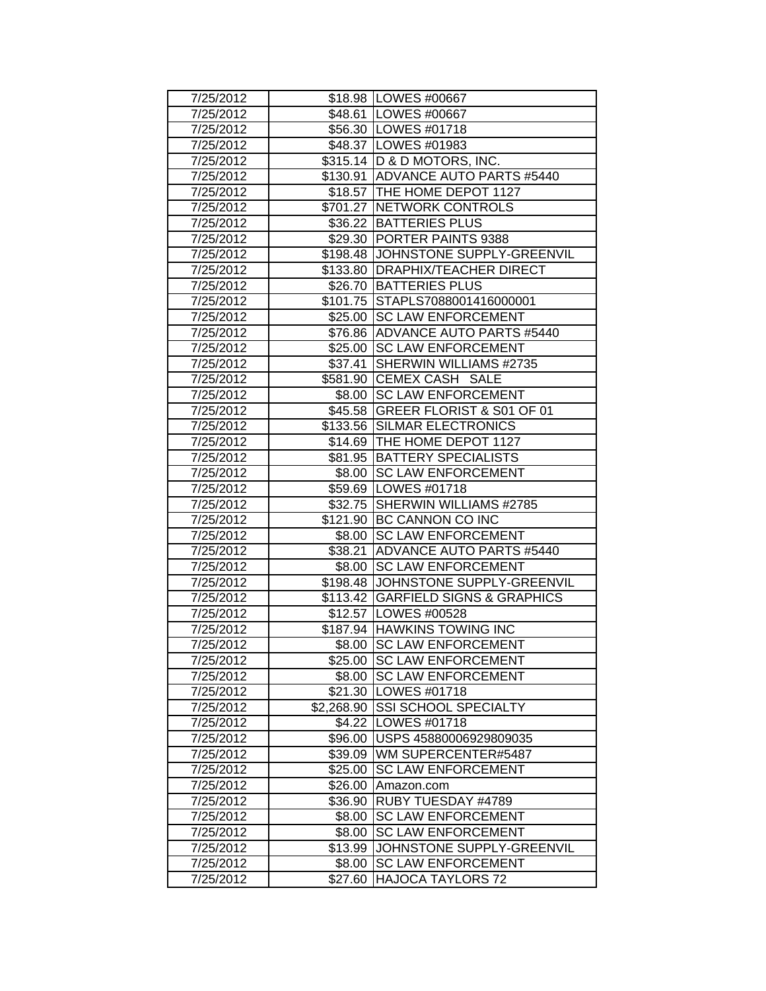| 7/25/2012 |         | \$18.98   LOWES #00667              |
|-----------|---------|-------------------------------------|
| 7/25/2012 |         | \$48.61   LOWES #00667              |
| 7/25/2012 |         | \$56.30   LOWES #01718              |
| 7/25/2012 |         | \$48.37   LOWES #01983              |
| 7/25/2012 |         | \$315.14   D & D MOTORS, INC.       |
| 7/25/2012 |         | \$130.91 ADVANCE AUTO PARTS #5440   |
| 7/25/2012 |         | \$18.57   THE HOME DEPOT 1127       |
| 7/25/2012 |         | \$701.27 NETWORK CONTROLS           |
| 7/25/2012 |         | \$36.22   BATTERIES PLUS            |
| 7/25/2012 |         | \$29.30 PORTER PAINTS 9388          |
| 7/25/2012 |         | \$198.48 JJOHNSTONE SUPPLY-GREENVIL |
| 7/25/2012 |         | \$133.80   DRAPHIX/TEACHER DIRECT   |
| 7/25/2012 |         | \$26.70 BATTERIES PLUS              |
| 7/25/2012 |         | \$101.75 STAPLS7088001416000001     |
| 7/25/2012 |         | \$25.00 SC LAW ENFORCEMENT          |
| 7/25/2012 |         | \$76.86 ADVANCE AUTO PARTS #5440    |
| 7/25/2012 |         | \$25.00 SC LAW ENFORCEMENT          |
| 7/25/2012 | \$37.41 | SHERWIN WILLIAMS #2735              |
| 7/25/2012 |         | \$581.90 CEMEX CASH SALE            |
| 7/25/2012 | \$8.00  | <b>SC LAW ENFORCEMENT</b>           |
| 7/25/2012 |         | \$45.58 GREER FLORIST & S01 OF 01   |
| 7/25/2012 |         | \$133.56 SILMAR ELECTRONICS         |
| 7/25/2012 |         | \$14.69 THE HOME DEPOT 1127         |
| 7/25/2012 |         | \$81.95   BATTERY SPECIALISTS       |
| 7/25/2012 |         | \$8.00 SC LAW ENFORCEMENT           |
| 7/25/2012 |         | \$59.69   LOWES #01718              |
| 7/25/2012 |         | \$32.75 SHERWIN WILLIAMS #2785      |
| 7/25/2012 |         | \$121.90 BC CANNON CO INC           |
| 7/25/2012 |         | \$8.00 SC LAW ENFORCEMENT           |
| 7/25/2012 | \$38.21 | <b>ADVANCE AUTO PARTS #5440</b>     |
| 7/25/2012 | \$8.00  | <b>SC LAW ENFORCEMENT</b>           |
| 7/25/2012 |         | \$198.48 JJOHNSTONE SUPPLY-GREENVIL |
| 7/25/2012 |         | \$113.42 GARFIELD SIGNS & GRAPHICS  |
| 7/25/2012 |         | \$12.57   LOWES #00528              |
| 7/25/2012 |         | \$187.94 HAWKINS TOWING INC         |
| 7/25/2012 | \$8.00  | <b>SC LAW ENFORCEMENT</b>           |
| 7/25/2012 | \$25.00 | <b>SC LAW ENFORCEMENT</b>           |
| 7/25/2012 |         | \$8.00 SC LAW ENFORCEMENT           |
| 7/25/2012 |         | \$21.30   LOWES #01718              |
| 7/25/2012 |         | \$2,268.90 SSI SCHOOL SPECIALTY     |
| 7/25/2012 |         | \$4.22   LOWES #01718               |
| 7/25/2012 |         | \$96.00   USPS 45880006929809035    |
| 7/25/2012 |         | \$39.09 WM SUPERCENTER#5487         |
| 7/25/2012 | \$25.00 | <b>SC LAW ENFORCEMENT</b>           |
| 7/25/2012 | \$26.00 | Amazon.com                          |
| 7/25/2012 | \$36.90 | <b>RUBY TUESDAY #4789</b>           |
| 7/25/2012 | \$8.00  | <b>SC LAW ENFORCEMENT</b>           |
| 7/25/2012 | \$8.00  | <b>SC LAW ENFORCEMENT</b>           |
| 7/25/2012 | \$13.99 | JOHNSTONE SUPPLY-GREENVIL           |
| 7/25/2012 | \$8.00  | <b>SC LAW ENFORCEMENT</b>           |
| 7/25/2012 | \$27.60 | <b>HAJOCA TAYLORS 72</b>            |
|           |         |                                     |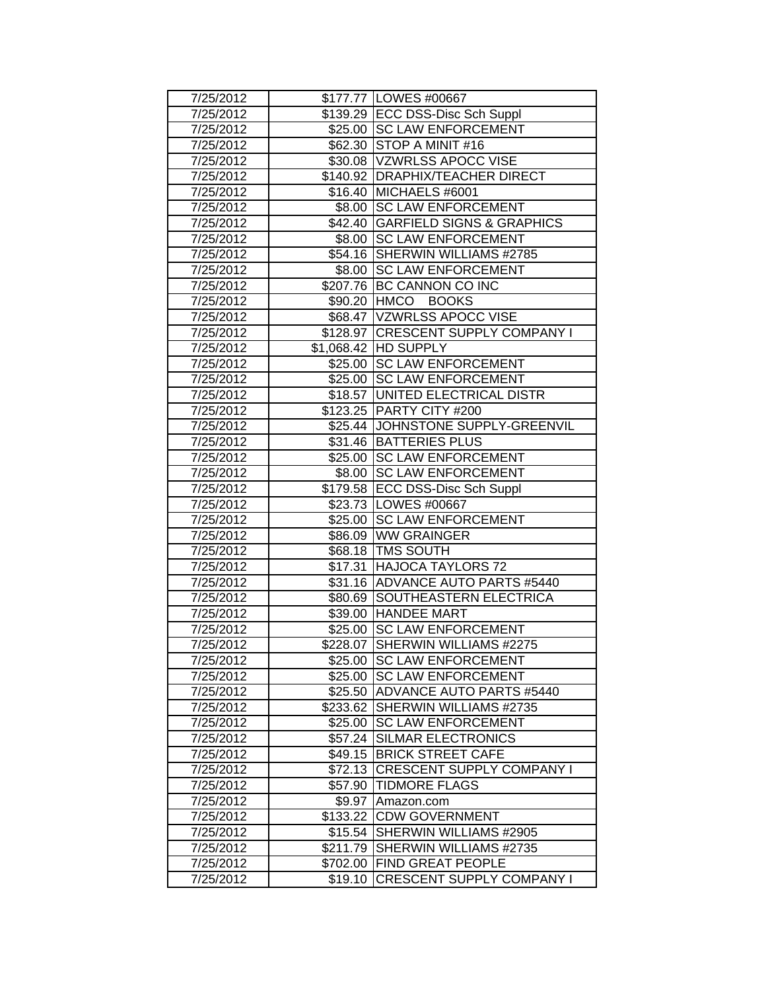| 7/25/2012 |          | \$177.77   LOWES #00667            |
|-----------|----------|------------------------------------|
| 7/25/2012 |          | \$139.29 ECC DSS-Disc Sch Suppl    |
| 7/25/2012 |          | \$25.00 SC LAW ENFORCEMENT         |
| 7/25/2012 |          | \$62.30 STOP A MINIT #16           |
| 7/25/2012 |          | \$30.08 VZWRLSS APOCC VISE         |
| 7/25/2012 |          | \$140.92 DRAPHIX/TEACHER DIRECT    |
| 7/25/2012 |          | \$16.40 MICHAELS #6001             |
| 7/25/2012 |          | \$8.00 SC LAW ENFORCEMENT          |
| 7/25/2012 |          | \$42.40 GARFIELD SIGNS & GRAPHICS  |
| 7/25/2012 |          | \$8.00 SC LAW ENFORCEMENT          |
| 7/25/2012 |          | \$54.16 SHERWIN WILLIAMS #2785     |
| 7/25/2012 |          | \$8.00 SC LAW ENFORCEMENT          |
| 7/25/2012 |          | \$207.76 BC CANNON CO INC          |
| 7/25/2012 |          | \$90.20 HMCO BOOKS                 |
| 7/25/2012 |          | \$68.47 VZWRLSS APOCC VISE         |
| 7/25/2012 |          | \$128.97 CRESCENT SUPPLY COMPANY I |
| 7/25/2012 |          | \$1,068.42 HD SUPPLY               |
| 7/25/2012 |          | \$25.00 SC LAW ENFORCEMENT         |
| 7/25/2012 |          | \$25.00   SC LAW ENFORCEMENT       |
| 7/25/2012 |          | \$18.57 UNITED ELECTRICAL DISTR    |
| 7/25/2012 |          | \$123.25 PARTY CITY #200           |
| 7/25/2012 |          | \$25.44 JJOHNSTONE SUPPLY-GREENVIL |
| 7/25/2012 |          | \$31.46 BATTERIES PLUS             |
| 7/25/2012 |          | \$25.00 SC LAW ENFORCEMENT         |
| 7/25/2012 |          | \$8.00 SC LAW ENFORCEMENT          |
| 7/25/2012 |          | \$179.58 ECC DSS-Disc Sch Suppl    |
| 7/25/2012 |          | \$23.73   LOWES #00667             |
| 7/25/2012 |          | \$25.00 SC LAW ENFORCEMENT         |
| 7/25/2012 |          | \$86.09 WW GRAINGER                |
| 7/25/2012 |          | \$68.18 TMS SOUTH                  |
| 7/25/2012 |          | \$17.31 HAJOCA TAYLORS 72          |
| 7/25/2012 |          | \$31.16 ADVANCE AUTO PARTS #5440   |
| 7/25/2012 |          | \$80.69 SOUTHEASTERN ELECTRICA     |
| 7/25/2012 |          | \$39.00 HANDEE MART                |
| 7/25/2012 |          | \$25.00 SC LAW ENFORCEMENT         |
| 7/25/2012 |          | \$228.07 SHERWIN WILLIAMS #2275    |
| 7/25/2012 |          | \$25.00 SC LAW ENFORCEMENT         |
| 7/25/2012 |          | \$25.00 SC LAW ENFORCEMENT         |
| 7/25/2012 |          | \$25.50 ADVANCE AUTO PARTS #5440   |
| 7/25/2012 |          | \$233.62 SHERWIN WILLIAMS #2735    |
| 7/25/2012 |          | \$25.00 SC LAW ENFORCEMENT         |
| 7/25/2012 |          | \$57.24 SILMAR ELECTRONICS         |
| 7/25/2012 |          | \$49.15 BRICK STREET CAFE          |
| 7/25/2012 |          | \$72.13 CRESCENT SUPPLY COMPANY I  |
| 7/25/2012 | \$57.90  | <b>TIDMORE FLAGS</b>               |
| 7/25/2012 |          | \$9.97 Amazon.com                  |
| 7/25/2012 |          | \$133.22 CDW GOVERNMENT            |
| 7/25/2012 | \$15.54  | SHERWIN WILLIAMS #2905             |
| 7/25/2012 | \$211.79 | SHERWIN WILLIAMS #2735             |
| 7/25/2012 | \$702.00 | <b>FIND GREAT PEOPLE</b>           |
| 7/25/2012 | \$19.10  | <b>CRESCENT SUPPLY COMPANY I</b>   |
|           |          |                                    |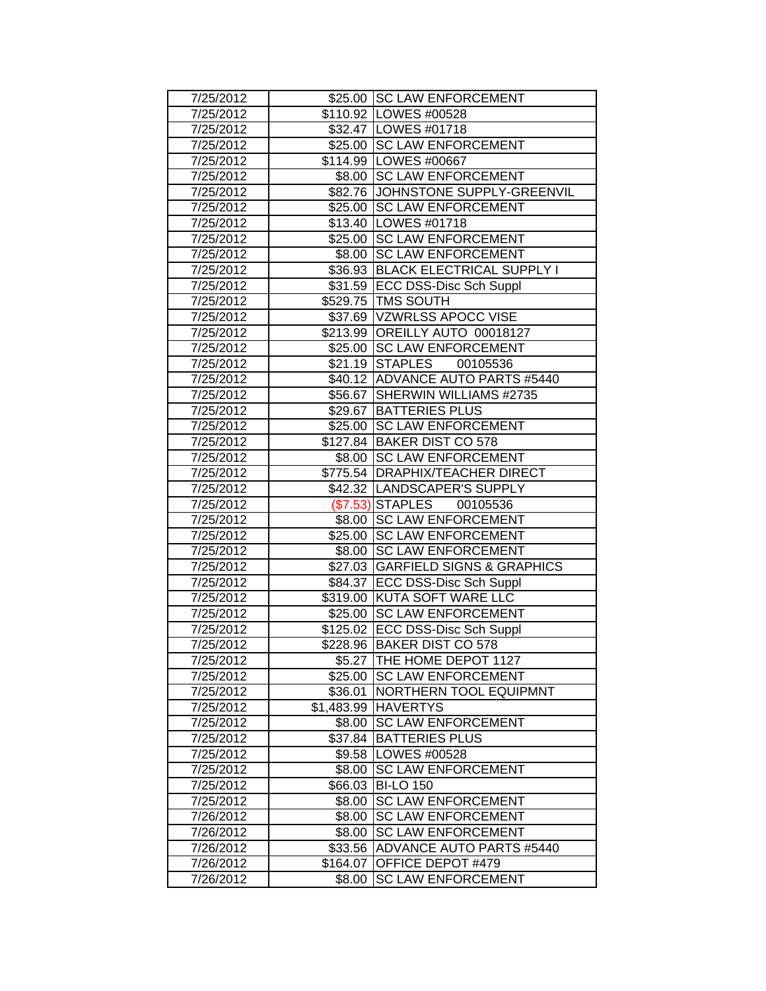| 7/25/2012 |          | \$25.00 SC LAW ENFORCEMENT        |
|-----------|----------|-----------------------------------|
| 7/25/2012 |          | \$110.92 LOWES #00528             |
| 7/25/2012 |          | \$32.47   LOWES #01718            |
| 7/25/2012 |          | \$25.00 SC LAW ENFORCEMENT        |
| 7/25/2012 |          | \$114.99 LOWES #00667             |
| 7/25/2012 |          | \$8.00 SC LAW ENFORCEMENT         |
| 7/25/2012 |          | \$82.76 JOHNSTONE SUPPLY-GREENVIL |
| 7/25/2012 | \$25.00  | <b>SC LAW ENFORCEMENT</b>         |
| 7/25/2012 |          | \$13.40   LOWES #01718            |
| 7/25/2012 |          | \$25.00 SC LAW ENFORCEMENT        |
| 7/25/2012 |          | \$8.00 SC LAW ENFORCEMENT         |
| 7/25/2012 |          | \$36.93 BLACK ELECTRICAL SUPPLY I |
| 7/25/2012 |          | \$31.59 ECC DSS-Disc Sch Suppl    |
| 7/25/2012 |          | \$529.75   TMS SOUTH              |
| 7/25/2012 |          | \$37.69 VZWRLSS APOCC VISE        |
| 7/25/2012 |          | \$213.99 OREILLY AUTO 00018127    |
| 7/25/2012 |          | \$25.00 SC LAW ENFORCEMENT        |
| 7/25/2012 |          | \$21.19 STAPLES<br>00105536       |
| 7/25/2012 |          | \$40.12 ADVANCE AUTO PARTS #5440  |
| 7/25/2012 | \$56.67  | SHERWIN WILLIAMS #2735            |
| 7/25/2012 |          | \$29.67 BATTERIES PLUS            |
| 7/25/2012 |          | \$25.00 SC LAW ENFORCEMENT        |
| 7/25/2012 |          | \$127.84 BAKER DIST CO 578        |
| 7/25/2012 |          | \$8.00 SC LAW ENFORCEMENT         |
| 7/25/2012 |          | \$775.54 DRAPHIX/TEACHER DIRECT   |
| 7/25/2012 |          | \$42.32  LANDSCAPER'S SUPPLY      |
| 7/25/2012 |          | (\$7.53) STAPLES 00105536         |
| 7/25/2012 |          | \$8.00 SC LAW ENFORCEMENT         |
| 7/25/2012 |          | \$25.00 SC LAW ENFORCEMENT        |
| 7/25/2012 |          | \$8.00 SC LAW ENFORCEMENT         |
| 7/25/2012 |          | \$27.03 GARFIELD SIGNS & GRAPHICS |
| 7/25/2012 |          | \$84.37 ECC DSS-Disc Sch Suppl    |
| 7/25/2012 |          | \$319.00 KUTA SOFT WARE LLC       |
| 7/25/2012 |          | \$25.00 SC LAW ENFORCEMENT        |
| 7/25/2012 |          | \$125.02 ECC DSS-Disc Sch Suppl   |
| 7/25/2012 |          | \$228.96 BAKER DIST CO 578        |
| 7/25/2012 |          | \$5.27 THE HOME DEPOT 1127        |
| 7/25/2012 | \$25.00  | <b>SC LAW ENFORCEMENT</b>         |
| 7/25/2012 | \$36.01  | NORTHERN TOOL EQUIPMNT            |
| 7/25/2012 |          | \$1,483.99 HAVERTYS               |
| 7/25/2012 |          | \$8.00 SC LAW ENFORCEMENT         |
| 7/25/2012 |          | \$37.84 BATTERIES PLUS            |
| 7/25/2012 |          | \$9.58  LOWES #00528              |
| 7/25/2012 | \$8.00   | <b>SC LAW ENFORCEMENT</b>         |
| 7/25/2012 |          | \$66.03 BI-LO 150                 |
| 7/25/2012 | \$8.00   | <b>SC LAW ENFORCEMENT</b>         |
| 7/26/2012 | \$8.00   | <b>SC LAW ENFORCEMENT</b>         |
| 7/26/2012 | \$8.00   | <b>SC LAW ENFORCEMENT</b>         |
| 7/26/2012 | \$33.56  | <b>ADVANCE AUTO PARTS #5440</b>   |
| 7/26/2012 | \$164.07 | OFFICE DEPOT #479                 |
| 7/26/2012 | \$8.00   | <b>SC LAW ENFORCEMENT</b>         |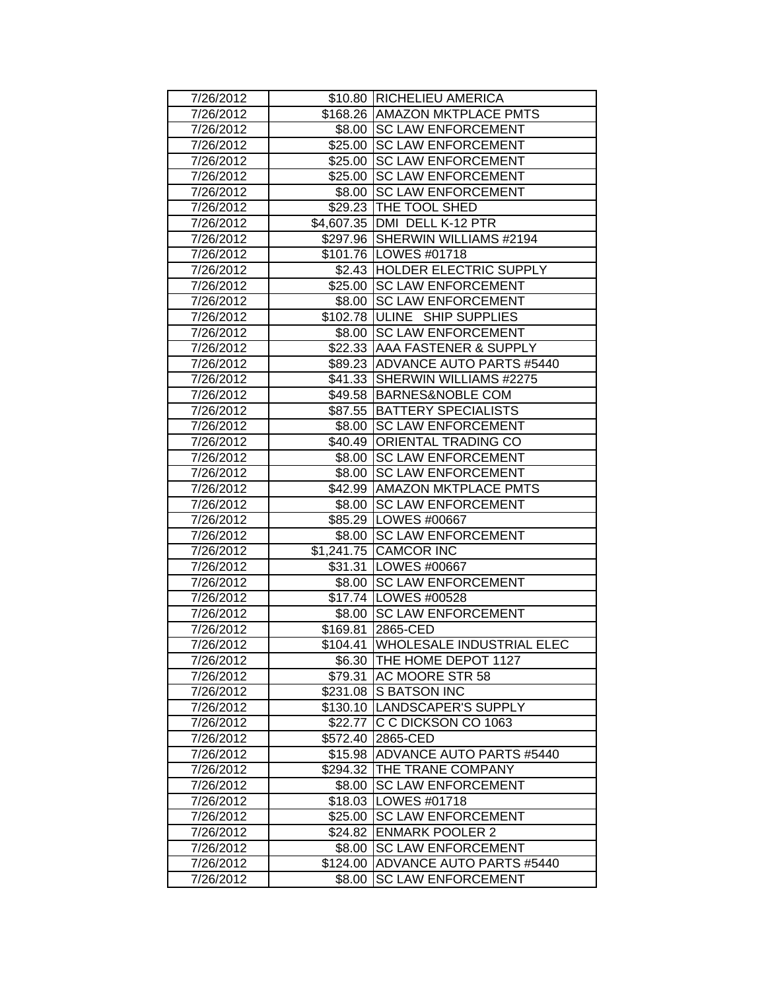| 7/26/2012 |          | \$10.80 RICHELIEU AMERICA            |
|-----------|----------|--------------------------------------|
| 7/26/2012 |          | \$168.26 AMAZON MKTPLACE PMTS        |
| 7/26/2012 |          | \$8.00 SC LAW ENFORCEMENT            |
| 7/26/2012 |          | \$25.00 SC LAW ENFORCEMENT           |
| 7/26/2012 |          | \$25.00 SC LAW ENFORCEMENT           |
| 7/26/2012 |          | \$25.00 SC LAW ENFORCEMENT           |
| 7/26/2012 | \$8.00   | <b>SC LAW ENFORCEMENT</b>            |
| 7/26/2012 |          | \$29.23 THE TOOL SHED                |
| 7/26/2012 |          | \$4,607.35 DMI DELL K-12 PTR         |
| 7/26/2012 |          | \$297.96 SHERWIN WILLIAMS #2194      |
| 7/26/2012 |          | \$101.76   LOWES #01718              |
| 7/26/2012 |          | \$2.43 HOLDER ELECTRIC SUPPLY        |
| 7/26/2012 |          | \$25.00 SC LAW ENFORCEMENT           |
| 7/26/2012 |          | \$8.00 SC LAW ENFORCEMENT            |
| 7/26/2012 |          | \$102.78 ULINE SHIP SUPPLIES         |
| 7/26/2012 |          | \$8.00 SC LAW ENFORCEMENT            |
| 7/26/2012 |          | \$22.33 AAA FASTENER & SUPPLY        |
| 7/26/2012 |          | \$89.23 ADVANCE AUTO PARTS #5440     |
| 7/26/2012 | \$41.33  | SHERWIN WILLIAMS #2275               |
| 7/26/2012 |          | \$49.58 BARNES&NOBLE COM             |
| 7/26/2012 |          | \$87.55 BATTERY SPECIALISTS          |
| 7/26/2012 |          | \$8.00 SC LAW ENFORCEMENT            |
| 7/26/2012 |          | \$40.49 ORIENTAL TRADING CO          |
| 7/26/2012 | \$8.00   | <b>SC LAW ENFORCEMENT</b>            |
| 7/26/2012 | \$8.00   | <b>SC LAW ENFORCEMENT</b>            |
| 7/26/2012 |          | \$42.99   AMAZON MKTPLACE PMTS       |
| 7/26/2012 |          | \$8.00 SC LAW ENFORCEMENT            |
| 7/26/2012 |          | \$85.29   LOWES #00667               |
| 7/26/2012 |          | \$8.00 SC LAW ENFORCEMENT            |
| 7/26/2012 |          | \$1,241.75 CAMCOR INC                |
| 7/26/2012 |          | \$31.31   LOWES #00667               |
| 7/26/2012 | \$8.00   | <b>SC LAW ENFORCEMENT</b>            |
| 7/26/2012 |          | \$17.74   LOWES #00528               |
| 7/26/2012 |          | \$8.00 SC LAW ENFORCEMENT            |
| 7/26/2012 |          | \$169.81 2865-CED                    |
| 7/26/2012 |          | \$104.41   WHOLESALE INDUSTRIAL ELEC |
| 7/26/2012 |          | \$6.30 THE HOME DEPOT 1127           |
| 7/26/2012 |          | \$79.31 AC MOORE STR 58              |
| 7/26/2012 |          | \$231.08 S BATSON INC                |
| 7/26/2012 |          | \$130.10 LANDSCAPER'S SUPPLY         |
| 7/26/2012 |          | \$22.77 C C DICKSON CO 1063          |
| 7/26/2012 |          | \$572.40 2865-CED                    |
| 7/26/2012 |          | \$15.98 ADVANCE AUTO PARTS #5440     |
| 7/26/2012 |          | \$294.32 THE TRANE COMPANY           |
| 7/26/2012 | \$8.00   | <b>SC LAW ENFORCEMENT</b>            |
| 7/26/2012 |          | \$18.03   LOWES #01718               |
| 7/26/2012 |          | \$25.00 SC LAW ENFORCEMENT           |
| 7/26/2012 |          | \$24.82 ENMARK POOLER 2              |
| 7/26/2012 | \$8.00   | <b>SC LAW ENFORCEMENT</b>            |
| 7/26/2012 | \$124.00 | <b>ADVANCE AUTO PARTS #5440</b>      |
| 7/26/2012 | \$8.00   | <b>SC LAW ENFORCEMENT</b>            |
|           |          |                                      |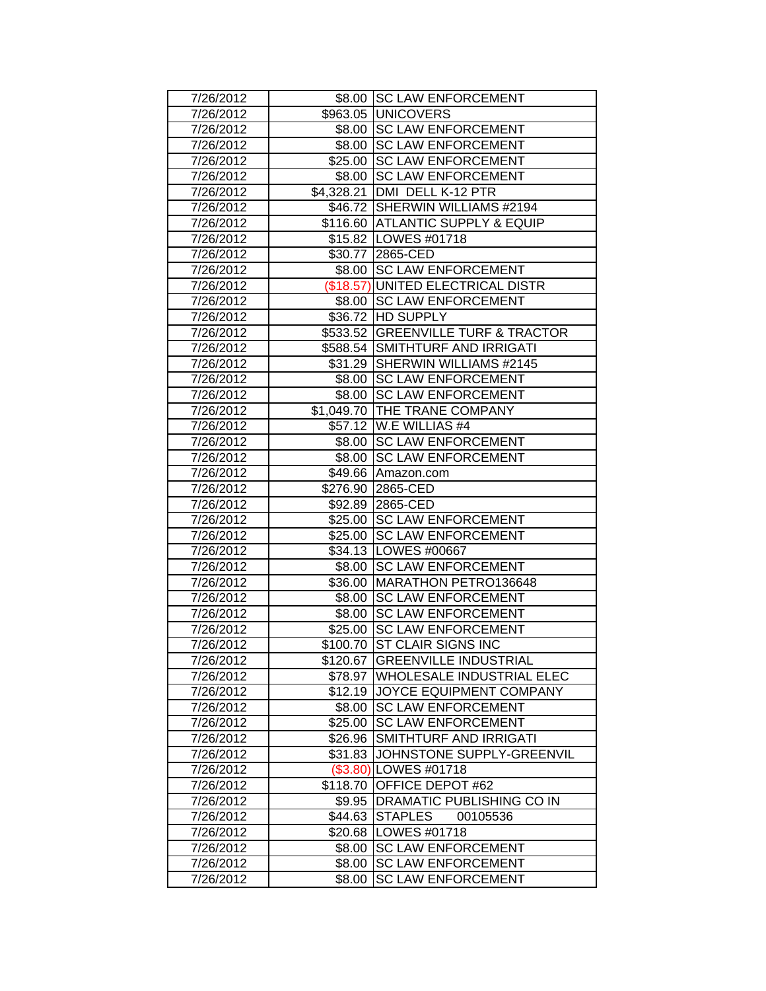| 7/26/2012 |            | \$8.00 SC LAW ENFORCEMENT          |
|-----------|------------|------------------------------------|
| 7/26/2012 |            | \$963.05 UNICOVERS                 |
| 7/26/2012 |            | \$8.00 SC LAW ENFORCEMENT          |
| 7/26/2012 |            | \$8.00 SC LAW ENFORCEMENT          |
| 7/26/2012 | \$25.00    | <b>SC LAW ENFORCEMENT</b>          |
| 7/26/2012 | \$8.00     | <b>SC LAW ENFORCEMENT</b>          |
| 7/26/2012 | \$4,328.21 | DMI DELL K-12 PTR                  |
| 7/26/2012 | \$46.72    | SHERWIN WILLIAMS #2194             |
| 7/26/2012 |            | \$116.60 ATLANTIC SUPPLY & EQUIP   |
| 7/26/2012 |            | \$15.82   LOWES #01718             |
| 7/26/2012 | \$30.77    | 2865-CED                           |
| 7/26/2012 | \$8.00     | <b>SC LAW ENFORCEMENT</b>          |
| 7/26/2012 |            | (\$18.57) UNITED ELECTRICAL DISTR  |
| 7/26/2012 |            | \$8.00 SC LAW ENFORCEMENT          |
| 7/26/2012 |            | \$36.72 HD SUPPLY                  |
| 7/26/2012 |            | \$533.52 GREENVILLE TURF & TRACTOR |
| 7/26/2012 | \$588.54   | SMITHTURF AND IRRIGATI             |
| 7/26/2012 | \$31.29    | SHERWIN WILLIAMS #2145             |
| 7/26/2012 | \$8.00     | <b>SC LAW ENFORCEMENT</b>          |
| 7/26/2012 | \$8.00     | <b>SC LAW ENFORCEMENT</b>          |
| 7/26/2012 |            | \$1,049.70 THE TRANE COMPANY       |
| 7/26/2012 |            | \$57.12 W.E WILLIAS #4             |
| 7/26/2012 | \$8.00     | <b>SC LAW ENFORCEMENT</b>          |
| 7/26/2012 | \$8.00     | <b>SC LAW ENFORCEMENT</b>          |
| 7/26/2012 |            | \$49.66 Amazon.com                 |
| 7/26/2012 |            | \$276.90 2865-CED                  |
| 7/26/2012 |            | \$92.89 2865-CED                   |
| 7/26/2012 |            | \$25.00 SC LAW ENFORCEMENT         |
| 7/26/2012 | \$25.00    | <b>SC LAW ENFORCEMENT</b>          |
| 7/26/2012 |            | \$34.13   LOWES #00667             |
| 7/26/2012 | \$8.00     | <b>SC LAW ENFORCEMENT</b>          |
| 7/26/2012 | \$36.00    | MARATHON PETRO136648               |
| 7/26/2012 | \$8.00     | <b>SC LAW ENFORCEMENT</b>          |
| 7/26/2012 | \$8.00     | <b>SC LAW ENFORCEMENT</b>          |
| 7/26/2012 | \$25.00    | <b>SC LAW ENFORCEMENT</b>          |
| 7/26/2012 | \$100.70   | ST CLAIR SIGNS INC                 |
| 7/26/2012 | \$120.67   | <b>GREENVILLE INDUSTRIAL</b>       |
| 7/26/2012 | \$78.97    | <b>WHOLESALE INDUSTRIAL ELEC</b>   |
| 7/26/2012 |            | \$12.19 JOYCE EQUIPMENT COMPANY    |
| 7/26/2012 |            | \$8.00 SC LAW ENFORCEMENT          |
| 7/26/2012 | \$25.00    | <b>SC LAW ENFORCEMENT</b>          |
| 7/26/2012 | \$26.96    | SMITHTURF AND IRRIGATI             |
| 7/26/2012 | \$31.83    | JOHNSTONE SUPPLY-GREENVIL          |
| 7/26/2012 |            | (\$3.80) LOWES #01718              |
| 7/26/2012 | \$118.70   | OFFICE DEPOT #62                   |
| 7/26/2012 |            | \$9.95   DRAMATIC PUBLISHING CO IN |
| 7/26/2012 |            | \$44.63 STAPLES<br>00105536        |
| 7/26/2012 |            | \$20.68   LOWES #01718             |
| 7/26/2012 | \$8.00     | <b>SC LAW ENFORCEMENT</b>          |
| 7/26/2012 | \$8.00     | <b>SC LAW ENFORCEMENT</b>          |
| 7/26/2012 | \$8.00     | <b>SC LAW ENFORCEMENT</b>          |
|           |            |                                    |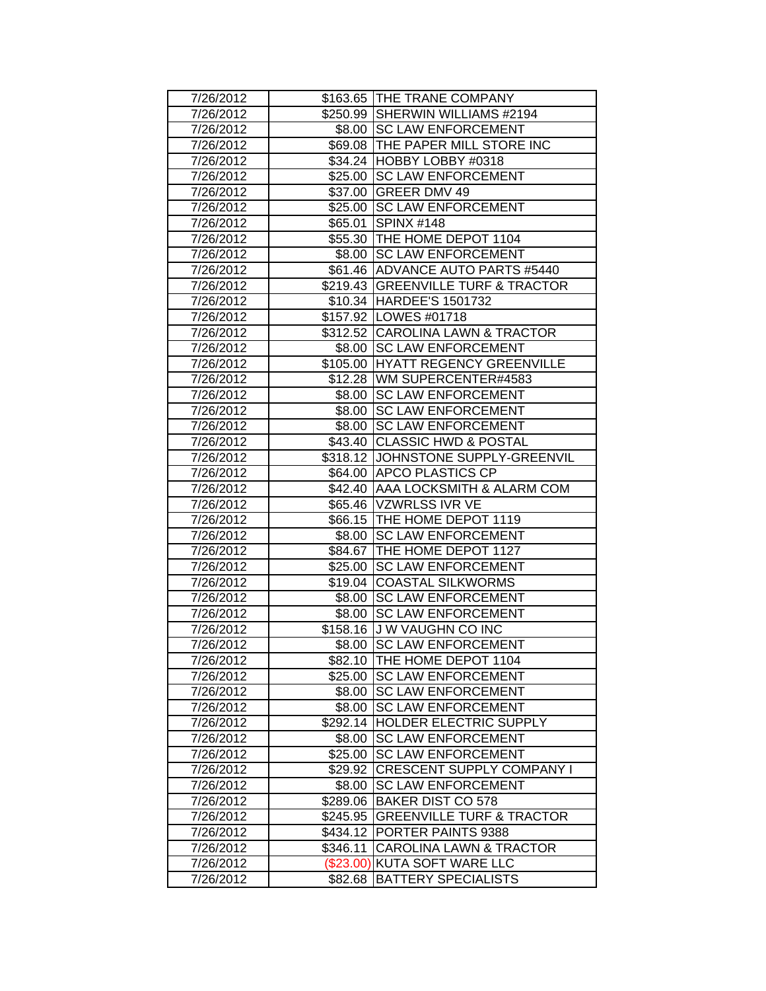| 7/26/2012 |             | \$163.65 THE TRANE COMPANY           |
|-----------|-------------|--------------------------------------|
| 7/26/2012 |             | \$250.99 SHERWIN WILLIAMS #2194      |
| 7/26/2012 |             | \$8.00 SC LAW ENFORCEMENT            |
| 7/26/2012 |             | \$69.08 THE PAPER MILL STORE INC     |
| 7/26/2012 |             | \$34.24 HOBBY LOBBY #0318            |
| 7/26/2012 |             | \$25.00 SC LAW ENFORCEMENT           |
| 7/26/2012 | \$37.00     | <b>GREER DMV 49</b>                  |
| 7/26/2012 |             | \$25.00 SC LAW ENFORCEMENT           |
| 7/26/2012 |             | \$65.01 SPINX #148                   |
| 7/26/2012 |             | \$55.30 THE HOME DEPOT 1104          |
| 7/26/2012 |             | \$8.00 SC LAW ENFORCEMENT            |
| 7/26/2012 |             | \$61.46 ADVANCE AUTO PARTS #5440     |
| 7/26/2012 |             | \$219.43 GREENVILLE TURF & TRACTOR   |
| 7/26/2012 |             | \$10.34 HARDEE'S 1501732             |
| 7/26/2012 |             | \$157.92   LOWES #01718              |
| 7/26/2012 |             | \$312.52 CAROLINA LAWN & TRACTOR     |
| 7/26/2012 |             | \$8.00 SC LAW ENFORCEMENT            |
| 7/26/2012 |             | \$105.00 HYATT REGENCY GREENVILLE    |
| 7/26/2012 |             | \$12.28   WM SUPERCENTER#4583        |
| 7/26/2012 | \$8.00      | <b>SC LAW ENFORCEMENT</b>            |
| 7/26/2012 |             | \$8.00 SC LAW ENFORCEMENT            |
| 7/26/2012 |             | \$8.00 SC LAW ENFORCEMENT            |
| 7/26/2012 |             | \$43.40 CLASSIC HWD & POSTAL         |
| 7/26/2012 |             | \$318.12 JOHNSTONE SUPPLY-GREENVIL   |
| 7/26/2012 |             | \$64.00 APCO PLASTICS CP             |
| 7/26/2012 |             | \$42.40 AAA LOCKSMITH & ALARM COM    |
| 7/26/2012 |             | \$65.46 VZWRLSS IVR VE               |
| 7/26/2012 |             | \$66.15 THE HOME DEPOT 1119          |
| 7/26/2012 |             | \$8.00 SC LAW ENFORCEMENT            |
| 7/26/2012 |             | \$84.67 THE HOME DEPOT 1127          |
| 7/26/2012 | \$25.00     | <b>SC LAW ENFORCEMENT</b>            |
| 7/26/2012 | \$19.04     | <b>COASTAL SILKWORMS</b>             |
| 7/26/2012 | \$8.00      | <b>SC LAW ENFORCEMENT</b>            |
| 7/26/2012 |             | \$8.00 SC LAW ENFORCEMENT            |
| 7/26/2012 |             | \$158.16 J W VAUGHN CO INC           |
| 7/26/2012 |             | \$8.00 SC LAW ENFORCEMENT            |
| 7/26/2012 |             | \$82.10 THE HOME DEPOT 1104          |
| 7/26/2012 |             | \$25.00 SC LAW ENFORCEMENT           |
| 7/26/2012 |             | \$8.00 SC LAW ENFORCEMENT            |
| 7/26/2012 |             | \$8.00 SC LAW ENFORCEMENT            |
| 7/26/2012 |             | \$292.14 HOLDER ELECTRIC SUPPLY      |
| 7/26/2012 | \$8.00      | <b>SC LAW ENFORCEMENT</b>            |
| 7/26/2012 | \$25.00     | <b>SC LAW ENFORCEMENT</b>            |
| 7/26/2012 | \$29.92     | <b>CRESCENT SUPPLY COMPANY I</b>     |
| 7/26/2012 | \$8.00      | <b>SC LAW ENFORCEMENT</b>            |
| 7/26/2012 |             | \$289.06 BAKER DIST CO 578           |
| 7/26/2012 | \$245.95    | <b>GREENVILLE TURF &amp; TRACTOR</b> |
| 7/26/2012 | \$434.12    | <b>PORTER PAINTS 9388</b>            |
| 7/26/2012 | \$346.11    | CAROLINA LAWN & TRACTOR              |
| 7/26/2012 | $(\$23.00)$ | KUTA SOFT WARE LLC                   |
| 7/26/2012 | \$82.68     | <b>BATTERY SPECIALISTS</b>           |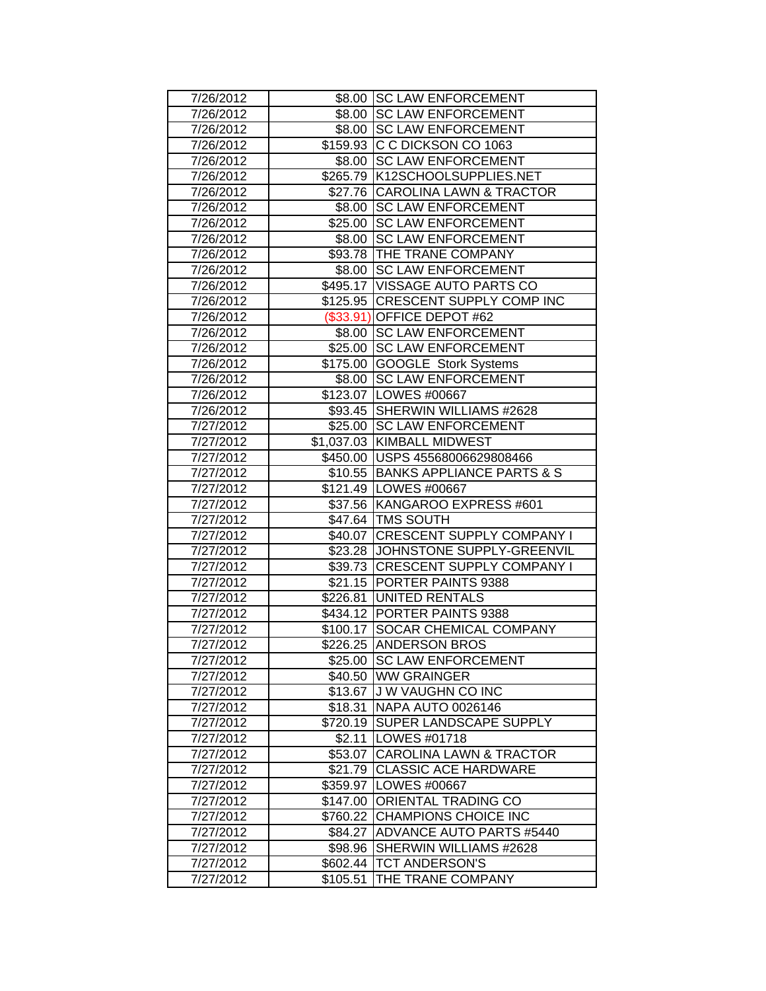| 7/26/2012 |          | \$8.00 SC LAW ENFORCEMENT          |
|-----------|----------|------------------------------------|
| 7/26/2012 |          | \$8.00 SC LAW ENFORCEMENT          |
| 7/26/2012 |          | \$8.00 SC LAW ENFORCEMENT          |
| 7/26/2012 |          | \$159.93 C C DICKSON CO 1063       |
| 7/26/2012 |          | \$8.00 SC LAW ENFORCEMENT          |
| 7/26/2012 |          | \$265.79 K12SCHOOLSUPPLIES.NET     |
| 7/26/2012 |          | \$27.76 CAROLINA LAWN & TRACTOR    |
| 7/26/2012 |          | \$8.00 SC LAW ENFORCEMENT          |
| 7/26/2012 |          | \$25.00 SC LAW ENFORCEMENT         |
| 7/26/2012 |          | \$8.00 SC LAW ENFORCEMENT          |
| 7/26/2012 |          | \$93.78 THE TRANE COMPANY          |
| 7/26/2012 |          | \$8.00 SC LAW ENFORCEMENT          |
| 7/26/2012 |          | \$495.17  VISSAGE AUTO PARTS CO    |
| 7/26/2012 |          | \$125.95 CRESCENT SUPPLY COMP INC  |
| 7/26/2012 |          | (\$33.91) OFFICE DEPOT #62         |
| 7/26/2012 |          | \$8.00 SC LAW ENFORCEMENT          |
| 7/26/2012 |          | \$25.00 SC LAW ENFORCEMENT         |
| 7/26/2012 |          | \$175.00 GOOGLE Stork Systems      |
| 7/26/2012 | \$8.00   | <b>SC LAW ENFORCEMENT</b>          |
| 7/26/2012 |          | \$123.07   LOWES #00667            |
| 7/26/2012 |          | \$93.45 SHERWIN WILLIAMS #2628     |
| 7/27/2012 |          | \$25.00 SC LAW ENFORCEMENT         |
| 7/27/2012 |          | \$1,037.03 KIMBALL MIDWEST         |
| 7/27/2012 |          | \$450.00   USPS 45568006629808466  |
| 7/27/2012 |          | \$10.55 BANKS APPLIANCE PARTS & S  |
| 7/27/2012 |          | \$121.49   LOWES #00667            |
| 7/27/2012 |          | \$37.56 KANGAROO EXPRESS #601      |
| 7/27/2012 |          | \$47.64 TMS SOUTH                  |
| 7/27/2012 |          | \$40.07 CRESCENT SUPPLY COMPANY I  |
| 7/27/2012 |          | \$23.28 JJOHNSTONE SUPPLY-GREENVIL |
| 7/27/2012 |          | \$39.73 CRESCENT SUPPLY COMPANY I  |
| 7/27/2012 | \$21.15  | <b>PORTER PAINTS 9388</b>          |
| 7/27/2012 |          | \$226.81 UNITED RENTALS            |
| 7/27/2012 |          | \$434.12 PORTER PAINTS 9388        |
| 7/27/2012 | \$100.17 | <b>SOCAR CHEMICAL COMPANY</b>      |
| 7/27/2012 |          | \$226.25 ANDERSON BROS             |
| 7/27/2012 |          | \$25.00 SC LAW ENFORCEMENT         |
| 7/27/2012 |          | \$40.50 WW GRAINGER                |
| 7/27/2012 |          | \$13.67 J W VAUGHN CO INC          |
| 7/27/2012 |          | \$18.31 NAPA AUTO 0026146          |
| 7/27/2012 |          | \$720.19 SUPER LANDSCAPE SUPPLY    |
| 7/27/2012 |          | \$2.11  LOWES #01718               |
| 7/27/2012 |          | \$53.07 CAROLINA LAWN & TRACTOR    |
| 7/27/2012 |          | \$21.79 CLASSIC ACE HARDWARE       |
| 7/27/2012 |          | \$359.97   LOWES #00667            |
| 7/27/2012 |          | \$147.00 ORIENTAL TRADING CO       |
| 7/27/2012 |          | \$760.22 CHAMPIONS CHOICE INC      |
| 7/27/2012 |          | \$84.27 ADVANCE AUTO PARTS #5440   |
| 7/27/2012 | \$98.96  | SHERWIN WILLIAMS #2628             |
| 7/27/2012 |          | \$602.44   TCT ANDERSON'S          |
| 7/27/2012 | \$105.51 | THE TRANE COMPANY                  |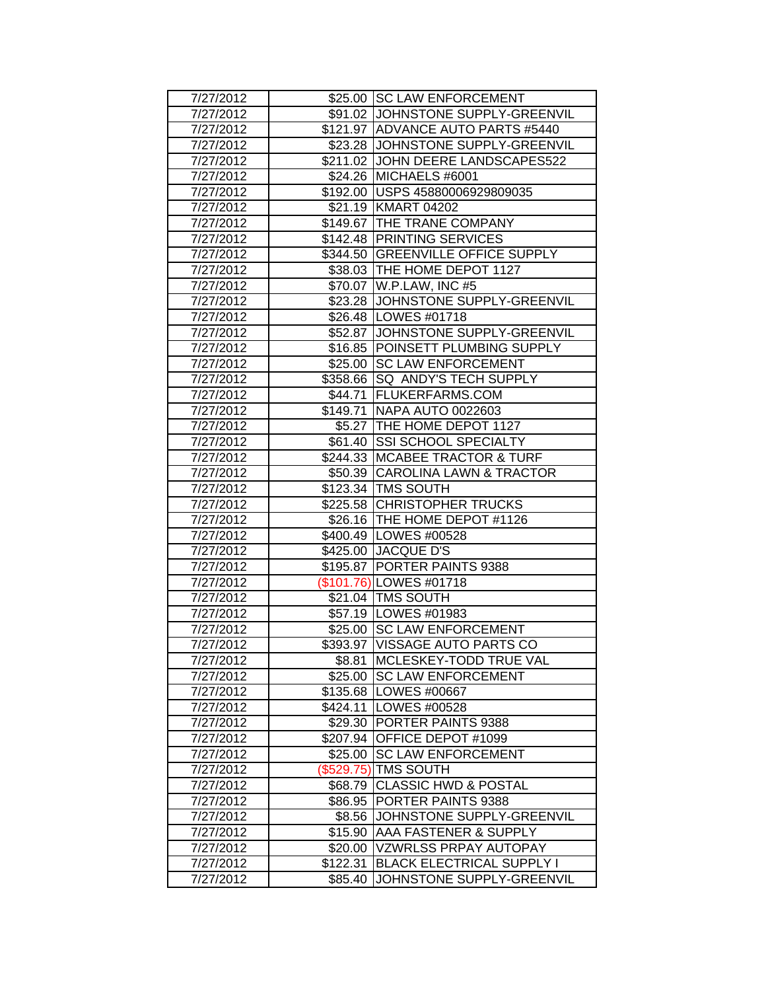| 7/27/2012 |          | \$25.00 SC LAW ENFORCEMENT         |
|-----------|----------|------------------------------------|
| 7/27/2012 |          | \$91.02 JJOHNSTONE SUPPLY-GREENVIL |
| 7/27/2012 |          | \$121.97 ADVANCE AUTO PARTS #5440  |
| 7/27/2012 |          | \$23.28 JJOHNSTONE SUPPLY-GREENVIL |
| 7/27/2012 |          | \$211.02 JOHN DEERE LANDSCAPES522  |
| 7/27/2012 |          | \$24.26 MICHAELS #6001             |
| 7/27/2012 |          | \$192.00   USPS 45880006929809035  |
| 7/27/2012 |          | \$21.19 KMART 04202                |
| 7/27/2012 |          | \$149.67 THE TRANE COMPANY         |
| 7/27/2012 |          | \$142.48 PRINTING SERVICES         |
| 7/27/2012 |          | \$344.50 GREENVILLE OFFICE SUPPLY  |
| 7/27/2012 |          | \$38.03   THE HOME DEPOT 1127      |
| 7/27/2012 |          | \$70.07   W.P.LAW, INC #5          |
| 7/27/2012 |          | \$23.28 JJOHNSTONE SUPPLY-GREENVIL |
| 7/27/2012 |          | \$26.48   LOWES #01718             |
| 7/27/2012 | \$52.87  | JOHNSTONE SUPPLY-GREENVIL          |
| 7/27/2012 |          | \$16.85 POINSETT PLUMBING SUPPLY   |
| 7/27/2012 |          | \$25.00 SC LAW ENFORCEMENT         |
| 7/27/2012 | \$358.66 | <b>SQ ANDY'S TECH SUPPLY</b>       |
| 7/27/2012 |          | \$44.71   FLUKERFARMS.COM          |
| 7/27/2012 |          | \$149.71   NAPA AUTO 0022603       |
| 7/27/2012 |          | \$5.27 THE HOME DEPOT 1127         |
| 7/27/2012 |          | \$61.40 SSI SCHOOL SPECIALTY       |
| 7/27/2012 |          | \$244.33 MCABEE TRACTOR & TURF     |
| 7/27/2012 |          | \$50.39 CAROLINA LAWN & TRACTOR    |
| 7/27/2012 |          | \$123.34   TMS SOUTH               |
| 7/27/2012 |          | \$225.58 CHRISTOPHER TRUCKS        |
| 7/27/2012 |          | \$26.16 THE HOME DEPOT #1126       |
| 7/27/2012 |          | \$400.49 LOWES #00528              |
| 7/27/2012 |          | \$425.00 JACQUE D'S                |
| 7/27/2012 |          | \$195.87 PORTER PAINTS 9388        |
| 7/27/2012 |          | (\$101.76) LOWES #01718            |
| 7/27/2012 |          | \$21.04 TMS SOUTH                  |
| 7/27/2012 |          | \$57.19   LOWES #01983             |
| 7/27/2012 |          | \$25.00 SC LAW ENFORCEMENT         |
| 7/27/2012 |          | \$393.97 VISSAGE AUTO PARTS CO     |
| 7/27/2012 | \$8.81   | <b>MCLESKEY-TODD TRUE VAL</b>      |
| 7/27/2012 |          | \$25.00 SC LAW ENFORCEMENT         |
| 7/27/2012 |          | \$135.68   LOWES #00667            |
| 7/27/2012 |          | \$424.11 LOWES #00528              |
| 7/27/2012 |          | \$29.30 PORTER PAINTS 9388         |
| 7/27/2012 |          | \$207.94 OFFICE DEPOT #1099        |
|           |          | <b>SC LAW ENFORCEMENT</b>          |
| 7/27/2012 | \$25.00  |                                    |
| 7/27/2012 |          | (\$529.75) TMS SOUTH               |
| 7/27/2012 | \$68.79  | <b>CLASSIC HWD &amp; POSTAL</b>    |
| 7/27/2012 |          | \$86.95   PORTER PAINTS 9388       |
| 7/27/2012 | \$8.56   | JOHNSTONE SUPPLY-GREENVIL          |
| 7/27/2012 |          | \$15.90 AAA FASTENER & SUPPLY      |
| 7/27/2012 | \$20.00  | VZWRLSS PRPAY AUTOPAY              |
| 7/27/2012 | \$122.31 | <b>BLACK ELECTRICAL SUPPLY I</b>   |
| 7/27/2012 | \$85.40  | JOHNSTONE SUPPLY-GREENVIL          |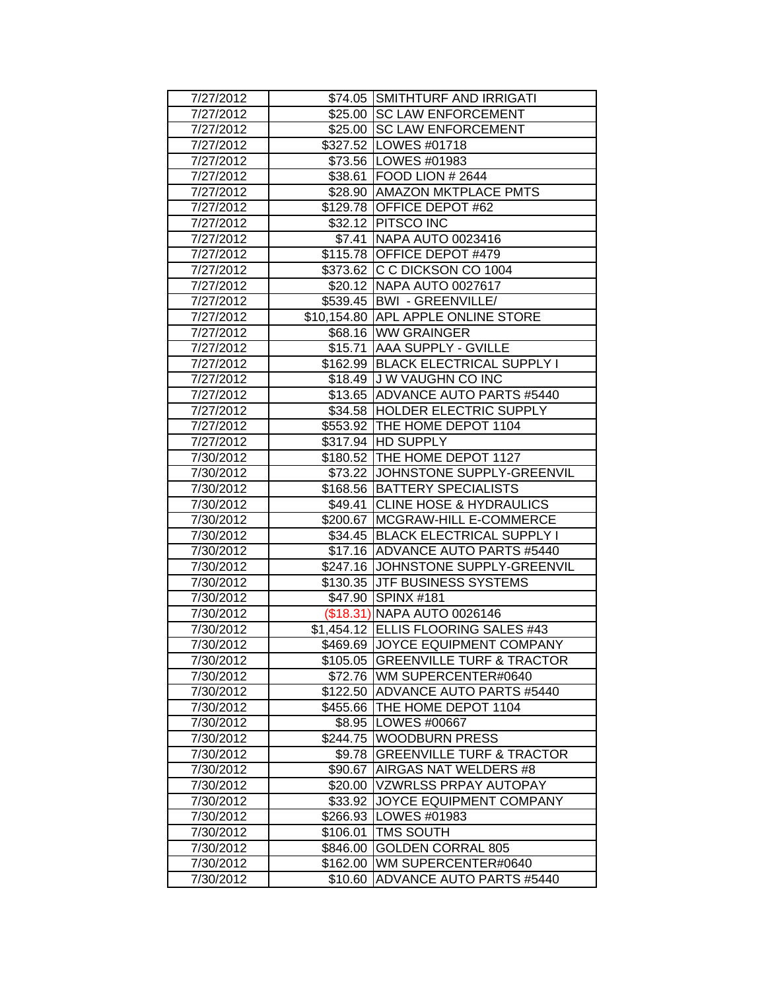| 7/27/2012 |          | \$74.05 SMITHTURF AND IRRIGATI       |
|-----------|----------|--------------------------------------|
| 7/27/2012 |          | \$25.00 SC LAW ENFORCEMENT           |
| 7/27/2012 |          | \$25.00 SC LAW ENFORCEMENT           |
| 7/27/2012 |          | \$327.52 LOWES #01718                |
| 7/27/2012 |          | \$73.56 LOWES #01983                 |
| 7/27/2012 |          | \$38.61   FOOD LION # 2644           |
| 7/27/2012 |          | \$28.90   AMAZON MKTPLACE PMTS       |
| 7/27/2012 |          | \$129.78 OFFICE DEPOT #62            |
| 7/27/2012 |          | \$32.12 PITSCO INC                   |
| 7/27/2012 | \$7.41   | NAPA AUTO 0023416                    |
| 7/27/2012 |          | \$115.78 OFFICE DEPOT #479           |
| 7/27/2012 |          | \$373.62 C C DICKSON CO 1004         |
| 7/27/2012 |          | \$20.12 NAPA AUTO 0027617            |
| 7/27/2012 |          | \$539.45   BWI - GREENVILLE/         |
| 7/27/2012 |          | \$10,154.80 APPL APPLE ONLINE STORE  |
| 7/27/2012 |          | \$68.16 WW GRAINGER                  |
| 7/27/2012 |          | \$15.71 AAA SUPPLY - GVILLE          |
| 7/27/2012 |          | \$162.99 BLACK ELECTRICAL SUPPLY I   |
| 7/27/2012 |          | \$18.49 J W VAUGHN CO INC            |
| 7/27/2012 |          | \$13.65 ADVANCE AUTO PARTS #5440     |
| 7/27/2012 |          | \$34.58 HOLDER ELECTRIC SUPPLY       |
| 7/27/2012 |          | \$553.92 THE HOME DEPOT 1104         |
| 7/27/2012 |          | \$317.94 HD SUPPLY                   |
| 7/30/2012 |          | \$180.52 THE HOME DEPOT 1127         |
| 7/30/2012 |          | \$73.22 JJOHNSTONE SUPPLY-GREENVIL   |
| 7/30/2012 |          | \$168.56 BATTERY SPECIALISTS         |
| 7/30/2012 |          | \$49.41 CLINE HOSE & HYDRAULICS      |
| 7/30/2012 |          | \$200.67 MCGRAW-HILL E-COMMERCE      |
| 7/30/2012 |          | \$34.45 BLACK ELECTRICAL SUPPLY I    |
| 7/30/2012 |          | \$17.16 ADVANCE AUTO PARTS #5440     |
| 7/30/2012 |          | \$247.16 JOHNSTONE SUPPLY-GREENVIL   |
| 7/30/2012 |          | \$130.35 JTF BUSINESS SYSTEMS        |
| 7/30/2012 | \$47.90  | <b>SPINX #181</b>                    |
| 7/30/2012 |          | (\$18.31) NAPA AUTO 0026146          |
| 7/30/2012 |          | \$1,454.12 ELLIS FLOORING SALES #43  |
| 7/30/2012 |          | \$469.69 JOYCE EQUIPMENT COMPANY     |
| 7/30/2012 | \$105.05 | <b>GREENVILLE TURF &amp; TRACTOR</b> |
| 7/30/2012 |          | \$72.76 WM SUPERCENTER#0640          |
| 7/30/2012 |          | \$122.50   ADVANCE AUTO PARTS #5440  |
| 7/30/2012 |          | \$455.66 THE HOME DEPOT 1104         |
| 7/30/2012 |          | \$8.95   LOWES #00667                |
| 7/30/2012 |          | \$244.75 WOODBURN PRESS              |
| 7/30/2012 |          | \$9.78 GREENVILLE TURF & TRACTOR     |
| 7/30/2012 | \$90.67  | AIRGAS NAT WELDERS #8                |
| 7/30/2012 | \$20.00  | <b>VZWRLSS PRPAY AUTOPAY</b>         |
| 7/30/2012 |          | \$33.92 JOYCE EQUIPMENT COMPANY      |
| 7/30/2012 |          | \$266.93   LOWES #01983              |
| 7/30/2012 | \$106.01 | <b>TMS SOUTH</b>                     |
| 7/30/2012 | \$846.00 | <b>GOLDEN CORRAL 805</b>             |
| 7/30/2012 | \$162.00 | WM SUPERCENTER#0640                  |
| 7/30/2012 | \$10.60  | <b>ADVANCE AUTO PARTS #5440</b>      |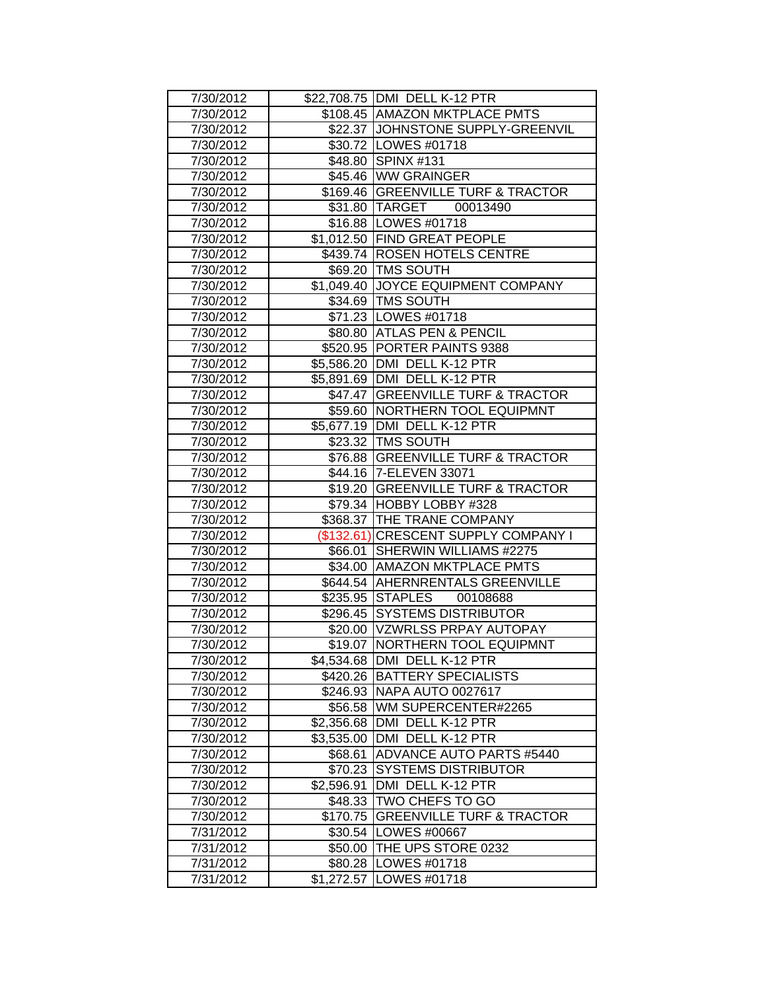| 7/30/2012              |            | \$22,708.75 DMI DELL K-12 PTR                             |
|------------------------|------------|-----------------------------------------------------------|
| 7/30/2012              |            | \$108.45 AMAZON MKTPLACE PMTS                             |
| 7/30/2012              |            | \$22.37 JJOHNSTONE SUPPLY-GREENVIL                        |
| 7/30/2012              |            | \$30.72   LOWES #01718                                    |
| 7/30/2012              |            | \$48.80 SPINX #131                                        |
| 7/30/2012              |            | \$45.46 WW GRAINGER                                       |
|                        |            | \$169.46 GREENVILLE TURF & TRACTOR                        |
| 7/30/2012              |            | \$31.80 TARGET 00013490                                   |
| 7/30/2012              |            |                                                           |
| 7/30/2012              |            | \$16.88   LOWES #01718<br>\$1,012.50 FIND GREAT PEOPLE    |
| 7/30/2012<br>7/30/2012 |            |                                                           |
|                        |            | \$439.74 ROSEN HOTELS CENTRE                              |
| 7/30/2012              |            | \$69.20   TMS SOUTH<br>\$1,049.40 JOYCE EQUIPMENT COMPANY |
| 7/30/2012              |            |                                                           |
| 7/30/2012              |            | \$34.69   TMS SOUTH                                       |
| 7/30/2012              |            | \$71.23   LOWES #01718                                    |
| 7/30/2012              |            | \$80.80 ATLAS PEN & PENCIL                                |
| 7/30/2012              |            | \$520.95 PORTER PAINTS 9388                               |
| 7/30/2012              |            | \$5,586.20 DMI DELL K-12 PTR                              |
| 7/30/2012              |            | \$5,891.69   DMI DELL K-12 PTR                            |
| 7/30/2012              |            | \$47.47 GREENVILLE TURF & TRACTOR                         |
| 7/30/2012              |            | \$59.60 NORTHERN TOOL EQUIPMNT                            |
| 7/30/2012              |            | \$5,677.19   DMI DELL K-12 PTR                            |
| 7/30/2012              |            | \$23.32   TMS SOUTH                                       |
| 7/30/2012              |            | \$76.88 GREENVILLE TURF & TRACTOR                         |
| 7/30/2012              |            | \$44.16 7-ELEVEN 33071                                    |
| 7/30/2012              |            | \$19.20 GREENVILLE TURF & TRACTOR                         |
| 7/30/2012              |            | \$79.34 HOBBY LOBBY #328                                  |
| 7/30/2012              |            | \$368.37 THE TRANE COMPANY                                |
| 7/30/2012              |            | (\$132.61) CRESCENT SUPPLY COMPANY I                      |
| 7/30/2012              |            | \$66.01 SHERWIN WILLIAMS #2275                            |
| 7/30/2012              |            | \$34.00   AMAZON MKTPLACE PMTS                            |
| 7/30/2012              |            | \$644.54 AHERNRENTALS GREENVILLE                          |
| 7/30/2012              |            | \$235.95 STAPLES 00108688                                 |
| 7/30/2012              |            | \$296.45 SYSTEMS DISTRIBUTOR                              |
| 7/30/2012              |            | \$20.00 VZWRLSS PRPAY AUTOPAY                             |
| 7/30/2012              |            | \$19.07   NORTHERN TOOL EQUIPMNT                          |
| 7/30/2012              |            | \$4,534.68 DMI DELL K-12 PTR                              |
| 7/30/2012              |            | \$420.26   BATTERY SPECIALISTS                            |
| 7/30/2012              |            | \$246.93 NAPA AUTO 0027617                                |
| 7/30/2012              |            | \$56.58 WM SUPERCENTER#2265                               |
| 7/30/2012              |            | \$2,356.68 DMI DELL K-12 PTR                              |
| 7/30/2012              |            | \$3,535.00   DMI DELL K-12 PTR                            |
| 7/30/2012              | \$68.61    | ADVANCE AUTO PARTS #5440                                  |
| 7/30/2012              | \$70.23    | <b>SYSTEMS DISTRIBUTOR</b>                                |
| 7/30/2012              | \$2,596.91 | DMI DELL K-12 PTR                                         |
| 7/30/2012              |            | \$48.33 TWO CHEFS TO GO                                   |
| 7/30/2012              |            | \$170.75 GREENVILLE TURF & TRACTOR                        |
| 7/31/2012              |            | \$30.54   LOWES #00667                                    |
| 7/31/2012              | \$50.00    | THE UPS STORE 0232                                        |
| 7/31/2012              | \$80.28    | LOWES #01718                                              |
| 7/31/2012              | \$1,272.57 | LOWES #01718                                              |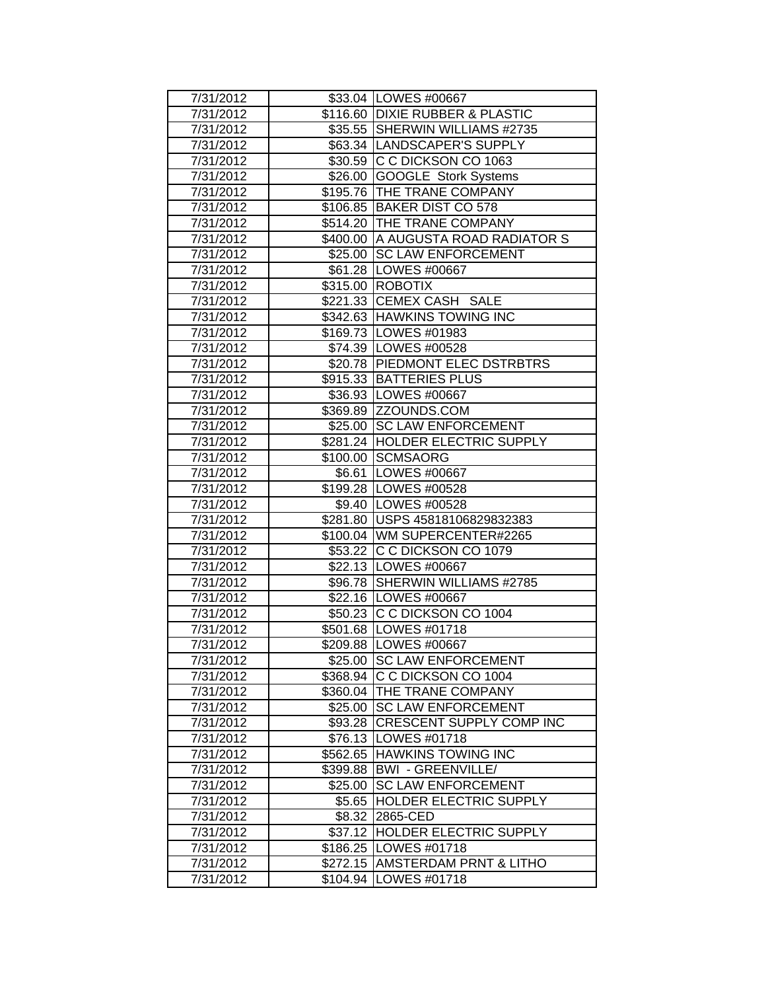| 7/31/2012 |          | \$33.04   LOWES #00667             |
|-----------|----------|------------------------------------|
| 7/31/2012 |          | \$116.60 DIXIE RUBBER & PLASTIC    |
| 7/31/2012 |          | \$35.55 SHERWIN WILLIAMS #2735     |
| 7/31/2012 |          | \$63.34 LANDSCAPER'S SUPPLY        |
| 7/31/2012 |          | \$30.59 C C DICKSON CO 1063        |
| 7/31/2012 |          | \$26.00 GOOGLE Stork Systems       |
| 7/31/2012 |          | \$195.76 THE TRANE COMPANY         |
| 7/31/2012 |          | \$106.85 BAKER DIST CO 578         |
| 7/31/2012 |          | \$514.20 THE TRANE COMPANY         |
| 7/31/2012 |          | \$400.00 A AUGUSTA ROAD RADIATOR S |
| 7/31/2012 | \$25.00  | <b>SC LAW ENFORCEMENT</b>          |
| 7/31/2012 |          | \$61.28   LOWES #00667             |
| 7/31/2012 |          | \$315.00 ROBOTIX                   |
| 7/31/2012 |          | \$221.33 CEMEX CASH SALE           |
| 7/31/2012 |          | \$342.63 HAWKINS TOWING INC        |
| 7/31/2012 |          | \$169.73 LOWES #01983              |
| 7/31/2012 |          | \$74.39   LOWES #00528             |
| 7/31/2012 |          | \$20.78 PIEDMONT ELEC DSTRBTRS     |
| 7/31/2012 |          | \$915.33 BATTERIES PLUS            |
| 7/31/2012 |          | \$36.93  LOWES #00667              |
| 7/31/2012 |          | \$369.89 ZZOUNDS.COM               |
| 7/31/2012 |          | \$25.00 SC LAW ENFORCEMENT         |
| 7/31/2012 |          | \$281.24 HOLDER ELECTRIC SUPPLY    |
| 7/31/2012 |          | \$100.00 SCMSAORG                  |
| 7/31/2012 |          | \$6.61   LOWES #00667              |
| 7/31/2012 |          | \$199.28   LOWES #00528            |
| 7/31/2012 |          | \$9.40   LOWES #00528              |
| 7/31/2012 |          | \$281.80 USPS 45818106829832383    |
| 7/31/2012 |          | \$100.04 WM SUPERCENTER#2265       |
| 7/31/2012 |          | \$53.22 C C DICKSON CO 1079        |
| 7/31/2012 |          | \$22.13   LOWES #00667             |
| 7/31/2012 |          | \$96.78 SHERWIN WILLIAMS #2785     |
| 7/31/2012 |          | \$22.16   LOWES #00667             |
| 7/31/2012 |          | \$50.23 C C DICKSON CO 1004        |
| 7/31/2012 |          | \$501.68 LOWES #01718              |
| 7/31/2012 |          | \$209.88   LOWES #00667            |
| 7/31/2012 |          | \$25.00 SC LAW ENFORCEMENT         |
| 7/31/2012 |          | \$368.94 C C DICKSON CO 1004       |
| 7/31/2012 |          | \$360.04 THE TRANE COMPANY         |
| 7/31/2012 |          | \$25.00 SC LAW ENFORCEMENT         |
| 7/31/2012 |          | \$93.28 CRESCENT SUPPLY COMP INC   |
| 7/31/2012 |          | \$76.13 LOWES #01718               |
| 7/31/2012 |          | \$562.65 HAWKINS TOWING INC        |
| 7/31/2012 |          | \$399.88   BWI - GREENVILLE/       |
| 7/31/2012 | \$25.00  | <b>SC LAW ENFORCEMENT</b>          |
| 7/31/2012 |          | \$5.65 HOLDER ELECTRIC SUPPLY      |
| 7/31/2012 |          | \$8.32 2865-CED                    |
| 7/31/2012 |          | \$37.12 HOLDER ELECTRIC SUPPLY     |
| 7/31/2012 |          | \$186.25 LOWES #01718              |
| 7/31/2012 |          | \$272.15 AMSTERDAM PRNT & LITHO    |
| 7/31/2012 | \$104.94 | LOWES #01718                       |
|           |          |                                    |